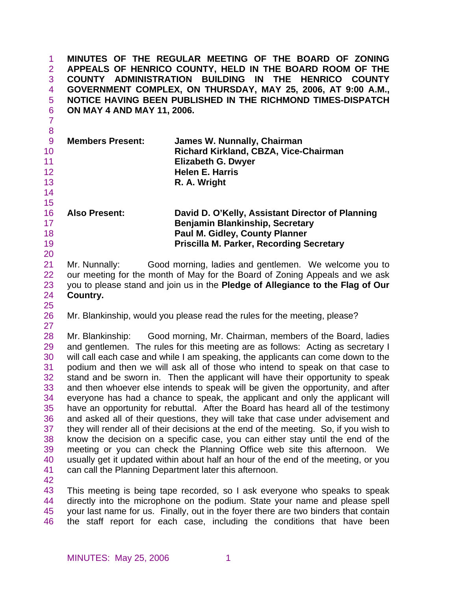| $\mathbf{1}$<br>$\overline{2}$<br>3<br>4<br>5<br>6<br>$\overline{7}$                   | ON MAY 4 AND MAY 11, 2006. | MINUTES OF THE REGULAR MEETING OF THE BOARD OF ZONING<br>APPEALS OF HENRICO COUNTY, HELD IN THE BOARD ROOM OF THE<br>COUNTY ADMINISTRATION BUILDING IN THE HENRICO COUNTY<br>GOVERNMENT COMPLEX, ON THURSDAY, MAY 25, 2006, AT 9:00 A.M.,<br>NOTICE HAVING BEEN PUBLISHED IN THE RICHMOND TIMES-DISPATCH                                                                                                                                                                                                                                                                                                                                                                                                                                                                                                                                                                                                                                                                                                                                                                                                                                                             |
|----------------------------------------------------------------------------------------|----------------------------|----------------------------------------------------------------------------------------------------------------------------------------------------------------------------------------------------------------------------------------------------------------------------------------------------------------------------------------------------------------------------------------------------------------------------------------------------------------------------------------------------------------------------------------------------------------------------------------------------------------------------------------------------------------------------------------------------------------------------------------------------------------------------------------------------------------------------------------------------------------------------------------------------------------------------------------------------------------------------------------------------------------------------------------------------------------------------------------------------------------------------------------------------------------------|
| 8<br>$\overline{9}$<br>10<br>11<br>12<br>13<br>14                                      | <b>Members Present:</b>    | James W. Nunnally, Chairman<br>Richard Kirkland, CBZA, Vice-Chairman<br><b>Elizabeth G. Dwyer</b><br><b>Helen E. Harris</b><br>R. A. Wright                                                                                                                                                                                                                                                                                                                                                                                                                                                                                                                                                                                                                                                                                                                                                                                                                                                                                                                                                                                                                          |
| 15<br>16<br>17<br>18<br>19<br>20                                                       | <b>Also Present:</b>       | David D. O'Kelly, Assistant Director of Planning<br><b>Benjamin Blankinship, Secretary</b><br><b>Paul M. Gidley, County Planner</b><br><b>Priscilla M. Parker, Recording Secretary</b>                                                                                                                                                                                                                                                                                                                                                                                                                                                                                                                                                                                                                                                                                                                                                                                                                                                                                                                                                                               |
| 21<br>22<br>23<br>24<br>25                                                             | Mr. Nunnally:<br>Country.  | Good morning, ladies and gentlemen. We welcome you to<br>our meeting for the month of May for the Board of Zoning Appeals and we ask<br>you to please stand and join us in the Pledge of Allegiance to the Flag of Our                                                                                                                                                                                                                                                                                                                                                                                                                                                                                                                                                                                                                                                                                                                                                                                                                                                                                                                                               |
| 26<br>27                                                                               |                            | Mr. Blankinship, would you please read the rules for the meeting, please?                                                                                                                                                                                                                                                                                                                                                                                                                                                                                                                                                                                                                                                                                                                                                                                                                                                                                                                                                                                                                                                                                            |
| 28<br>29<br>30<br>31<br>32<br>33<br>34<br>35<br>36<br>37<br>38<br>39<br>40<br>41<br>42 |                            | Mr. Blankinship: Good morning, Mr. Chairman, members of the Board, ladies<br>and gentlemen. The rules for this meeting are as follows: Acting as secretary I<br>will call each case and while I am speaking, the applicants can come down to the<br>podium and then we will ask all of those who intend to speak on that case to<br>stand and be sworn in. Then the applicant will have their opportunity to speak<br>and then whoever else intends to speak will be given the opportunity, and after<br>everyone has had a chance to speak, the applicant and only the applicant will<br>have an opportunity for rebuttal. After the Board has heard all of the testimony<br>and asked all of their questions, they will take that case under advisement and<br>they will render all of their decisions at the end of the meeting. So, if you wish to<br>know the decision on a specific case, you can either stay until the end of the<br>meeting or you can check the Planning Office web site this afternoon. We<br>usually get it updated within about half an hour of the end of the meeting, or you<br>can call the Planning Department later this afternoon. |
| 43<br>44<br>45<br>46                                                                   |                            | This meeting is being tape recorded, so I ask everyone who speaks to speak<br>directly into the microphone on the podium. State your name and please spell<br>your last name for us. Finally, out in the foyer there are two binders that contain<br>the staff report for each case, including the conditions that have been                                                                                                                                                                                                                                                                                                                                                                                                                                                                                                                                                                                                                                                                                                                                                                                                                                         |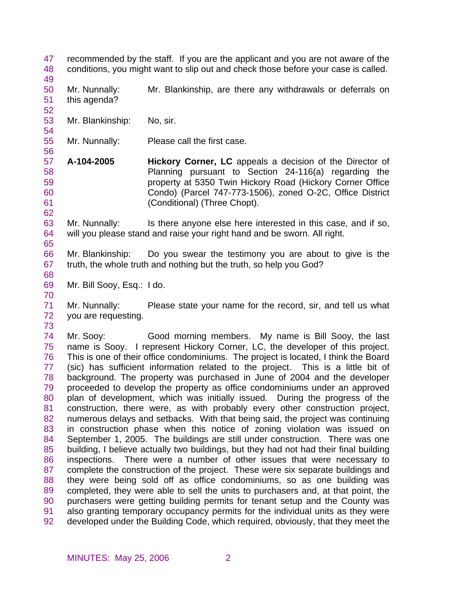47 48 recommended by the staff. If you are the applicant and you are not aware of the conditions, you might want to slip out and check those before your case is called.

50 51 Mr. Nunnally: Mr. Blankinship, are there any withdrawals or deferrals on this agenda?

- 53 Mr. Blankinship: No, sir.
- 55 Mr. Nunnally: Please call the first case.
- 57 58 59 60 61 **A-104-2005 Hickory Corner, LC** appeals a decision of the Director of Planning pursuant to Section 24-116(a) regarding the property at 5350 Twin Hickory Road (Hickory Corner Office Condo) (Parcel 747-773-1506), zoned O-2C, Office District (Conditional) (Three Chopt).

63 64 Mr. Nunnally: Is there anyone else here interested in this case, and if so, will you please stand and raise your right hand and be sworn. All right.

- 66 67 Mr. Blankinship: Do you swear the testimony you are about to give is the truth, the whole truth and nothing but the truth, so help you God?
- 68 69

49

52

54

56

62

65

Mr. Bill Sooy, Esq.: I do.

71 72 Mr. Nunnally: Please state your name for the record, sir, and tell us what you are requesting.

73

70

74 75 76 77 78 79 80 81 82 83 84 85 86 87 88 89 90 91 92 Mr. Sooy: Good morning members. My name is Bill Sooy, the last name is Sooy. I represent Hickory Corner, LC, the developer of this project. This is one of their office condominiums. The project is located, I think the Board (sic) has sufficient information related to the project. This is a little bit of background. The property was purchased in June of 2004 and the developer proceeded to develop the property as office condominiums under an approved plan of development, which was initially issued. During the progress of the construction, there were, as with probably every other construction project, numerous delays and setbacks. With that being said, the project was continuing in construction phase when this notice of zoning violation was issued on September 1, 2005. The buildings are still under construction. There was one building, I believe actually two buildings, but they had not had their final building inspections. There were a number of other issues that were necessary to complete the construction of the project. These were six separate buildings and they were being sold off as office condominiums, so as one building was completed, they were able to sell the units to purchasers and, at that point, the purchasers were getting building permits for tenant setup and the County was also granting temporary occupancy permits for the individual units as they were developed under the Building Code, which required, obviously, that they meet the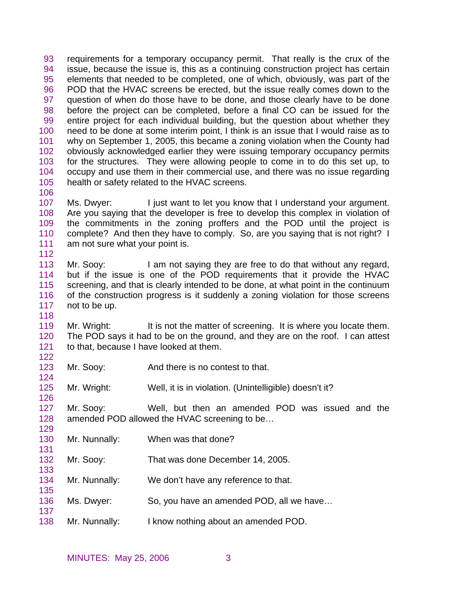93 94 95 96 97 98 99 100 101 102 103 104 105 106 requirements for a temporary occupancy permit. That really is the crux of the issue, because the issue is, this as a continuing construction project has certain elements that needed to be completed, one of which, obviously, was part of the POD that the HVAC screens be erected, but the issue really comes down to the question of when do those have to be done, and those clearly have to be done before the project can be completed, before a final CO can be issued for the entire project for each individual building, but the question about whether they need to be done at some interim point, I think is an issue that I would raise as to why on September 1, 2005, this became a zoning violation when the County had obviously acknowledged earlier they were issuing temporary occupancy permits for the structures. They were allowing people to come in to do this set up, to occupy and use them in their commercial use, and there was no issue regarding health or safety related to the HVAC screens.

- 107 108 109 110 111 112 Ms. Dwyer: I just want to let you know that I understand your argument. Are you saying that the developer is free to develop this complex in violation of the commitments in the zoning proffers and the POD until the project is complete? And then they have to comply. So, are you saying that is not right? I am not sure what your point is.
- 113 114 115 116 117 Mr. Sooy: I am not saying they are free to do that without any regard, but if the issue is one of the POD requirements that it provide the HVAC screening, and that is clearly intended to be done, at what point in the continuum of the construction progress is it suddenly a zoning violation for those screens not to be up.

119 120 121 Mr. Wright: It is not the matter of screening. It is where you locate them. The POD says it had to be on the ground, and they are on the roof. I can attest to that, because I have looked at them.

- 123 124 Mr. Sooy: And there is no contest to that.
- 125 Mr. Wright: Well, it is in violation. (Unintelligible) doesn't it?
- 127 128 Mr. Sooy: Well, but then an amended POD was issued and the amended POD allowed the HVAC screening to be…
- 130 Mr. Nunnally: When was that done?

118

122

126

129

131

133

135

- 132 Mr. Sooy: That was done December 14, 2005.
- 134 Mr. Nunnally: We don't have any reference to that.
- 136 Ms. Dwyer: So, you have an amended POD, all we have…
- 138 Mr. Nunnally: I know nothing about an amended POD.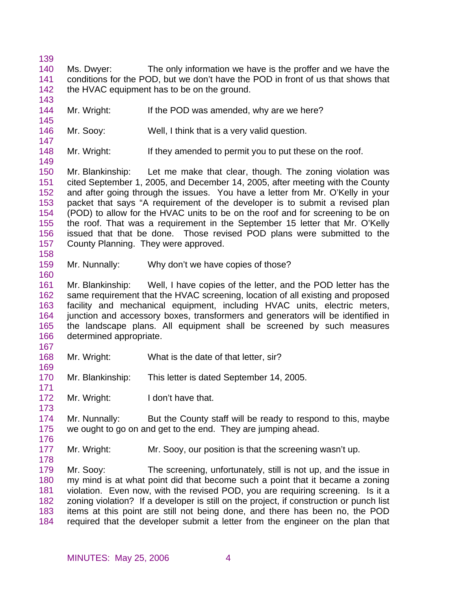139

143

145

147

- 140 141 142 Ms. Dwyer: The only information we have is the proffer and we have the conditions for the POD, but we don't have the POD in front of us that shows that the HVAC equipment has to be on the ground.
- 144 Mr. Wright: If the POD was amended, why are we here?
- 146 Mr. Sooy: Well, I think that is a very valid question.
- 148 Mr. Wright: If they amended to permit you to put these on the roof.
- 149 150 151 152 153 154 155 156 157 158 Mr. Blankinship: Let me make that clear, though. The zoning violation was cited September 1, 2005, and December 14, 2005, after meeting with the County and after going through the issues. You have a letter from Mr. O'Kelly in your packet that says "A requirement of the developer is to submit a revised plan (POD) to allow for the HVAC units to be on the roof and for screening to be on the roof. That was a requirement in the September 15 letter that Mr. O'Kelly issued that that be done. Those revised POD plans were submitted to the County Planning. They were approved.
- 159 Mr. Nunnally: Why don't we have copies of those?
- 161 162 163 164 165 166 Mr. Blankinship: Well, I have copies of the letter, and the POD letter has the same requirement that the HVAC screening, location of all existing and proposed facility and mechanical equipment, including HVAC units, electric meters, junction and accessory boxes, transformers and generators will be identified in the landscape plans. All equipment shall be screened by such measures determined appropriate.
- 167

169

171

173

176

178

160

- 168 Mr. Wright: What is the date of that letter, sir?
- 170 Mr. Blankinship: This letter is dated September 14, 2005.
- 172 Mr. Wright: I don't have that.
- 174 175 Mr. Nunnally: But the County staff will be ready to respond to this, maybe we ought to go on and get to the end. They are jumping ahead.
- 177 Mr. Wright: Mr. Sooy, our position is that the screening wasn't up.

179 180 181 182 183 184 Mr. Sooy: The screening, unfortunately, still is not up, and the issue in my mind is at what point did that become such a point that it became a zoning violation. Even now, with the revised POD, you are requiring screening. Is it a zoning violation? If a developer is still on the project, if construction or punch list items at this point are still not being done, and there has been no, the POD required that the developer submit a letter from the engineer on the plan that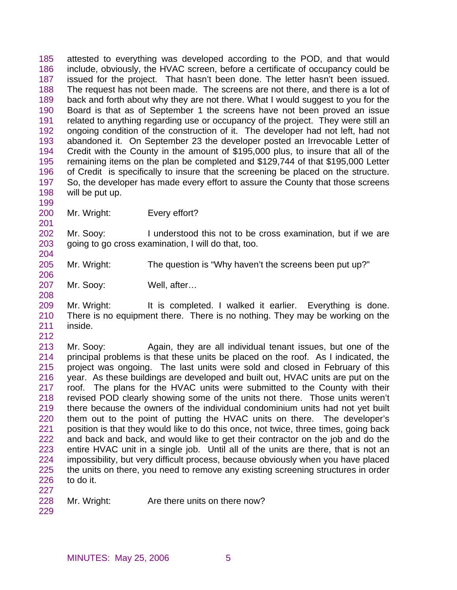185 186 187 188 189 190 191 192 193 194 195 196 197 198 199 attested to everything was developed according to the POD, and that would include, obviously, the HVAC screen, before a certificate of occupancy could be issued for the project. That hasn't been done. The letter hasn't been issued. The request has not been made. The screens are not there, and there is a lot of back and forth about why they are not there. What I would suggest to you for the Board is that as of September 1 the screens have not been proved an issue related to anything regarding use or occupancy of the project. They were still an ongoing condition of the construction of it. The developer had not left, had not abandoned it. On September 23 the developer posted an Irrevocable Letter of Credit with the County in the amount of \$195,000 plus, to insure that all of the remaining items on the plan be completed and \$129,744 of that \$195,000 Letter of Credit is specifically to insure that the screening be placed on the structure. So, the developer has made every effort to assure the County that those screens will be put up.

200 Mr. Wright: Every effort?

202 203 204 Mr. Sooy: I understood this not to be cross examination, but if we are going to go cross examination, I will do that, too.

- 205 Mr. Wright: The question is "Why haven't the screens been put up?"
- 207 Mr. Sooy: Well, after…

209 210 211 Mr. Wright: It is completed. I walked it earlier. Everything is done. There is no equipment there. There is no nothing. They may be working on the inside.

212

201

206

208

213 214 215 216 217 218 219 220 221 222 223 224 225 226 227 Mr. Sooy: Again, they are all individual tenant issues, but one of the principal problems is that these units be placed on the roof. As I indicated, the project was ongoing. The last units were sold and closed in February of this year. As these buildings are developed and built out, HVAC units are put on the roof. The plans for the HVAC units were submitted to the County with their revised POD clearly showing some of the units not there. Those units weren't there because the owners of the individual condominium units had not yet built them out to the point of putting the HVAC units on there. The developer's position is that they would like to do this once, not twice, three times, going back and back and back, and would like to get their contractor on the job and do the entire HVAC unit in a single job. Until all of the units are there, that is not an impossibility, but very difficult process, because obviously when you have placed the units on there, you need to remove any existing screening structures in order to do it.

- 228 Mr. Wright: Are there units on there now?
- 229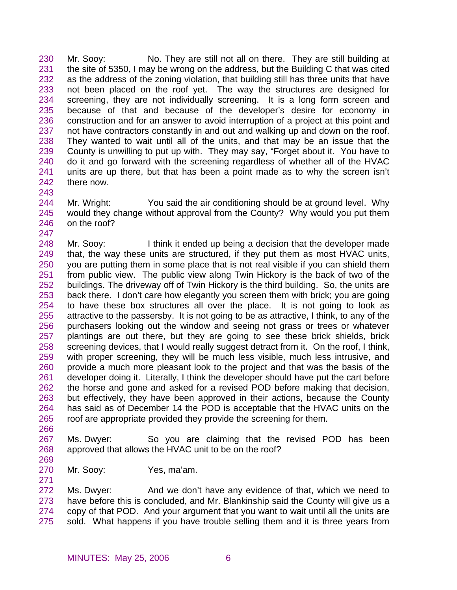230 231 232 233 234 235 236 237 238 239 240 241 242 243 Mr. Sooy: No. They are still not all on there. They are still building at the site of 5350, I may be wrong on the address, but the Building C that was cited as the address of the zoning violation, that building still has three units that have not been placed on the roof yet. The way the structures are designed for screening, they are not individually screening. It is a long form screen and because of that and because of the developer's desire for economy in construction and for an answer to avoid interruption of a project at this point and not have contractors constantly in and out and walking up and down on the roof. They wanted to wait until all of the units, and that may be an issue that the County is unwilling to put up with. They may say, "Forget about it. You have to do it and go forward with the screening regardless of whether all of the HVAC units are up there, but that has been a point made as to why the screen isn't there now.

244 245 246 Mr. Wright: You said the air conditioning should be at ground level. Why would they change without approval from the County? Why would you put them on the roof?

247 248 249 250 251 252 253 254 255 256 257 258 259 260 261 262 263 264 265 Mr. Sooy: I think it ended up being a decision that the developer made that, the way these units are structured, if they put them as most HVAC units, you are putting them in some place that is not real visible if you can shield them from public view. The public view along Twin Hickory is the back of two of the buildings. The driveway off of Twin Hickory is the third building. So, the units are back there. I don't care how elegantly you screen them with brick; you are going to have these box structures all over the place. It is not going to look as attractive to the passersby. It is not going to be as attractive, I think, to any of the purchasers looking out the window and seeing not grass or trees or whatever plantings are out there, but they are going to see these brick shields, brick screening devices, that I would really suggest detract from it. On the roof, I think, with proper screening, they will be much less visible, much less intrusive, and provide a much more pleasant look to the project and that was the basis of the developer doing it. Literally, I think the developer should have put the cart before the horse and gone and asked for a revised POD before making that decision, but effectively, they have been approved in their actions, because the County has said as of December 14 the POD is acceptable that the HVAC units on the roof are appropriate provided they provide the screening for them.

266

267 268 Ms. Dwyer: So you are claiming that the revised POD has been approved that allows the HVAC unit to be on the roof?

- 269
- 270 271 Mr. Sooy: Yes, ma'am.

272 273 274 275 Ms. Dwyer: And we don't have any evidence of that, which we need to have before this is concluded, and Mr. Blankinship said the County will give us a copy of that POD. And your argument that you want to wait until all the units are sold. What happens if you have trouble selling them and it is three years from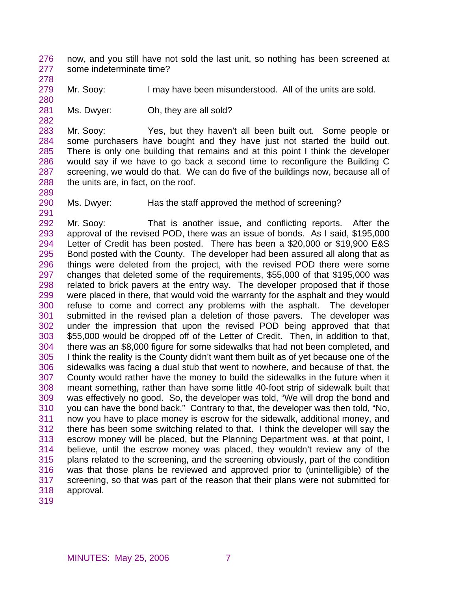276 277 now, and you still have not sold the last unit, so nothing has been screened at some indeterminate time?

278 279

Mr. Sooy: I may have been misunderstood. All of the units are sold.

280 281

282

289

291

Ms. Dwyer: Oh, they are all sold?

283 284 285 286 287 288 Mr. Sooy: Yes, but they haven't all been built out. Some people or some purchasers have bought and they have just not started the build out. There is only one building that remains and at this point I think the developer would say if we have to go back a second time to reconfigure the Building C screening, we would do that. We can do five of the buildings now, because all of the units are, in fact, on the roof.

290 Ms. Dwyer: Has the staff approved the method of screening?

292 293 294 295 296 297 298 299 300 301 302 303 304 305 306 307 308 309 310 311 312 313 314 315 316 317 318 Mr. Sooy: That is another issue, and conflicting reports. After the approval of the revised POD, there was an issue of bonds. As I said, \$195,000 Letter of Credit has been posted. There has been a \$20,000 or \$19,900 E&S Bond posted with the County. The developer had been assured all along that as things were deleted from the project, with the revised POD there were some changes that deleted some of the requirements, \$55,000 of that \$195,000 was related to brick pavers at the entry way. The developer proposed that if those were placed in there, that would void the warranty for the asphalt and they would refuse to come and correct any problems with the asphalt. The developer submitted in the revised plan a deletion of those pavers. The developer was under the impression that upon the revised POD being approved that that \$55,000 would be dropped off of the Letter of Credit. Then, in addition to that, there was an \$8,000 figure for some sidewalks that had not been completed, and I think the reality is the County didn't want them built as of yet because one of the sidewalks was facing a dual stub that went to nowhere, and because of that, the County would rather have the money to build the sidewalks in the future when it meant something, rather than have some little 40-foot strip of sidewalk built that was effectively no good. So, the developer was told, "We will drop the bond and you can have the bond back." Contrary to that, the developer was then told, "No, now you have to place money is escrow for the sidewalk, additional money, and there has been some switching related to that. I think the developer will say the escrow money will be placed, but the Planning Department was, at that point, I believe, until the escrow money was placed, they wouldn't review any of the plans related to the screening, and the screening obviously, part of the condition was that those plans be reviewed and approved prior to (unintelligible) of the screening, so that was part of the reason that their plans were not submitted for approval.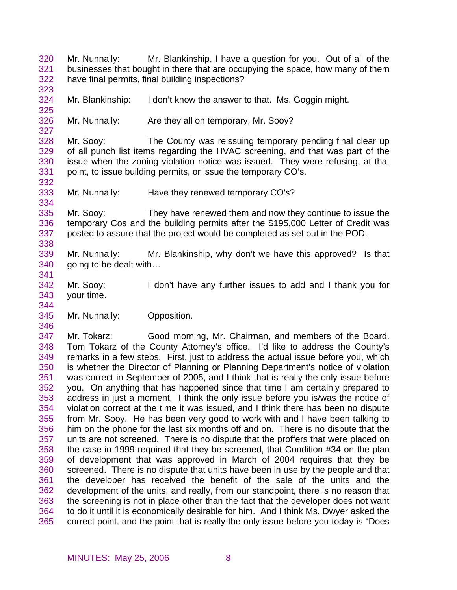320 321 322 323 Mr. Nunnally: Mr. Blankinship, I have a question for you. Out of all of the businesses that bought in there that are occupying the space, how many of them have final permits, final building inspections?

324 Mr. Blankinship: I don't know the answer to that. Ms. Goggin might.

326 Mr. Nunnally: Are they all on temporary, Mr. Sooy?

328 329 330 331 Mr. Sooy: The County was reissuing temporary pending final clear up of all punch list items regarding the HVAC screening, and that was part of the issue when the zoning violation notice was issued. They were refusing, at that point, to issue building permits, or issue the temporary CO's.

333 Mr. Nunnally: Have they renewed temporary CO's?

335 336 337 338 Mr. Sooy: They have renewed them and now they continue to issue the temporary Cos and the building permits after the \$195,000 Letter of Credit was posted to assure that the project would be completed as set out in the POD.

339 340 341 Mr. Nunnally: Mr. Blankinship, why don't we have this approved? Is that going to be dealt with…

342 343 Mr. Sooy: I don't have any further issues to add and I thank you for your time.

345 Mr. Nunnally: Opposition.

325

327

332

334

344

346

347 348 349 350 351 352 353 354 355 356 357 358 359 360 361 362 363 364 365 Mr. Tokarz: Good morning, Mr. Chairman, and members of the Board. Tom Tokarz of the County Attorney's office. I'd like to address the County's remarks in a few steps. First, just to address the actual issue before you, which is whether the Director of Planning or Planning Department's notice of violation was correct in September of 2005, and I think that is really the only issue before you. On anything that has happened since that time I am certainly prepared to address in just a moment. I think the only issue before you is/was the notice of violation correct at the time it was issued, and I think there has been no dispute from Mr. Sooy. He has been very good to work with and I have been talking to him on the phone for the last six months off and on. There is no dispute that the units are not screened. There is no dispute that the proffers that were placed on the case in 1999 required that they be screened, that Condition #34 on the plan of development that was approved in March of 2004 requires that they be screened. There is no dispute that units have been in use by the people and that the developer has received the benefit of the sale of the units and the development of the units, and really, from our standpoint, there is no reason that the screening is not in place other than the fact that the developer does not want to do it until it is economically desirable for him. And I think Ms. Dwyer asked the correct point, and the point that is really the only issue before you today is "Does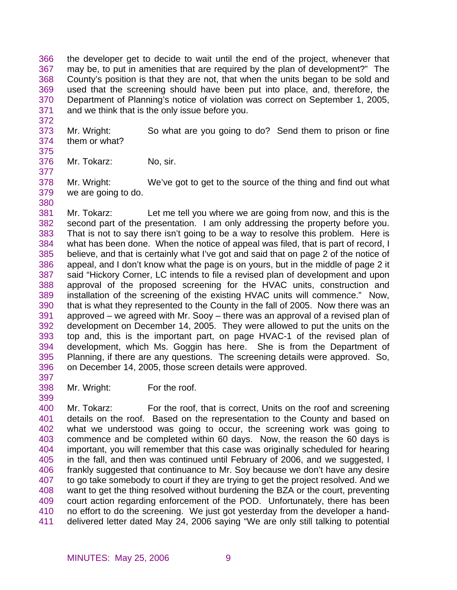366 367 368 369 370 371 the developer get to decide to wait until the end of the project, whenever that may be, to put in amenities that are required by the plan of development?" The County's position is that they are not, that when the units began to be sold and used that the screening should have been put into place, and, therefore, the Department of Planning's notice of violation was correct on September 1, 2005, and we think that is the only issue before you.

- 373 374 Mr. Wright: So what are you going to do? Send them to prison or fine them or what?
- 375 376

377

372

Mr. Tokarz: No, sir.

378 379 380 Mr. Wright: We've got to get to the source of the thing and find out what we are going to do.

381 382 383 384 385 386 387 388 389 390 391 392 393 394 395 396 Mr. Tokarz: Let me tell you where we are going from now, and this is the second part of the presentation. I am only addressing the property before you. That is not to say there isn't going to be a way to resolve this problem. Here is what has been done. When the notice of appeal was filed, that is part of record, I believe, and that is certainly what I've got and said that on page 2 of the notice of appeal, and I don't know what the page is on yours, but in the middle of page 2 it said "Hickory Corner, LC intends to file a revised plan of development and upon approval of the proposed screening for the HVAC units, construction and installation of the screening of the existing HVAC units will commence." Now, that is what they represented to the County in the fall of 2005. Now there was an approved – we agreed with Mr. Sooy – there was an approval of a revised plan of development on December 14, 2005. They were allowed to put the units on the top and, this is the important part, on page HVAC-1 of the revised plan of development, which Ms. Goggin has here. She is from the Department of Planning, if there are any questions. The screening details were approved. So, on December 14, 2005, those screen details were approved.

397 398

399

Mr. Wright: For the roof.

400 401 402 403 404 405 406 407 408 409 410 411 Mr. Tokarz: For the roof, that is correct, Units on the roof and screening details on the roof. Based on the representation to the County and based on what we understood was going to occur, the screening work was going to commence and be completed within 60 days. Now, the reason the 60 days is important, you will remember that this case was originally scheduled for hearing in the fall, and then was continued until February of 2006, and we suggested, I frankly suggested that continuance to Mr. Soy because we don't have any desire to go take somebody to court if they are trying to get the project resolved. And we want to get the thing resolved without burdening the BZA or the court, preventing court action regarding enforcement of the POD. Unfortunately, there has been no effort to do the screening. We just got yesterday from the developer a handdelivered letter dated May 24, 2006 saying "We are only still talking to potential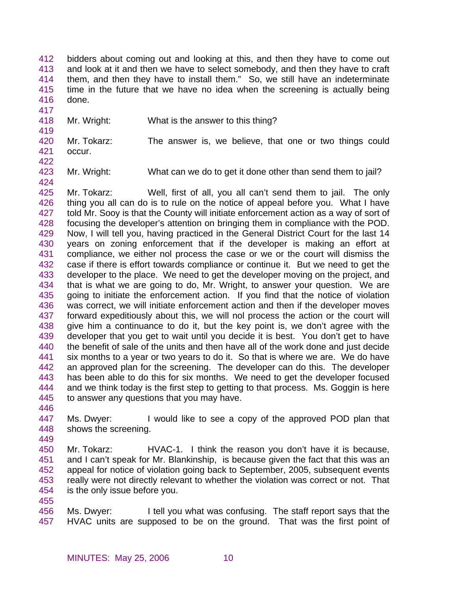- 412 413 414 415 416 bidders about coming out and looking at this, and then they have to come out and look at it and then we have to select somebody, and then they have to craft them, and then they have to install them." So, we still have an indeterminate time in the future that we have no idea when the screening is actually being done.
- 418 Mr. Wright: What is the answer to this thing?
- 420 421 Mr. Tokarz: The answer is, we believe, that one or two things could occur.
- 422

424

417

419

423 Mr. Wright: What can we do to get it done other than send them to jail?

425 426 427 428 429 430 431 432 433 434 435 436 437 438 439 440 441 442 443 444 445 Mr. Tokarz: Well, first of all, you all can't send them to jail. The only thing you all can do is to rule on the notice of appeal before you. What I have told Mr. Sooy is that the County will initiate enforcement action as a way of sort of focusing the developer's attention on bringing them in compliance with the POD. Now, I will tell you, having practiced in the General District Court for the last 14 years on zoning enforcement that if the developer is making an effort at compliance, we either nol process the case or we or the court will dismiss the case if there is effort towards compliance or continue it. But we need to get the developer to the place. We need to get the developer moving on the project, and that is what we are going to do, Mr. Wright, to answer your question. We are going to initiate the enforcement action. If you find that the notice of violation was correct, we will initiate enforcement action and then if the developer moves forward expeditiously about this, we will nol process the action or the court will give him a continuance to do it, but the key point is, we don't agree with the developer that you get to wait until you decide it is best. You don't get to have the benefit of sale of the units and then have all of the work done and just decide six months to a year or two years to do it. So that is where we are. We do have an approved plan for the screening. The developer can do this. The developer has been able to do this for six months. We need to get the developer focused and we think today is the first step to getting to that process. Ms. Goggin is here to answer any questions that you may have.

446

447 448 449 Ms. Dwyer: I would like to see a copy of the approved POD plan that shows the screening.

- 450 451 452 453 454 Mr. Tokarz: HVAC-1. I think the reason you don't have it is because, and I can't speak for Mr. Blankinship, is because given the fact that this was an appeal for notice of violation going back to September, 2005, subsequent events really were not directly relevant to whether the violation was correct or not. That is the only issue before you.
- 455 456 457 Ms. Dwyer: I tell you what was confusing. The staff report says that the HVAC units are supposed to be on the ground. That was the first point of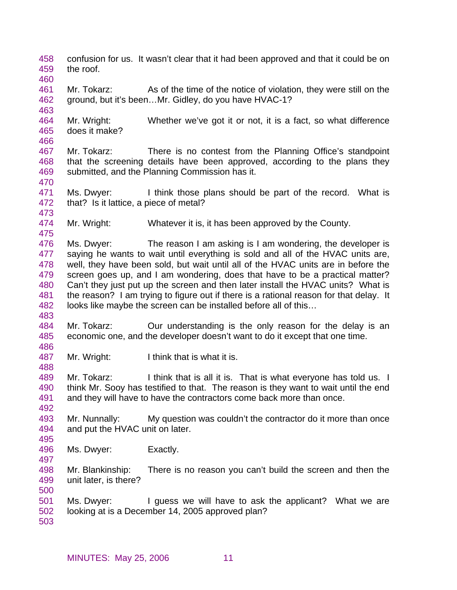- 458 459 confusion for us. It wasn't clear that it had been approved and that it could be on the roof.
- 461 462 Mr. Tokarz: As of the time of the notice of violation, they were still on the ground, but it's been…Mr. Gidley, do you have HVAC-1?
- 464 465 466 Mr. Wright: Whether we've got it or not, it is a fact, so what difference does it make?
- 467 468 469 Mr. Tokarz: There is no contest from the Planning Office's standpoint that the screening details have been approved, according to the plans they submitted, and the Planning Commission has it.
- 471 472 Ms. Dwyer: I think those plans should be part of the record. What is that? Is it lattice, a piece of metal?
- 474 Mr. Wright: Whatever it is, it has been approved by the County.
- 476 477 478 479 480 481 482 Ms. Dwyer: The reason I am asking is I am wondering, the developer is saying he wants to wait until everything is sold and all of the HVAC units are, well, they have been sold, but wait until all of the HVAC units are in before the screen goes up, and I am wondering, does that have to be a practical matter? Can't they just put up the screen and then later install the HVAC units? What is the reason? I am trying to figure out if there is a rational reason for that delay. It looks like maybe the screen can be installed before all of this…
- 484 485 Mr. Tokarz: **Our understanding is the only reason for the delay is an** economic one, and the developer doesn't want to do it except that one time.
- 487 Mr. Wright: I think that is what it is.
- 489 490 491 Mr. Tokarz: I think that is all it is. That is what everyone has told us. I think Mr. Sooy has testified to that. The reason is they want to wait until the end and they will have to have the contractors come back more than once.
- 493 494 Mr. Nunnally: My question was couldn't the contractor do it more than once and put the HVAC unit on later.
- 496 Ms. Dwyer: Exactly.
- 498 499 Mr. Blankinship: There is no reason you can't build the screen and then the unit later, is there?
- 501 502 Ms. Dwyer: I guess we will have to ask the applicant? What we are looking at is a December 14, 2005 approved plan?
- 503

460

463

470

473

475

483

486

488

492

495

497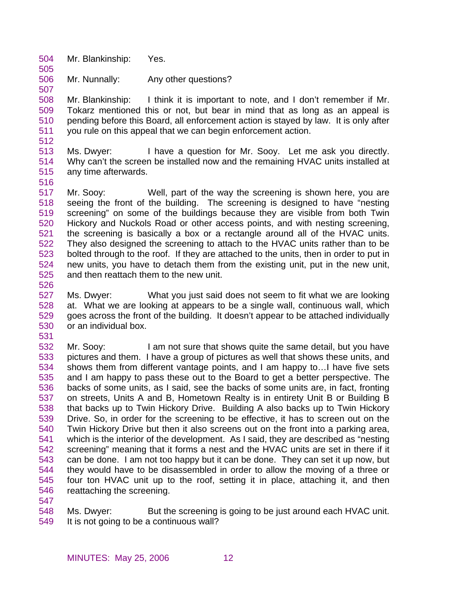- 504 Mr. Blankinship: Yes.
- 506 Mr. Nunnally: Any other questions?

508 509 510 511 512 Mr. Blankinship: I think it is important to note, and I don't remember if Mr. Tokarz mentioned this or not, but bear in mind that as long as an appeal is pending before this Board, all enforcement action is stayed by law. It is only after you rule on this appeal that we can begin enforcement action.

- 513 514 515 Ms. Dwyer: I have a question for Mr. Sooy. Let me ask you directly. Why can't the screen be installed now and the remaining HVAC units installed at any time afterwards.
- 516

505

507

517 518 519 520 521 522 523 524 525 Mr. Sooy: Well, part of the way the screening is shown here, you are seeing the front of the building. The screening is designed to have "nesting screening" on some of the buildings because they are visible from both Twin Hickory and Nuckols Road or other access points, and with nesting screening, the screening is basically a box or a rectangle around all of the HVAC units. They also designed the screening to attach to the HVAC units rather than to be bolted through to the roof. If they are attached to the units, then in order to put in new units, you have to detach them from the existing unit, put in the new unit, and then reattach them to the new unit.

526

527 528 529 530 Ms. Dwyer: What you just said does not seem to fit what we are looking at. What we are looking at appears to be a single wall, continuous wall, which goes across the front of the building. It doesn't appear to be attached individually or an individual box.

531

532 533 534 535 536 537 538 539 540 541 542 543 544 545 546 Mr. Sooy: I am not sure that shows quite the same detail, but you have pictures and them. I have a group of pictures as well that shows these units, and shows them from different vantage points, and I am happy to…I have five sets and I am happy to pass these out to the Board to get a better perspective. The backs of some units, as I said, see the backs of some units are, in fact, fronting on streets, Units A and B, Hometown Realty is in entirety Unit B or Building B that backs up to Twin Hickory Drive. Building A also backs up to Twin Hickory Drive. So, in order for the screening to be effective, it has to screen out on the Twin Hickory Drive but then it also screens out on the front into a parking area, which is the interior of the development. As I said, they are described as "nesting screening" meaning that it forms a nest and the HVAC units are set in there if it can be done. I am not too happy but it can be done. They can set it up now, but they would have to be disassembled in order to allow the moving of a three or four ton HVAC unit up to the roof, setting it in place, attaching it, and then reattaching the screening.

547

548 549 Ms. Dwyer: But the screening is going to be just around each HVAC unit. It is not going to be a continuous wall?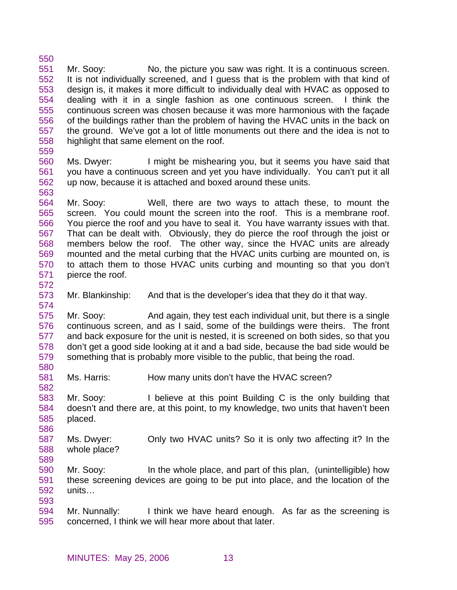550 551 552 553 554 555 556 557 558 Mr. Sooy: No, the picture you saw was right. It is a continuous screen. It is not individually screened, and I guess that is the problem with that kind of design is, it makes it more difficult to individually deal with HVAC as opposed to dealing with it in a single fashion as one continuous screen. I think the continuous screen was chosen because it was more harmonious with the façade of the buildings rather than the problem of having the HVAC units in the back on the ground. We've got a lot of little monuments out there and the idea is not to highlight that same element on the roof.

559

563

- 560 561 562 Ms. Dwyer: I might be mishearing you, but it seems you have said that you have a continuous screen and yet you have individually. You can't put it all up now, because it is attached and boxed around these units.
- 564 565 566 567 568 569 570 571 Mr. Sooy: Well, there are two ways to attach these, to mount the screen. You could mount the screen into the roof. This is a membrane roof. You pierce the roof and you have to seal it. You have warranty issues with that. That can be dealt with. Obviously, they do pierce the roof through the joist or members below the roof. The other way, since the HVAC units are already mounted and the metal curbing that the HVAC units curbing are mounted on, is to attach them to those HVAC units curbing and mounting so that you don't pierce the roof.
- 572

574

580

582

586

573 Mr. Blankinship: And that is the developer's idea that they do it that way.

575 576 577 578 579 Mr. Sooy: And again, they test each individual unit, but there is a single continuous screen, and as I said, some of the buildings were theirs. The front and back exposure for the unit is nested, it is screened on both sides, so that you don't get a good side looking at it and a bad side, because the bad side would be something that is probably more visible to the public, that being the road.

581 Ms. Harris: How many units don't have the HVAC screen?

583 584 585 Mr. Sooy: I believe at this point Building C is the only building that doesn't and there are, at this point, to my knowledge, two units that haven't been placed.

587 588 589 Ms. Dwyer: Only two HVAC units? So it is only two affecting it? In the whole place?

590 591 592 593 Mr. Sooy: In the whole place, and part of this plan, (unintelligible) how these screening devices are going to be put into place, and the location of the units…

594 595 Mr. Nunnally: I think we have heard enough. As far as the screening is concerned, I think we will hear more about that later.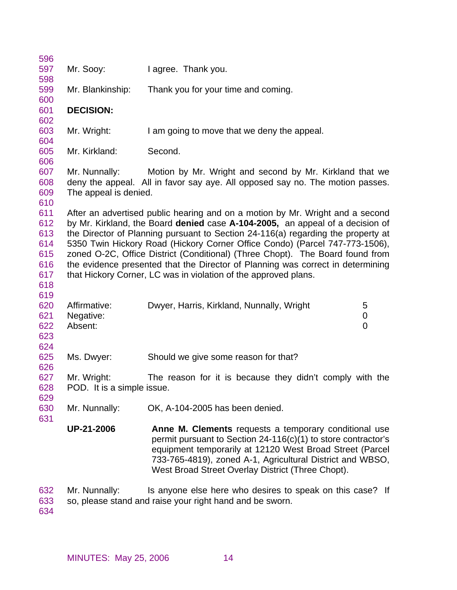| 596<br>597                                           | Mr. Sooy:                                 | I agree. Thank you.                                                                                                                                                                                                                                                                                                                                                                                                                                                                                                                                                      |                                  |
|------------------------------------------------------|-------------------------------------------|--------------------------------------------------------------------------------------------------------------------------------------------------------------------------------------------------------------------------------------------------------------------------------------------------------------------------------------------------------------------------------------------------------------------------------------------------------------------------------------------------------------------------------------------------------------------------|----------------------------------|
| 598                                                  |                                           |                                                                                                                                                                                                                                                                                                                                                                                                                                                                                                                                                                          |                                  |
| 599<br>600                                           | Mr. Blankinship:                          | Thank you for your time and coming.                                                                                                                                                                                                                                                                                                                                                                                                                                                                                                                                      |                                  |
| 601<br>602                                           | <b>DECISION:</b>                          |                                                                                                                                                                                                                                                                                                                                                                                                                                                                                                                                                                          |                                  |
| 603<br>604                                           | Mr. Wright:                               | I am going to move that we deny the appeal.                                                                                                                                                                                                                                                                                                                                                                                                                                                                                                                              |                                  |
| 605<br>606                                           | Mr. Kirkland:                             | Second.                                                                                                                                                                                                                                                                                                                                                                                                                                                                                                                                                                  |                                  |
| 607<br>608<br>609<br>610                             | Mr. Nunnally:<br>The appeal is denied.    | Motion by Mr. Wright and second by Mr. Kirkland that we<br>deny the appeal. All in favor say aye. All opposed say no. The motion passes.                                                                                                                                                                                                                                                                                                                                                                                                                                 |                                  |
| 611<br>612<br>613<br>614<br>615<br>616<br>617<br>618 |                                           | After an advertised public hearing and on a motion by Mr. Wright and a second<br>by Mr. Kirkland, the Board denied case A-104-2005, an appeal of a decision of<br>the Director of Planning pursuant to Section 24-116(a) regarding the property at<br>5350 Twin Hickory Road (Hickory Corner Office Condo) (Parcel 747-773-1506),<br>zoned O-2C, Office District (Conditional) (Three Chopt). The Board found from<br>the evidence presented that the Director of Planning was correct in determining<br>that Hickory Corner, LC was in violation of the approved plans. |                                  |
| 619<br>620<br>621<br>622<br>623<br>624               | Affirmative:<br>Negative:<br>Absent:      | Dwyer, Harris, Kirkland, Nunnally, Wright                                                                                                                                                                                                                                                                                                                                                                                                                                                                                                                                | 5<br>$\pmb{0}$<br>$\overline{0}$ |
| 625<br>626                                           | Ms. Dwyer:                                | Should we give some reason for that?                                                                                                                                                                                                                                                                                                                                                                                                                                                                                                                                     |                                  |
| 627<br>628<br>629                                    | Mr. Wright:<br>POD. It is a simple issue. | The reason for it is because they didn't comply with the                                                                                                                                                                                                                                                                                                                                                                                                                                                                                                                 |                                  |
| 630<br>631                                           | Mr. Nunnally:                             | OK, A-104-2005 has been denied.                                                                                                                                                                                                                                                                                                                                                                                                                                                                                                                                          |                                  |
|                                                      | <b>UP-21-2006</b>                         | Anne M. Clements requests a temporary conditional use<br>permit pursuant to Section $24-116(c)(1)$ to store contractor's<br>equipment temporarily at 12120 West Broad Street (Parcel<br>733-765-4819), zoned A-1, Agricultural District and WBSO,<br>West Broad Street Overlay District (Three Chopt).                                                                                                                                                                                                                                                                   |                                  |
| 632<br>633                                           | Mr. Nunnally:                             | Is anyone else here who desires to speak on this case? If<br>so, please stand and raise your right hand and be sworn.                                                                                                                                                                                                                                                                                                                                                                                                                                                    |                                  |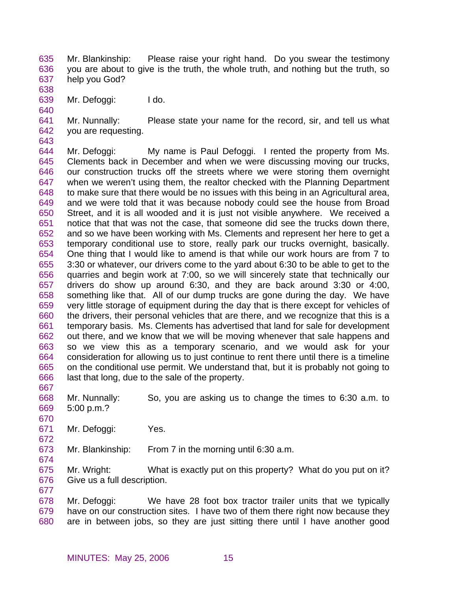635 636 637 Mr. Blankinship: Please raise your right hand. Do you swear the testimony you are about to give is the truth, the whole truth, and nothing but the truth, so help you God?

639 Mr. Defoggi: ldo.

638

640

643

641 642 Mr. Nunnally: Please state your name for the record, sir, and tell us what you are requesting.

- 644 645 646 647 648 649 650 651 652 653 654 655 656 657 658 659 660 661 662 663 664 665 666 Mr. Defoggi: My name is Paul Defoggi. I rented the property from Ms. Clements back in December and when we were discussing moving our trucks, our construction trucks off the streets where we were storing them overnight when we weren't using them, the realtor checked with the Planning Department to make sure that there would be no issues with this being in an Agricultural area, and we were told that it was because nobody could see the house from Broad Street, and it is all wooded and it is just not visible anywhere. We received a notice that that was not the case, that someone did see the trucks down there, and so we have been working with Ms. Clements and represent her here to get a temporary conditional use to store, really park our trucks overnight, basically. One thing that I would like to amend is that while our work hours are from 7 to 3:30 or whatever, our drivers come to the yard about 6:30 to be able to get to the quarries and begin work at 7:00, so we will sincerely state that technically our drivers do show up around 6:30, and they are back around 3:30 or 4:00, something like that. All of our dump trucks are gone during the day. We have very little storage of equipment during the day that is there except for vehicles of the drivers, their personal vehicles that are there, and we recognize that this is a temporary basis. Ms. Clements has advertised that land for sale for development out there, and we know that we will be moving whenever that sale happens and so we view this as a temporary scenario, and we would ask for your consideration for allowing us to just continue to rent there until there is a timeline on the conditional use permit. We understand that, but it is probably not going to last that long, due to the sale of the property.
- 667

670

672

674

677

668 669 Mr. Nunnally: So, you are asking us to change the times to 6:30 a.m. to 5:00 p.m.?

671 Mr. Defoggi: Yes.

673 Mr. Blankinship: From 7 in the morning until 6:30 a.m.

675 676 Mr. Wright: What is exactly put on this property? What do you put on it? Give us a full description.

678 679 680 Mr. Defoggi: We have 28 foot box tractor trailer units that we typically have on our construction sites. I have two of them there right now because they are in between jobs, so they are just sitting there until I have another good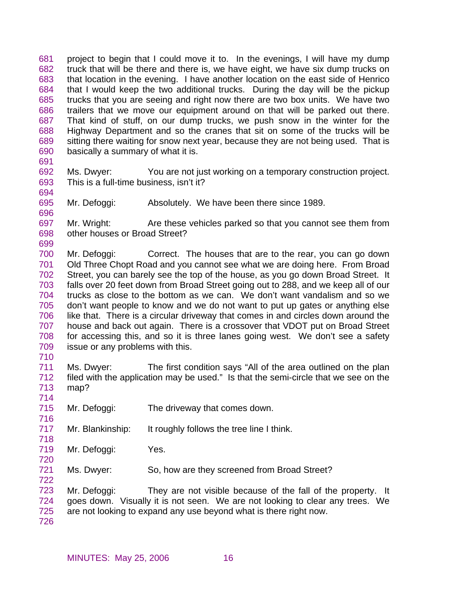681 682 683 684 685 686 687 688 689 690 project to begin that I could move it to. In the evenings, I will have my dump truck that will be there and there is, we have eight, we have six dump trucks on that location in the evening. I have another location on the east side of Henrico that I would keep the two additional trucks. During the day will be the pickup trucks that you are seeing and right now there are two box units. We have two trailers that we move our equipment around on that will be parked out there. That kind of stuff, on our dump trucks, we push snow in the winter for the Highway Department and so the cranes that sit on some of the trucks will be sitting there waiting for snow next year, because they are not being used. That is basically a summary of what it is.

691

696

692 693 694 Ms. Dwyer: You are not just working on a temporary construction project. This is a full-time business, isn't it?

695 Mr. Defoggi: Absolutely. We have been there since 1989.

697 698 699 Mr. Wright: Are these vehicles parked so that you cannot see them from other houses or Broad Street?

700 701 702 703 704 705 706 707 708 709 Mr. Defoggi: Correct. The houses that are to the rear, you can go down Old Three Chopt Road and you cannot see what we are doing here. From Broad Street, you can barely see the top of the house, as you go down Broad Street. It falls over 20 feet down from Broad Street going out to 288, and we keep all of our trucks as close to the bottom as we can. We don't want vandalism and so we don't want people to know and we do not want to put up gates or anything else like that. There is a circular driveway that comes in and circles down around the house and back out again. There is a crossover that VDOT put on Broad Street for accessing this, and so it is three lanes going west. We don't see a safety issue or any problems with this.

710

714

716

718

720

711 712 713 Ms. Dwyer: The first condition says "All of the area outlined on the plan filed with the application may be used." Is that the semi-circle that we see on the map?

- 715 Mr. Defoggi: The driveway that comes down.
- 717 Mr. Blankinship: It roughly follows the tree line I think.
- 719 Mr. Defoggi: Yes.
- 721 722 Ms. Dwyer: So, how are they screened from Broad Street?

723 724 725 Mr. Defoggi: They are not visible because of the fall of the property. It goes down. Visually it is not seen. We are not looking to clear any trees. We are not looking to expand any use beyond what is there right now.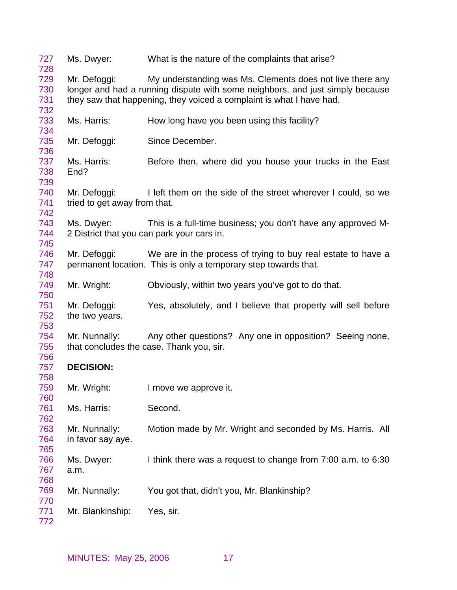| 727<br>728               | Ms. Dwyer:                                   | What is the nature of the complaints that arise?                                                                                                                                                                   |
|--------------------------|----------------------------------------------|--------------------------------------------------------------------------------------------------------------------------------------------------------------------------------------------------------------------|
| 729<br>730<br>731<br>732 | Mr. Defoggi:                                 | My understanding was Ms. Clements does not live there any<br>longer and had a running dispute with some neighbors, and just simply because<br>they saw that happening, they voiced a complaint is what I have had. |
| 733<br>734               | Ms. Harris:                                  | How long have you been using this facility?                                                                                                                                                                        |
| 735<br>736               | Mr. Defoggi:                                 | Since December.                                                                                                                                                                                                    |
| 737<br>738<br>739        | Ms. Harris:<br>End?                          | Before then, where did you house your trucks in the East                                                                                                                                                           |
| 740<br>741<br>742        | Mr. Defoggi:<br>tried to get away from that. | I left them on the side of the street wherever I could, so we                                                                                                                                                      |
| 743<br>744<br>745        | Ms. Dwyer:                                   | This is a full-time business; you don't have any approved M-<br>2 District that you can park your cars in.                                                                                                         |
| 746<br>747<br>748        | Mr. Defoggi:                                 | We are in the process of trying to buy real estate to have a<br>permanent location. This is only a temporary step towards that.                                                                                    |
| 749<br>750               | Mr. Wright:                                  | Obviously, within two years you've got to do that.                                                                                                                                                                 |
| 751<br>752<br>753        | Mr. Defoggi:<br>the two years.               | Yes, absolutely, and I believe that property will sell before                                                                                                                                                      |
| 754<br>755<br>756        | Mr. Nunnally:                                | Any other questions? Any one in opposition? Seeing none,<br>that concludes the case. Thank you, sir.                                                                                                               |
| 757<br>758               | <b>DECISION:</b>                             |                                                                                                                                                                                                                    |
| 759<br>760               | Mr. Wright:                                  | I move we approve it.                                                                                                                                                                                              |
| 761<br>762               | Ms. Harris:                                  | Second.                                                                                                                                                                                                            |
| 763<br>764<br>765        | Mr. Nunnally:<br>in favor say aye.           | Motion made by Mr. Wright and seconded by Ms. Harris. All                                                                                                                                                          |
| 766<br>767<br>768        | Ms. Dwyer:<br>a.m.                           | I think there was a request to change from 7:00 a.m. to 6:30                                                                                                                                                       |
| 769<br>770               | Mr. Nunnally:                                | You got that, didn't you, Mr. Blankinship?                                                                                                                                                                         |
| 771<br>772               | Mr. Blankinship:                             | Yes, sir.                                                                                                                                                                                                          |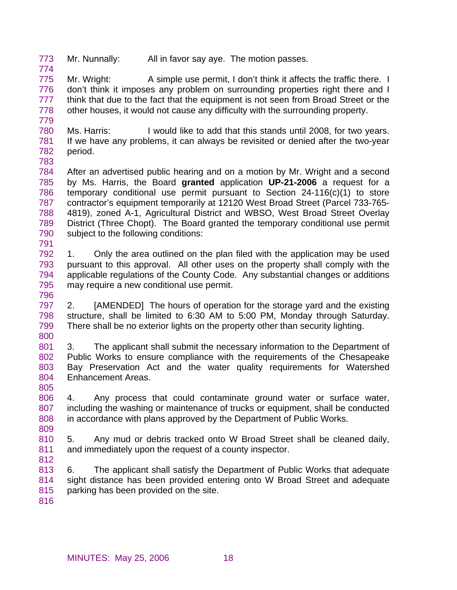773 774 Mr. Nunnally: All in favor say aye. The motion passes.

775 776 777 778 779 Mr. Wright: A simple use permit, I don't think it affects the traffic there. I don't think it imposes any problem on surrounding properties right there and I think that due to the fact that the equipment is not seen from Broad Street or the other houses, it would not cause any difficulty with the surrounding property.

780 781 782 Ms. Harris: I would like to add that this stands until 2008, for two years. If we have any problems, it can always be revisited or denied after the two-year period.

783

784 785 786 787 788 789 790 791 After an advertised public hearing and on a motion by Mr. Wright and a second by Ms. Harris, the Board **granted** application **UP-21-2006** a request for a temporary conditional use permit pursuant to Section 24-116(c)(1) to store contractor's equipment temporarily at 12120 West Broad Street (Parcel 733-765- 4819), zoned A-1, Agricultural District and WBSO, West Broad Street Overlay District (Three Chopt). The Board granted the temporary conditional use permit subject to the following conditions:

792 793 794 795 1. Only the area outlined on the plan filed with the application may be used pursuant to this approval. All other uses on the property shall comply with the applicable regulations of the County Code. Any substantial changes or additions may require a new conditional use permit.

796

797 798 799 800 2. [AMENDED] The hours of operation for the storage yard and the existing structure, shall be limited to 6:30 AM to 5:00 PM, Monday through Saturday. There shall be no exterior lights on the property other than security lighting.

801 802 803 804 3. The applicant shall submit the necessary information to the Department of Public Works to ensure compliance with the requirements of the Chesapeake Bay Preservation Act and the water quality requirements for Watershed Enhancement Areas.

806 807 808 4. Any process that could contaminate ground water or surface water, including the washing or maintenance of trucks or equipment, shall be conducted in accordance with plans approved by the Department of Public Works.

809

805

810 811 5. Any mud or debris tracked onto W Broad Street shall be cleaned daily, and immediately upon the request of a county inspector.

812

813 814 815 6. The applicant shall satisfy the Department of Public Works that adequate sight distance has been provided entering onto W Broad Street and adequate parking has been provided on the site.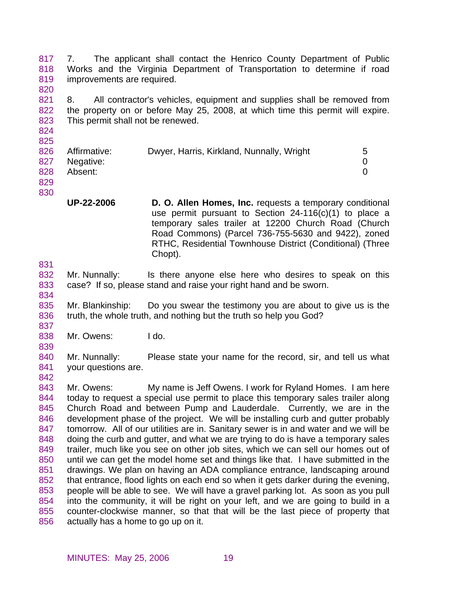817 818 819 820 7. The applicant shall contact the Henrico County Department of Public Works and the Virginia Department of Transportation to determine if road improvements are required.

821 822 823 8. All contractor's vehicles, equipment and supplies shall be removed from the property on or before May 25, 2008, at which time this permit will expire. This permit shall not be renewed.

| $-$ |                  |                                           |   |
|-----|------------------|-------------------------------------------|---|
|     | 826 Affirmative: | Dwyer, Harris, Kirkland, Nunnally, Wright | 5 |
|     | 827 Negative:    |                                           |   |
| 828 | Absent:          |                                           |   |
|     |                  |                                           |   |

829 830

824 825

> **UP-22-2006 D. O. Allen Homes, Inc.** requests a temporary conditional use permit pursuant to Section 24-116(c)(1) to place a temporary sales trailer at 12200 Church Road (Church Road Commons) (Parcel 736-755-5630 and 9422), zoned RTHC, Residential Townhouse District (Conditional) (Three Chopt).

831

842

- 832 833 834 Mr. Nunnally: Is there anyone else here who desires to speak on this case? If so, please stand and raise your right hand and be sworn.
- 835 836 837 Mr. Blankinship: Do you swear the testimony you are about to give us is the truth, the whole truth, and nothing but the truth so help you God?
- 838 Mr. Owens: I do.
- 839 840 841 Mr. Nunnally: Please state your name for the record, sir, and tell us what your questions are.

843 844 845 846 847 848 849 850 851 852 853 854 855 856 Mr. Owens: My name is Jeff Owens. I work for Ryland Homes. I am here today to request a special use permit to place this temporary sales trailer along Church Road and between Pump and Lauderdale. Currently, we are in the development phase of the project. We will be installing curb and gutter probably tomorrow. All of our utilities are in. Sanitary sewer is in and water and we will be doing the curb and gutter, and what we are trying to do is have a temporary sales trailer, much like you see on other job sites, which we can sell our homes out of until we can get the model home set and things like that. I have submitted in the drawings. We plan on having an ADA compliance entrance, landscaping around that entrance, flood lights on each end so when it gets darker during the evening, people will be able to see. We will have a gravel parking lot. As soon as you pull into the community, it will be right on your left, and we are going to build in a counter-clockwise manner, so that that will be the last piece of property that actually has a home to go up on it.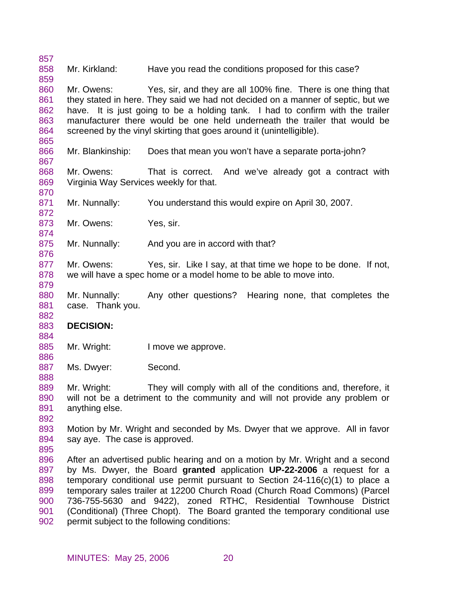857 858 859 Mr. Kirkland: Have you read the conditions proposed for this case?

860 861 862 863 864 Mr. Owens: Yes, sir, and they are all 100% fine. There is one thing that they stated in here. They said we had not decided on a manner of septic, but we have. It is just going to be a holding tank. I had to confirm with the trailer manufacturer there would be one held underneath the trailer that would be screened by the vinyl skirting that goes around it (unintelligible).

866 Mr. Blankinship: Does that mean you won't have a separate porta-john?

868 869 Mr. Owens: That is correct. And we've already got a contract with Virginia Way Services weekly for that.

871 Mr. Nunnally: You understand this would expire on April 30, 2007.

873 Mr. Owens: Yes, sir.

875 Mr. Nunnally: And you are in accord with that?

877 878 Mr. Owens: Yes, sir. Like I say, at that time we hope to be done. If not, we will have a spec home or a model home to be able to move into.

880 881 Mr. Nunnally: Any other questions? Hearing none, that completes the case. Thank you.

## 883 **DECISION:**

885 Mr. Wright: I move we approve.

887 Ms. Dwyer: Second.

889 890 891 Mr. Wright: They will comply with all of the conditions and, therefore, it will not be a detriment to the community and will not provide any problem or anything else.

892

895

865

867

870

872

874

876

879

882

884

886

888

893 894 Motion by Mr. Wright and seconded by Ms. Dwyer that we approve. All in favor say aye. The case is approved.

896 897 898 899 900 901 902 After an advertised public hearing and on a motion by Mr. Wright and a second by Ms. Dwyer, the Board **granted** application **UP-22-2006** a request for a temporary conditional use permit pursuant to Section 24-116(c)(1) to place a temporary sales trailer at 12200 Church Road (Church Road Commons) (Parcel 736-755-5630 and 9422), zoned RTHC, Residential Townhouse District (Conditional) (Three Chopt). The Board granted the temporary conditional use permit subject to the following conditions: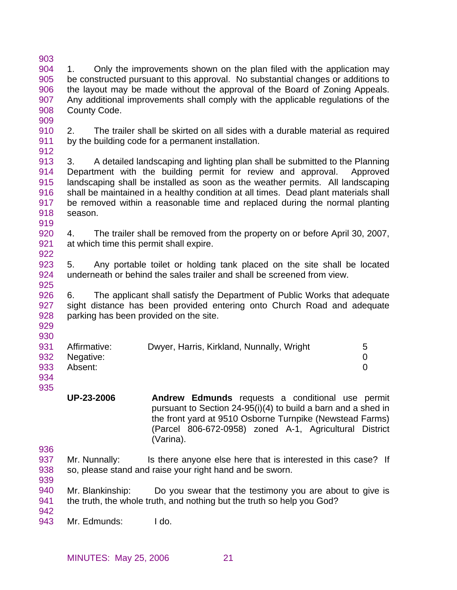903 904 905 906 907 908 909 1. Only the improvements shown on the plan filed with the application may be constructed pursuant to this approval. No substantial changes or additions to the layout may be made without the approval of the Board of Zoning Appeals. Any additional improvements shall comply with the applicable regulations of the County Code.

910 911 2. The trailer shall be skirted on all sides with a durable material as required by the building code for a permanent installation.

912

913 914 915 916 917 918 919 3. A detailed landscaping and lighting plan shall be submitted to the Planning Department with the building permit for review and approval. Approved landscaping shall be installed as soon as the weather permits. All landscaping shall be maintained in a healthy condition at all times. Dead plant materials shall be removed within a reasonable time and replaced during the normal planting season.

920 921 922 4. The trailer shall be removed from the property on or before April 30, 2007, at which time this permit shall expire.

923 924 925 5. Any portable toilet or holding tank placed on the site shall be located underneath or behind the sales trailer and shall be screened from view.

926 927 928 6. The applicant shall satisfy the Department of Public Works that adequate sight distance has been provided entering onto Church Road and adequate parking has been provided on the site.

929 930

|                      | 931 Affirmative: | Dwyer, Harris, Kirkland, Nunnally, Wright |  |
|----------------------|------------------|-------------------------------------------|--|
|                      | 932 Negative:    |                                           |  |
|                      | 933 Absent:      |                                           |  |
| $\sim$ $\sim$ $\sim$ |                  |                                           |  |

934 935

- **UP-23-2006 Andrew Edmunds** requests a conditional use permit pursuant to Section 24-95(i)(4) to build a barn and a shed in the front yard at 9510 Osborne Turnpike (Newstead Farms) (Parcel 806-672-0958) zoned A-1, Agricultural District (Varina).
- 936
- 937 Mr. Nunnally: Is there anyone else here that is interested in this case? If so, please stand and raise your right hand and be sworn.
- 938 939
- 940 941 Mr. Blankinship: Do you swear that the testimony you are about to give is the truth, the whole truth, and nothing but the truth so help you God?

942 943

Mr. Edmunds: I do.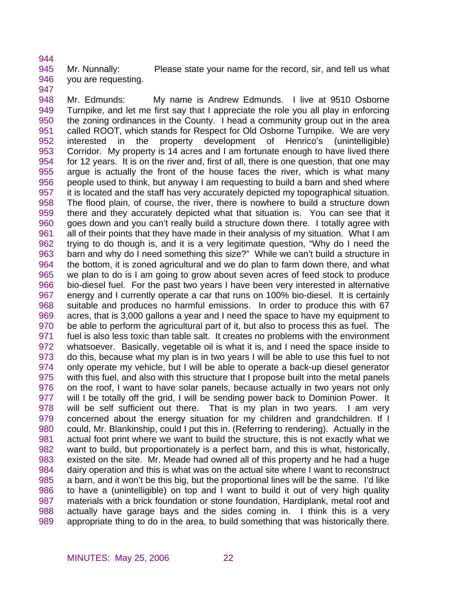945 946 Mr. Nunnally: Please state your name for the record, sir, and tell us what you are requesting.

947

944

948 949 950 951 952 953 954 955 956 957 958 959 960 961 962 963 964 965 966 967 968 969 970 971 972 973 974 975 976 977 978 979 980 981 982 983 984 985 986 987 988 989 Mr. Edmunds: My name is Andrew Edmunds. I live at 9510 Osborne Turnpike, and let me first say that I appreciate the role you all play in enforcing the zoning ordinances in the County. I head a community group out in the area called ROOT, which stands for Respect for Old Osborne Turnpike. We are very interested in the property development of Henrico's (unintelligible) Corridor. My property is 14 acres and I am fortunate enough to have lived there for 12 years. It is on the river and, first of all, there is one question, that one may argue is actually the front of the house faces the river, which is what many people used to think, but anyway I am requesting to build a barn and shed where it is located and the staff has very accurately depicted my topographical situation. The flood plain, of course, the river, there is nowhere to build a structure down there and they accurately depicted what that situation is. You can see that it goes down and you can't really build a structure down there. I totally agree with all of their points that they have made in their analysis of my situation. What I am trying to do though is, and it is a very legitimate question, "Why do I need the barn and why do I need something this size?" While we can't build a structure in the bottom, it is zoned agricultural and we do plan to farm down there, and what we plan to do is I am going to grow about seven acres of feed stock to produce bio-diesel fuel. For the past two years I have been very interested in alternative energy and I currently operate a car that runs on 100% bio-diesel. It is certainly suitable and produces no harmful emissions. In order to produce this with 67 acres, that is 3,000 gallons a year and I need the space to have my equipment to be able to perform the agricultural part of it, but also to process this as fuel. The fuel is also less toxic than table salt. It creates no problems with the environment whatsoever. Basically, vegetable oil is what it is, and I need the space inside to do this, because what my plan is in two years I will be able to use this fuel to not only operate my vehicle, but I will be able to operate a back-up diesel generator with this fuel, and also with this structure that I propose built into the metal panels on the roof, I want to have solar panels, because actually in two years not only will I be totally off the grid, I will be sending power back to Dominion Power. It will be self sufficient out there. That is my plan in two years. I am very concerned about the energy situation for my children and grandchildren. If I could, Mr. Blankinship, could I put this in. (Referring to rendering). Actually in the actual foot print where we want to build the structure, this is not exactly what we want to build, but proportionately is a perfect barn, and this is what, historically, existed on the site. Mr. Meade had owned all of this property and he had a huge dairy operation and this is what was on the actual site where I want to reconstruct a barn, and it won't be this big, but the proportional lines will be the same. I'd like to have a (unintelligible) on top and I want to build it out of very high quality materials with a brick foundation or stone foundation, Hardiplank, metal roof and actually have garage bays and the sides coming in. I think this is a very appropriate thing to do in the area, to build something that was historically there.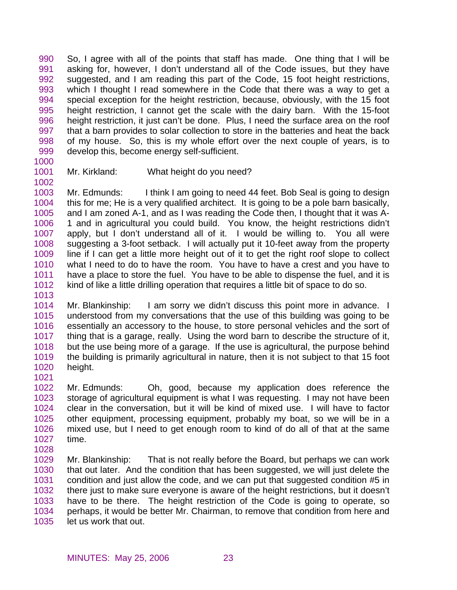990 991 992 993 994 995 996 997 998 999 So, I agree with all of the points that staff has made. One thing that I will be asking for, however, I don't understand all of the Code issues, but they have suggested, and I am reading this part of the Code, 15 foot height restrictions, which I thought I read somewhere in the Code that there was a way to get a special exception for the height restriction, because, obviously, with the 15 foot height restriction, I cannot get the scale with the dairy barn. With the 15-foot height restriction, it just can't be done. Plus, I need the surface area on the roof that a barn provides to solar collection to store in the batteries and heat the back of my house. So, this is my whole effort over the next couple of years, is to develop this, become energy self-sufficient.

1000

1002

1001

## Mr. Kirkland: What height do you need?

1003 1004 1005 1006 1007 1008 1009 1010 1011 1012 Mr. Edmunds: I think I am going to need 44 feet. Bob Seal is going to design this for me; He is a very qualified architect. It is going to be a pole barn basically, and I am zoned A-1, and as I was reading the Code then, I thought that it was A-1 and in agricultural you could build. You know, the height restrictions didn't apply, but I don't understand all of it. I would be willing to. You all were suggesting a 3-foot setback. I will actually put it 10-feet away from the property line if I can get a little more height out of it to get the right roof slope to collect what I need to do to have the room. You have to have a crest and you have to have a place to store the fuel. You have to be able to dispense the fuel, and it is kind of like a little drilling operation that requires a little bit of space to do so.

1013

1014 1015 1016 1017 1018 1019 1020 1021 Mr. Blankinship: I am sorry we didn't discuss this point more in advance. I understood from my conversations that the use of this building was going to be essentially an accessory to the house, to store personal vehicles and the sort of thing that is a garage, really. Using the word barn to describe the structure of it, but the use being more of a garage. If the use is agricultural, the purpose behind the building is primarily agricultural in nature, then it is not subject to that 15 foot height.

1022 1023 1024 1025 1026 1027 Mr. Edmunds: Oh, good, because my application does reference the storage of agricultural equipment is what I was requesting. I may not have been clear in the conversation, but it will be kind of mixed use. I will have to factor other equipment, processing equipment, probably my boat, so we will be in a mixed use, but I need to get enough room to kind of do all of that at the same time.

- 1028
- 1029 1030 1031 1032 1033 1034 1035 Mr. Blankinship: That is not really before the Board, but perhaps we can work that out later. And the condition that has been suggested, we will just delete the condition and just allow the code, and we can put that suggested condition #5 in there just to make sure everyone is aware of the height restrictions, but it doesn't have to be there. The height restriction of the Code is going to operate, so perhaps, it would be better Mr. Chairman, to remove that condition from here and let us work that out.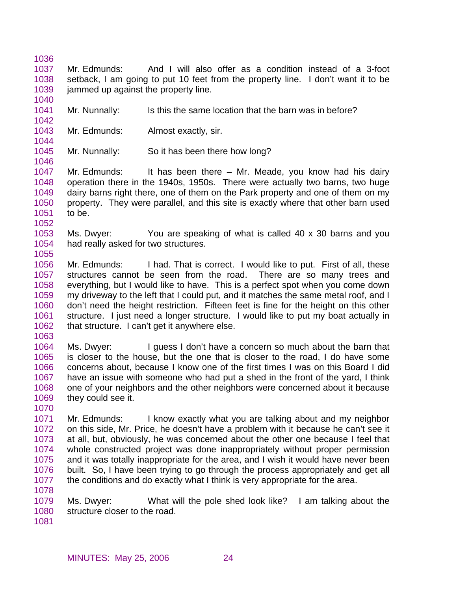- 1036
- 1037 1038 1039 1040 Mr. Edmunds: And I will also offer as a condition instead of a 3-foot setback, I am going to put 10 feet from the property line. I don't want it to be jammed up against the property line.
- 1041 Mr. Nunnally: Is this the same location that the barn was in before?
- 1042 1043 1044

1046

1052

1055

- Mr. Edmunds: Almost exactly, sir.
- 1045 Mr. Nunnally: So it has been there how long?

1047 1048 1049 1050 1051 Mr. Edmunds: It has been there – Mr. Meade, you know had his dairy operation there in the 1940s, 1950s. There were actually two barns, two huge dairy barns right there, one of them on the Park property and one of them on my property. They were parallel, and this site is exactly where that other barn used to be.

- 1053 1054 Ms. Dwyer: You are speaking of what is called 40 x 30 barns and you had really asked for two structures.
- 1056 1057 1058 1059 1060 1061 1062 Mr. Edmunds: I had. That is correct. I would like to put. First of all, these structures cannot be seen from the road. There are so many trees and everything, but I would like to have. This is a perfect spot when you come down my driveway to the left that I could put, and it matches the same metal roof, and I don't need the height restriction. Fifteen feet is fine for the height on this other structure. I just need a longer structure. I would like to put my boat actually in that structure. I can't get it anywhere else.
- 1063
- 1064 1065 1066 1067 1068 1069 Ms. Dwyer: I guess I don't have a concern so much about the barn that is closer to the house, but the one that is closer to the road, I do have some concerns about, because I know one of the first times I was on this Board I did have an issue with someone who had put a shed in the front of the yard, I think one of your neighbors and the other neighbors were concerned about it because they could see it.
- 1070
- 1071 1072 1073 1074 1075 1076 1077 Mr. Edmunds: I know exactly what you are talking about and my neighbor on this side, Mr. Price, he doesn't have a problem with it because he can't see it at all, but, obviously, he was concerned about the other one because I feel that whole constructed project was done inappropriately without proper permission and it was totally inappropriate for the area, and I wish it would have never been built. So, I have been trying to go through the process appropriately and get all the conditions and do exactly what I think is very appropriate for the area.
- 1079 1080 Ms. Dwyer: What will the pole shed look like? I am talking about the structure closer to the road.
- 1081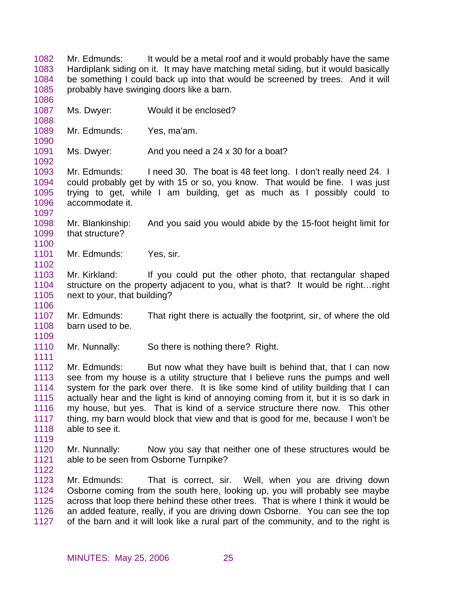1083 1084 1085 1086 1087 1088 1089 1090 1091 1092 1093 1094 1095 1096 1097 1098 1099 1100 1101 1102 Hardiplank siding on it. It may have matching metal siding, but it would basically be something I could back up into that would be screened by trees. And it will probably have swinging doors like a barn. Ms. Dwyer: Would it be enclosed? Mr. Edmunds: Yes, ma'am. Ms. Dwyer: And you need a 24 x 30 for a boat? Mr. Edmunds: I need 30. The boat is 48 feet long. I don't really need 24. I could probably get by with 15 or so, you know. That would be fine. I was just trying to get, while I am building, get as much as I possibly could to accommodate it. Mr. Blankinship: And you said you would abide by the 15-foot height limit for that structure? Mr. Edmunds: Yes, sir.

Mr. Edmunds: It would be a metal roof and it would probably have the same

1103 1104 1105 1106 Mr. Kirkland: If you could put the other photo, that rectangular shaped structure on the property adjacent to you, what is that? It would be right…right next to your, that building?

1107 1108 1109 Mr. Edmunds: That right there is actually the footprint, sir, of where the old barn used to be.

1110 Mr. Nunnally: So there is nothing there? Right.

1112 1113 1114 1115 1116 1117 1118 Mr. Edmunds: But now what they have built is behind that, that I can now see from my house is a utility structure that I believe runs the pumps and well system for the park over there. It is like some kind of utility building that I can actually hear and the light is kind of annoying coming from it, but it is so dark in my house, but yes. That is kind of a service structure there now. This other thing, my barn would block that view and that is good for me, because I won't be able to see it.

1120 1121 Mr. Nunnally: Now you say that neither one of these structures would be able to be seen from Osborne Turnpike?

1122

1119

1111

1082

1123 1124 1125 1126 1127 Mr. Edmunds: That is correct, sir. Well, when you are driving down Osborne coming from the south here, looking up, you will probably see maybe across that loop there behind these other trees. That is where I think it would be an added feature, really, if you are driving down Osborne. You can see the top of the barn and it will look like a rural part of the community, and to the right is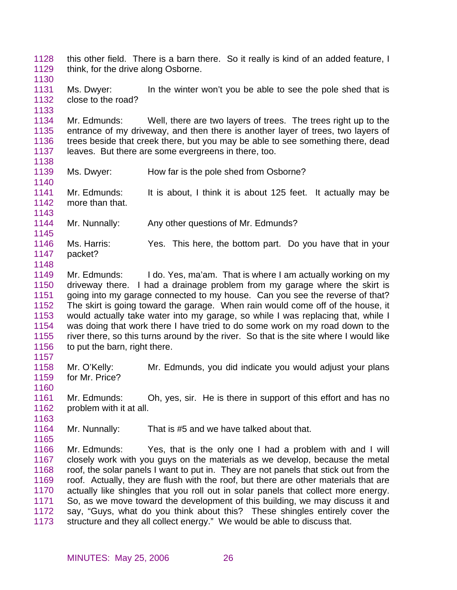1128 1129 this other field. There is a barn there. So it really is kind of an added feature, I think, for the drive along Osborne.

1130

1131 1132 Ms. Dwyer: In the winter won't you be able to see the pole shed that is close to the road?

1133

1134 1135 1136 1137 Mr. Edmunds: Well, there are two layers of trees. The trees right up to the entrance of my driveway, and then there is another layer of trees, two layers of trees beside that creek there, but you may be able to see something there, dead leaves. But there are some evergreens in there, too.

1138

1143

- 1139 1140 Ms. Dwyer: How far is the pole shed from Osborne?
- 1141 1142 Mr. Edmunds: It is about, I think it is about 125 feet. It actually may be more than that.
- 1144 Mr. Nunnally: Any other questions of Mr. Edmunds?
- 1145 1146 1147 Ms. Harris: Yes. This here, the bottom part. Do you have that in your packet?
- 1148
- 1149 1150 1151 1152 1153 1154 1155 1156 Mr. Edmunds: I do. Yes, ma'am. That is where I am actually working on my driveway there. I had a drainage problem from my garage where the skirt is going into my garage connected to my house. Can you see the reverse of that? The skirt is going toward the garage. When rain would come off of the house, it would actually take water into my garage, so while I was replacing that, while I was doing that work there I have tried to do some work on my road down to the river there, so this turns around by the river. So that is the site where I would like to put the barn, right there.
- 1158 1159 Mr. O'Kelly: Mr. Edmunds, you did indicate you would adjust your plans for Mr. Price?
- 1160 1161 1162 Mr. Edmunds: Oh, yes, sir. He is there in support of this effort and has no problem with it at all.
- 1163

1165

- 1164 Mr. Nunnally: That is #5 and we have talked about that.
- 1166 1167 1168 1169 1170 1171 1172 1173 Mr. Edmunds: Yes, that is the only one I had a problem with and I will closely work with you guys on the materials as we develop, because the metal roof, the solar panels I want to put in. They are not panels that stick out from the roof. Actually, they are flush with the roof, but there are other materials that are actually like shingles that you roll out in solar panels that collect more energy. So, as we move toward the development of this building, we may discuss it and say, "Guys, what do you think about this? These shingles entirely cover the structure and they all collect energy." We would be able to discuss that.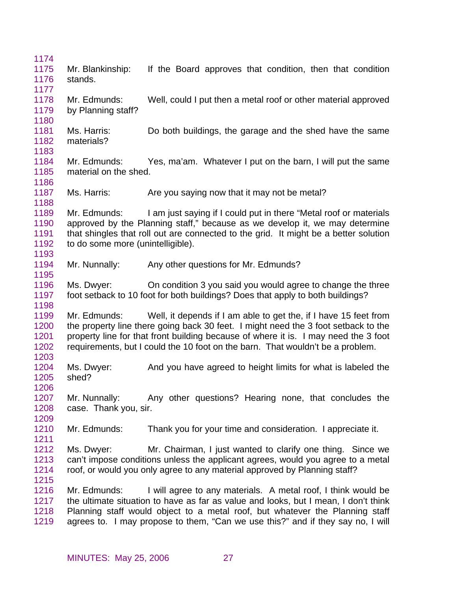| 1174<br>1175<br>1176<br>1177         | Mr. Blankinship:<br>stands.                       | If the Board approves that condition, then that condition                                                                                                                                                                                                                                                                       |
|--------------------------------------|---------------------------------------------------|---------------------------------------------------------------------------------------------------------------------------------------------------------------------------------------------------------------------------------------------------------------------------------------------------------------------------------|
| 1178<br>1179<br>1180                 | Mr. Edmunds:<br>by Planning staff?                | Well, could I put then a metal roof or other material approved                                                                                                                                                                                                                                                                  |
| 1181<br>1182<br>1183                 | Ms. Harris:<br>materials?                         | Do both buildings, the garage and the shed have the same                                                                                                                                                                                                                                                                        |
| 1184<br>1185<br>1186                 | Mr. Edmunds:<br>material on the shed.             | Yes, ma'am. Whatever I put on the barn, I will put the same                                                                                                                                                                                                                                                                     |
| 1187<br>1188                         | Ms. Harris:                                       | Are you saying now that it may not be metal?                                                                                                                                                                                                                                                                                    |
| 1189<br>1190<br>1191<br>1192<br>1193 | Mr. Edmunds:<br>to do some more (unintelligible). | I am just saying if I could put in there "Metal roof or materials<br>approved by the Planning staff," because as we develop it, we may determine<br>that shingles that roll out are connected to the grid. It might be a better solution                                                                                        |
| 1194<br>1195                         | Mr. Nunnally:                                     | Any other questions for Mr. Edmunds?                                                                                                                                                                                                                                                                                            |
| 1196<br>1197<br>1198                 |                                                   | Ms. Dwyer: On condition 3 you said you would agree to change the three<br>foot setback to 10 foot for both buildings? Does that apply to both buildings?                                                                                                                                                                        |
| 1199<br>1200<br>1201<br>1202<br>1203 | Mr. Edmunds:                                      | Well, it depends if I am able to get the, if I have 15 feet from<br>the property line there going back 30 feet. I might need the 3 foot setback to the<br>property line for that front building because of where it is. I may need the 3 foot<br>requirements, but I could the 10 foot on the barn. That wouldn't be a problem. |
| 1204<br>1205<br>1206                 | Ms. Dwyer:<br>shed?                               | And you have agreed to height limits for what is labeled the                                                                                                                                                                                                                                                                    |
| 1207<br>1208<br>1209                 | Mr. Nunnally:<br>case. Thank you, sir.            | Any other questions? Hearing none, that concludes the                                                                                                                                                                                                                                                                           |
| 1210<br>1211                         | Mr. Edmunds:                                      | Thank you for your time and consideration. I appreciate it.                                                                                                                                                                                                                                                                     |
| 1212<br>1213<br>1214<br>1215         | Ms. Dwyer:                                        | Mr. Chairman, I just wanted to clarify one thing. Since we<br>can't impose conditions unless the applicant agrees, would you agree to a metal<br>roof, or would you only agree to any material approved by Planning staff?                                                                                                      |
| 1216<br>1217<br>1218<br>1219         | Mr. Edmunds:                                      | I will agree to any materials. A metal roof, I think would be<br>the ultimate situation to have as far as value and looks, but I mean, I don't think<br>Planning staff would object to a metal roof, but whatever the Planning staff<br>agrees to. I may propose to them, "Can we use this?" and if they say no, I will         |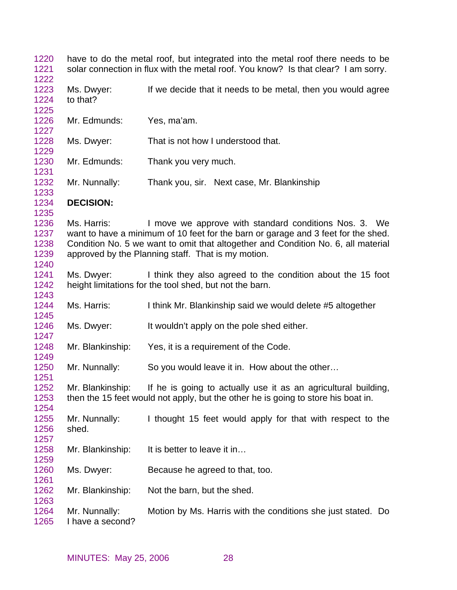have to do the metal roof, but integrated into the metal roof there needs to be solar connection in flux with the metal roof. You know? Is that clear? I am sorry. Ms. Dwyer: If we decide that it needs to be metal, then you would agree to that? Mr. Edmunds: Yes, ma'am. Ms. Dwyer: That is not how I understood that. Mr. Edmunds: Thank you very much. Mr. Nunnally: Thank you, sir. Next case, Mr. Blankinship **DECISION:**  Ms. Harris: I move we approve with standard conditions Nos. 3. We want to have a minimum of 10 feet for the barn or garage and 3 feet for the shed. Condition No. 5 we want to omit that altogether and Condition No. 6, all material approved by the Planning staff. That is my motion. Ms. Dwyer: I think they also agreed to the condition about the 15 foot height limitations for the tool shed, but not the barn. Ms. Harris: I think Mr. Blankinship said we would delete #5 altogether Ms. Dwyer: It wouldn't apply on the pole shed either. Mr. Blankinship: Yes, it is a requirement of the Code. Mr. Nunnally: So you would leave it in. How about the other… Mr. Blankinship: If he is going to actually use it as an agricultural building, then the 15 feet would not apply, but the other he is going to store his boat in. Mr. Nunnally: I thought 15 feet would apply for that with respect to the shed. Mr. Blankinship: It is better to leave it in... Ms. Dwyer: Because he agreed to that, too. Mr. Blankinship: Not the barn, but the shed. Mr. Nunnally: Motion by Ms. Harris with the conditions she just stated. Do I have a second?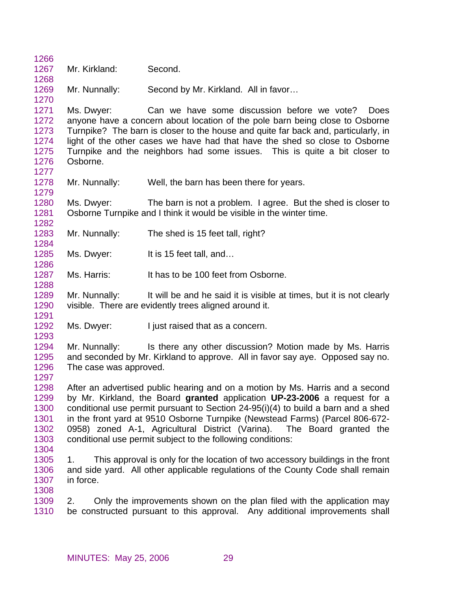| 1266         |                        |                                                                                    |
|--------------|------------------------|------------------------------------------------------------------------------------|
| 1267         | Mr. Kirkland:          | Second.                                                                            |
| 1268         |                        |                                                                                    |
| 1269         | Mr. Nunnally:          | Second by Mr. Kirkland. All in favor                                               |
| 1270         |                        |                                                                                    |
| 1271         | Ms. Dwyer:             | Can we have some discussion before we vote?<br><b>Does</b>                         |
| 1272         |                        | anyone have a concern about location of the pole barn being close to Osborne       |
| 1273         |                        | Turnpike? The barn is closer to the house and quite far back and, particularly, in |
| 1274         |                        | light of the other cases we have had that have the shed so close to Osborne        |
| 1275         |                        | Turnpike and the neighbors had some issues. This is quite a bit closer to          |
| 1276         | Osborne.               |                                                                                    |
| 1277         |                        |                                                                                    |
| 1278         | Mr. Nunnally:          | Well, the barn has been there for years.                                           |
| 1279         |                        |                                                                                    |
| 1280         | Ms. Dwyer:             | The barn is not a problem. I agree. But the shed is closer to                      |
| 1281         |                        | Osborne Turnpike and I think it would be visible in the winter time.               |
| 1282         |                        |                                                                                    |
| 1283         | Mr. Nunnally:          | The shed is 15 feet tall, right?                                                   |
| 1284         |                        |                                                                                    |
| 1285<br>1286 | Ms. Dwyer:             | It is 15 feet tall, and                                                            |
| 1287         | Ms. Harris:            | It has to be 100 feet from Osborne.                                                |
| 1288         |                        |                                                                                    |
| 1289         | Mr. Nunnally:          | It will be and he said it is visible at times, but it is not clearly               |
| 1290         |                        | visible. There are evidently trees aligned around it.                              |
| 1291         |                        |                                                                                    |
| 1292         | Ms. Dwyer:             | I just raised that as a concern.                                                   |
| 1293         |                        |                                                                                    |
| 1294         | Mr. Nunnally:          | Is there any other discussion? Motion made by Ms. Harris                           |
| 1295         |                        | and seconded by Mr. Kirkland to approve. All in favor say aye. Opposed say no.     |
| 1296         | The case was approved. |                                                                                    |
| 1297         |                        |                                                                                    |
| 1298         |                        | After an advertised public hearing and on a motion by Ms. Harris and a second      |
| 1299         |                        | by Mr. Kirkland, the Board granted application UP-23-2006 a request for a          |
| 1300         |                        | conditional use permit pursuant to Section 24-95(i)(4) to build a barn and a shed  |
| 1301         |                        | in the front yard at 9510 Osborne Turnpike (Newstead Farms) (Parcel 806-672-       |
| 1302         |                        | 0958) zoned A-1, Agricultural District (Varina). The Board granted the             |
| 1303         |                        | conditional use permit subject to the following conditions:                        |
| 1304         |                        |                                                                                    |
| 1305         | 1.                     | This approval is only for the location of two accessory buildings in the front     |
| 1306         |                        | and side yard. All other applicable regulations of the County Code shall remain    |
| 1307         | in force.              |                                                                                    |
| 1308         |                        |                                                                                    |
| 1309         | 2.                     | Only the improvements shown on the plan filed with the application may             |
| 1310         |                        | be constructed pursuant to this approval. Any additional improvements shall        |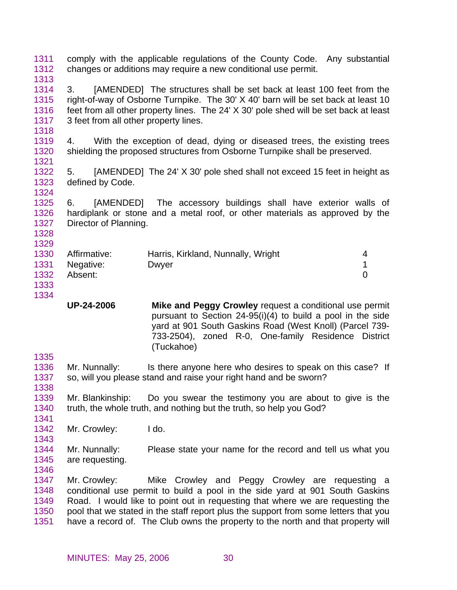1311 1312 1313 1314 1315 1316 1317 1318 1319 1320 1321 1322 1323 1324 1325 1326 1327 1328 1329 1330 1331 1332 1333 1334 1335 1336 1337 1338 1339 1340 1341 1342 1343 1344 1345 1346 1347 1348 1349 1350 1351 comply with the applicable regulations of the County Code. Any substantial changes or additions may require a new conditional use permit. 3. [AMENDED] The structures shall be set back at least 100 feet from the right-of-way of Osborne Turnpike. The 30' X 40' barn will be set back at least 10 feet from all other property lines. The 24' X 30' pole shed will be set back at least 3 feet from all other property lines. 4. With the exception of dead, dying or diseased trees, the existing trees shielding the proposed structures from Osborne Turnpike shall be preserved. 5. [AMENDED] The 24' X 30' pole shed shall not exceed 15 feet in height as defined by Code. 6. [AMENDED] The accessory buildings shall have exterior walls of hardiplank or stone and a metal roof, or other materials as approved by the Director of Planning. Affirmative: Harris, Kirkland, Nunnally, Wright 4 Negative: Dwyer 2009 Development of the UNESCONDING 1 Absent: 0 **UP-24-2006 Mike and Peggy Crowley** request a conditional use permit pursuant to Section 24-95(i)(4) to build a pool in the side yard at 901 South Gaskins Road (West Knoll) (Parcel 739- 733-2504), zoned R-0, One-family Residence District (Tuckahoe) Mr. Nunnally: Is there anyone here who desires to speak on this case? If so, will you please stand and raise your right hand and be sworn? Mr. Blankinship: Do you swear the testimony you are about to give is the truth, the whole truth, and nothing but the truth, so help you God? Mr. Crowley: I do. Mr. Nunnally: Please state your name for the record and tell us what you are requesting. Mr. Crowley: Mike Crowley and Peggy Crowley are requesting a conditional use permit to build a pool in the side yard at 901 South Gaskins Road. I would like to point out in requesting that where we are requesting the pool that we stated in the staff report plus the support from some letters that you have a record of. The Club owns the property to the north and that property will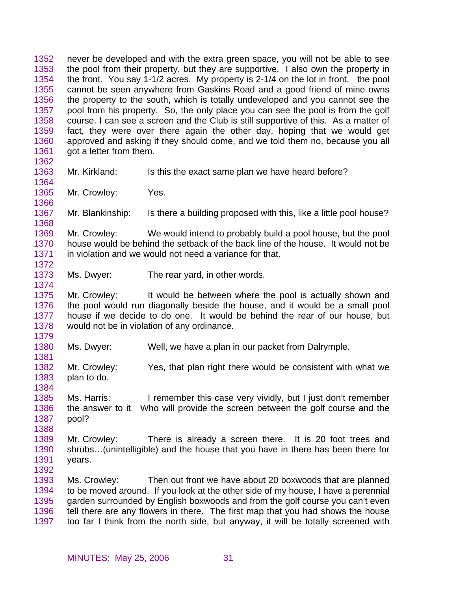1352 1353 1354 1355 1356 1357 1358 1359 1360 1361 1362 1363 1364 1365 1366 1367 1368 1369 1370 1371 1372 1373 1374 1375 1376 1377 1378 1379 1380 1381 1382 1383 1384 1385 1386 1387 1388 1389 1390 1391 1392 1393 1394 1395 1396 1397 never be developed and with the extra green space, you will not be able to see the pool from their property, but they are supportive. I also own the property in the front. You say 1-1/2 acres. My property is 2-1/4 on the lot in front, the pool cannot be seen anywhere from Gaskins Road and a good friend of mine owns the property to the south, which is totally undeveloped and you cannot see the pool from his property. So, the only place you can see the pool is from the golf course. I can see a screen and the Club is still supportive of this. As a matter of fact, they were over there again the other day, hoping that we would get approved and asking if they should come, and we told them no, because you all got a letter from them. Mr. Kirkland: Is this the exact same plan we have heard before? Mr. Crowley: Yes. Mr. Blankinship: Is there a building proposed with this, like a little pool house? Mr. Crowley: We would intend to probably build a pool house, but the pool house would be behind the setback of the back line of the house. It would not be in violation and we would not need a variance for that. Ms. Dwyer: The rear yard, in other words. Mr. Crowley: It would be between where the pool is actually shown and the pool would run diagonally beside the house, and it would be a small pool house if we decide to do one. It would be behind the rear of our house, but would not be in violation of any ordinance. Ms. Dwyer: Well, we have a plan in our packet from Dalrymple. Mr. Crowley: Yes, that plan right there would be consistent with what we plan to do. Ms. Harris: I remember this case very vividly, but I just don't remember the answer to it. Who will provide the screen between the golf course and the pool? Mr. Crowley: There is already a screen there. It is 20 foot trees and shrubs…(unintelligible) and the house that you have in there has been there for years. Ms. Crowley: Then out front we have about 20 boxwoods that are planned to be moved around. If you look at the other side of my house, I have a perennial garden surrounded by English boxwoods and from the golf course you can't even tell there are any flowers in there. The first map that you had shows the house too far I think from the north side, but anyway, it will be totally screened with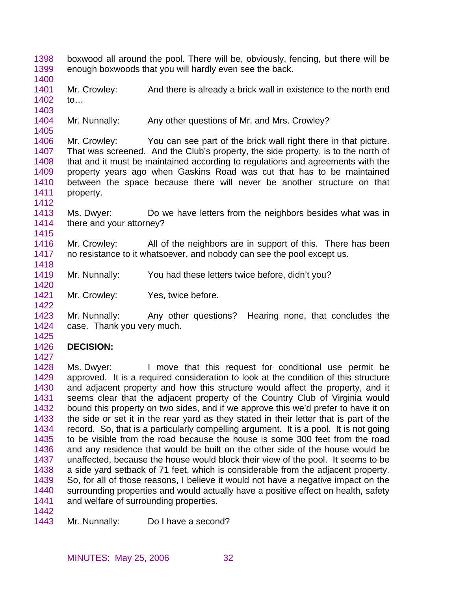- 1398 1399 boxwood all around the pool. There will be, obviously, fencing, but there will be enough boxwoods that you will hardly even see the back.
- 1400

1412

1415

1418

1420

1422

1401 1402 Mr. Crowley: And there is already a brick wall in existence to the north end to…

1403

1404 1405 Mr. Nunnally: Any other questions of Mr. and Mrs. Crowley?

1406 1407 1408 1409 1410 1411 Mr. Crowley: You can see part of the brick wall right there in that picture. That was screened. And the Club's property, the side property, is to the north of that and it must be maintained according to regulations and agreements with the property years ago when Gaskins Road was cut that has to be maintained between the space because there will never be another structure on that property.

- 1413 1414 Ms. Dwyer: Do we have letters from the neighbors besides what was in there and your attorney?
- 1416 1417 Mr. Crowley: All of the neighbors are in support of this. There has been no resistance to it whatsoever, and nobody can see the pool except us.
- 1419 Mr. Nunnally: You had these letters twice before, didn't you?
- 1421 Mr. Crowley: Yes, twice before.

1423 1424 Mr. Nunnally: Any other questions? Hearing none, that concludes the case. Thank you very much.

1425

## 1426 **DECISION:**

1427

1428 1429 1430 1431 1432 1433 1434 1435 1436 1437 1438 1439 1440 1441 Ms. Dwyer: I move that this request for conditional use permit be approved. It is a required consideration to look at the condition of this structure and adjacent property and how this structure would affect the property, and it seems clear that the adjacent property of the Country Club of Virginia would bound this property on two sides, and if we approve this we'd prefer to have it on the side or set it in the rear yard as they stated in their letter that is part of the record. So, that is a particularly compelling argument. It is a pool. It is not going to be visible from the road because the house is some 300 feet from the road and any residence that would be built on the other side of the house would be unaffected, because the house would block their view of the pool. It seems to be a side yard setback of 71 feet, which is considerable from the adjacent property. So, for all of those reasons, I believe it would not have a negative impact on the surrounding properties and would actually have a positive effect on health, safety and welfare of surrounding properties.

1442

1443 Mr. Nunnally: Do I have a second?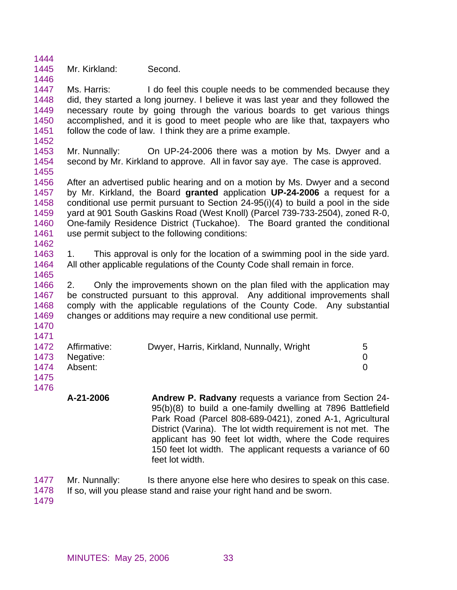1444 1445 Mr. Kirkland: Second.

1447 1448 1449 1450 1451 Ms. Harris: I do feel this couple needs to be commended because they did, they started a long journey. I believe it was last year and they followed the necessary route by going through the various boards to get various things accomplished, and it is good to meet people who are like that, taxpayers who follow the code of law. I think they are a prime example.

1453 1454 1455 Mr. Nunnally: On UP-24-2006 there was a motion by Ms. Dwyer and a second by Mr. Kirkland to approve. All in favor say aye. The case is approved.

1456 1457 1458 1459 1460 1461 1462 After an advertised public hearing and on a motion by Ms. Dwyer and a second by Mr. Kirkland, the Board **granted** application **UP-24-2006** a request for a conditional use permit pursuant to Section 24-95(i)(4) to build a pool in the side yard at 901 South Gaskins Road (West Knoll) (Parcel 739-733-2504), zoned R-0, One-family Residence District (Tuckahoe). The Board granted the conditional use permit subject to the following conditions:

1463 1464 1465 1. This approval is only for the location of a swimming pool in the side yard. All other applicable regulations of the County Code shall remain in force.

1466 1467 1468 1469 2. Only the improvements shown on the plan filed with the application may be constructed pursuant to this approval. Any additional improvements shall comply with the applicable regulations of the County Code. Any substantial changes or additions may require a new conditional use permit.

1470 1471

1446

1452

|      | 1472 Affirmative: | Dwyer, Harris, Kirkland, Nunnally, Wright |  |
|------|-------------------|-------------------------------------------|--|
|      | 1473 Negative:    |                                           |  |
| 1474 | Absent:           |                                           |  |
|      |                   |                                           |  |

1475 1476

> **A-21-2006 Andrew P. Radvany** requests a variance from Section 24- 95(b)(8) to build a one-family dwelling at 7896 Battlefield Park Road (Parcel 808-689-0421), zoned A-1, Agricultural District (Varina). The lot width requirement is not met. The applicant has 90 feet lot width, where the Code requires 150 feet lot width. The applicant requests a variance of 60 feet lot width.

1477 Mr. Nunnally: Is there anyone else here who desires to speak on this case.

1478 If so, will you please stand and raise your right hand and be sworn.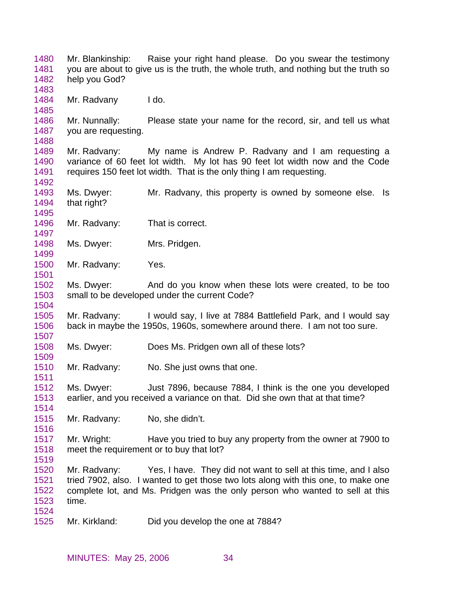1480 1481 1482 1483 1484 1485 1486 1487 1488 1489 1490 1491 1492 1493 1494 1495 1496 1497 1498 1499 1500 1501 1502 1503 1504 1505 1506 1507 1508 1509 1510 1511 1512 1513 1514 1515 1516 1517 1518 1519 1520 1521 1522 1523 1524 1525 Mr. Blankinship: Raise your right hand please. Do you swear the testimony you are about to give us is the truth, the whole truth, and nothing but the truth so help you God? Mr. Radvany l do. Mr. Nunnally: Please state your name for the record, sir, and tell us what you are requesting. Mr. Radvany: My name is Andrew P. Radvany and I am requesting a variance of 60 feet lot width. My lot has 90 feet lot width now and the Code requires 150 feet lot width. That is the only thing I am requesting. Ms. Dwyer: Mr. Radvany, this property is owned by someone else. Is that right? Mr. Radvany: That is correct. Ms. Dwyer: Mrs. Pridgen. Mr. Radvany: Yes. Ms. Dwyer: And do you know when these lots were created, to be too small to be developed under the current Code? Mr. Radvany: I would say, I live at 7884 Battlefield Park, and I would say back in maybe the 1950s, 1960s, somewhere around there. I am not too sure. Ms. Dwyer: Does Ms. Pridgen own all of these lots? Mr. Radvany: No. She just owns that one. Ms. Dwyer: Just 7896, because 7884, I think is the one you developed earlier, and you received a variance on that. Did she own that at that time? Mr. Radvany: No, she didn't. Mr. Wright: Have you tried to buy any property from the owner at 7900 to meet the requirement or to buy that lot? Mr. Radvany: Yes, I have. They did not want to sell at this time, and I also tried 7902, also. I wanted to get those two lots along with this one, to make one complete lot, and Ms. Pridgen was the only person who wanted to sell at this time. Mr. Kirkland: Did you develop the one at 7884?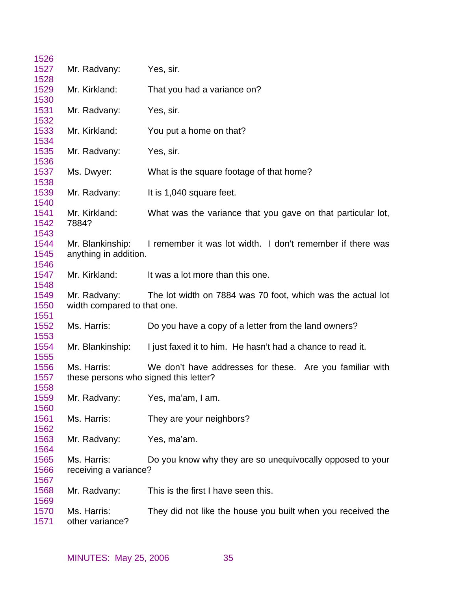| 1526         |                                       |                                                             |
|--------------|---------------------------------------|-------------------------------------------------------------|
| 1527         | Mr. Radvany:                          | Yes, sir.                                                   |
| 1528         |                                       |                                                             |
| 1529         | Mr. Kirkland:                         | That you had a variance on?                                 |
| 1530         |                                       |                                                             |
| 1531         | Mr. Radvany:                          | Yes, sir.                                                   |
| 1532         |                                       |                                                             |
| 1533         | Mr. Kirkland:                         | You put a home on that?                                     |
| 1534         |                                       |                                                             |
| 1535         | Mr. Radvany:                          | Yes, sir.                                                   |
| 1536         |                                       |                                                             |
| 1537         | Ms. Dwyer:                            | What is the square footage of that home?                    |
| 1538         |                                       |                                                             |
| 1539         | Mr. Radvany:                          | It is 1,040 square feet.                                    |
| 1540         |                                       |                                                             |
| 1541         | Mr. Kirkland:                         | What was the variance that you gave on that particular lot, |
| 1542         | 7884?                                 |                                                             |
| 1543         |                                       |                                                             |
| 1544         | Mr. Blankinship:                      | I remember it was lot width. I don't remember if there was  |
| 1545<br>1546 | anything in addition.                 |                                                             |
| 1547         | Mr. Kirkland:                         | It was a lot more than this one.                            |
| 1548         |                                       |                                                             |
| 1549         | Mr. Radvany:                          | The lot width on 7884 was 70 foot, which was the actual lot |
| 1550         | width compared to that one.           |                                                             |
| 1551         |                                       |                                                             |
| 1552         | Ms. Harris:                           | Do you have a copy of a letter from the land owners?        |
| 1553         |                                       |                                                             |
| 1554         | Mr. Blankinship:                      | I just faxed it to him. He hasn't had a chance to read it.  |
| 1555         |                                       |                                                             |
| 1556         | Ms. Harris:                           | We don't have addresses for these. Are you familiar with    |
| 1557         | these persons who signed this letter? |                                                             |
| 1558         |                                       |                                                             |
| 1559         | Mr. Radvany:                          | Yes, ma'am, I am.                                           |
| 1560         |                                       |                                                             |
| 1561         | Ms. Harris:                           | They are your neighbors?                                    |
| 1562         |                                       |                                                             |
| 1563         | Mr. Radvany:                          | Yes, ma'am.                                                 |
| 1564         |                                       |                                                             |
| 1565         | Ms. Harris:                           | Do you know why they are so unequivocally opposed to your   |
| 1566         | receiving a variance?                 |                                                             |
| 1567         |                                       |                                                             |
| 1568         | Mr. Radvany:                          | This is the first I have seen this.                         |
| 1569         |                                       |                                                             |
| 1570         | Ms. Harris:                           | They did not like the house you built when you received the |
| 1571         | other variance?                       |                                                             |
|              |                                       |                                                             |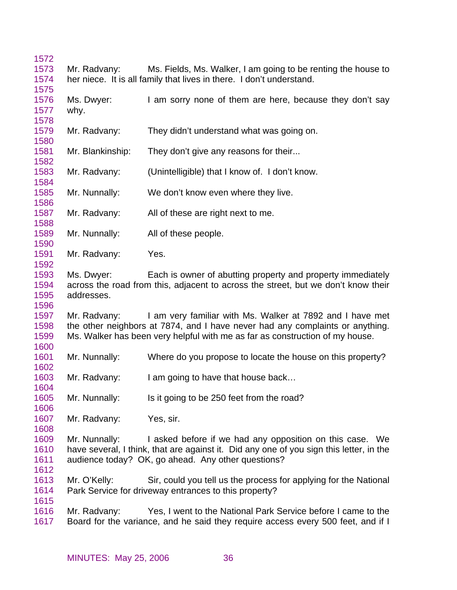| 1572         |                  |                                                                                         |
|--------------|------------------|-----------------------------------------------------------------------------------------|
| 1573         | Mr. Radvany:     | Ms. Fields, Ms. Walker, I am going to be renting the house to                           |
| 1574         |                  | her niece. It is all family that lives in there. I don't understand.                    |
| 1575         |                  |                                                                                         |
| 1576         | Ms. Dwyer:       | I am sorry none of them are here, because they don't say                                |
| 1577         | why.             |                                                                                         |
| 1578         |                  |                                                                                         |
| 1579         | Mr. Radvany:     | They didn't understand what was going on.                                               |
| 1580         |                  |                                                                                         |
| 1581         | Mr. Blankinship: | They don't give any reasons for their                                                   |
| 1582         |                  |                                                                                         |
| 1583         | Mr. Radvany:     | (Unintelligible) that I know of. I don't know.                                          |
| 1584         |                  |                                                                                         |
| 1585         | Mr. Nunnally:    | We don't know even where they live.                                                     |
| 1586         |                  |                                                                                         |
| 1587         | Mr. Radvany:     | All of these are right next to me.                                                      |
| 1588         |                  |                                                                                         |
| 1589         | Mr. Nunnally:    | All of these people.                                                                    |
| 1590         |                  |                                                                                         |
| 1591         | Mr. Radvany:     | Yes.                                                                                    |
| 1592         |                  |                                                                                         |
| 1593         | Ms. Dwyer:       | Each is owner of abutting property and property immediately                             |
| 1594         |                  | across the road from this, adjacent to across the street, but we don't know their       |
| 1595<br>1596 | addresses.       |                                                                                         |
| 1597         | Mr. Radvany:     | I am very familiar with Ms. Walker at 7892 and I have met                               |
| 1598         |                  | the other neighbors at 7874, and I have never had any complaints or anything.           |
| 1599         |                  | Ms. Walker has been very helpful with me as far as construction of my house.            |
| 1600         |                  |                                                                                         |
| 1601         | Mr. Nunnally:    | Where do you propose to locate the house on this property?                              |
| 1602         |                  |                                                                                         |
| 1603         | Mr. Radvany:     | I am going to have that house back                                                      |
| 1604         |                  |                                                                                         |
| 1605         | Mr. Nunnally:    | Is it going to be 250 feet from the road?                                               |
| 1606         |                  |                                                                                         |
| 1607         | Mr. Radvany:     | Yes, sir.                                                                               |
| 1608         |                  |                                                                                         |
| 1609         | Mr. Nunnally:    | I asked before if we had any opposition on this case. We                                |
| 1610         |                  | have several, I think, that are against it. Did any one of you sign this letter, in the |
| 1611         |                  | audience today? OK, go ahead. Any other questions?                                      |
| 1612         |                  |                                                                                         |
| 1613         | Mr. O'Kelly:     | Sir, could you tell us the process for applying for the National                        |
| 1614         |                  | Park Service for driveway entrances to this property?                                   |
| 1615         |                  |                                                                                         |
| 1616         | Mr. Radvany:     | Yes, I went to the National Park Service before I came to the                           |
| 1617         |                  | Board for the variance, and he said they require access every 500 feet, and if I        |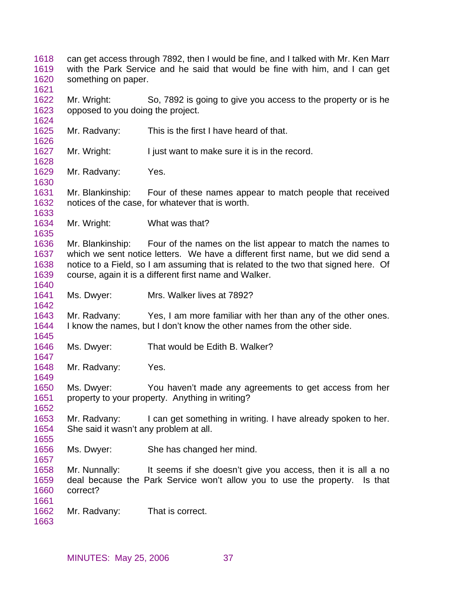can get access through 7892, then I would be fine, and I talked with Mr. Ken Marr with the Park Service and he said that would be fine with him, and I can get something on paper. Mr. Wright: So, 7892 is going to give you access to the property or is he opposed to you doing the project. Mr. Radvany: This is the first I have heard of that. Mr. Wright: I just want to make sure it is in the record. Mr. Radvany: Yes. Mr. Blankinship: Four of these names appear to match people that received notices of the case, for whatever that is worth. Mr. Wright: What was that? Mr. Blankinship: Four of the names on the list appear to match the names to which we sent notice letters. We have a different first name, but we did send a notice to a Field, so I am assuming that is related to the two that signed here. Of course, again it is a different first name and Walker. Ms. Dwyer: Mrs. Walker lives at 7892? Mr. Radvany: Yes, I am more familiar with her than any of the other ones. I know the names, but I don't know the other names from the other side. Ms. Dwyer: That would be Edith B. Walker? Mr. Radvany: Yes. Ms. Dwyer: You haven't made any agreements to get access from her property to your property. Anything in writing? Mr. Radvany: I can get something in writing. I have already spoken to her. She said it wasn't any problem at all. Ms. Dwyer: She has changed her mind. Mr. Nunnally: It seems if she doesn't give you access, then it is all a no deal because the Park Service won't allow you to use the property. Is that correct? Mr. Radvany: That is correct.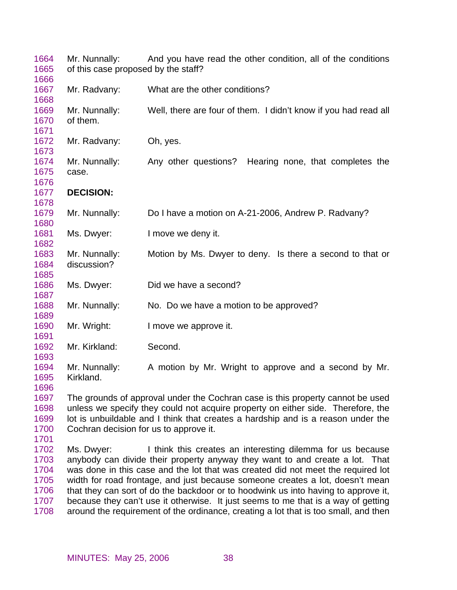| 1664<br>1665<br>1666                                 | Mr. Nunnally:<br>of this case proposed by the staff? | And you have read the other condition, all of the conditions                                                                                                                                                                                                                                                                                                                                                                                                                                                                                                                      |
|------------------------------------------------------|------------------------------------------------------|-----------------------------------------------------------------------------------------------------------------------------------------------------------------------------------------------------------------------------------------------------------------------------------------------------------------------------------------------------------------------------------------------------------------------------------------------------------------------------------------------------------------------------------------------------------------------------------|
| 1667<br>1668                                         | Mr. Radvany:                                         | What are the other conditions?                                                                                                                                                                                                                                                                                                                                                                                                                                                                                                                                                    |
| 1669<br>1670<br>1671                                 | Mr. Nunnally:<br>of them.                            | Well, there are four of them. I didn't know if you had read all                                                                                                                                                                                                                                                                                                                                                                                                                                                                                                                   |
| 1672<br>1673                                         | Mr. Radvany:                                         | Oh, yes.                                                                                                                                                                                                                                                                                                                                                                                                                                                                                                                                                                          |
| 1674<br>1675<br>1676                                 | Mr. Nunnally:<br>case.                               | Any other questions?<br>Hearing none, that completes the                                                                                                                                                                                                                                                                                                                                                                                                                                                                                                                          |
| 1677<br>1678                                         | <b>DECISION:</b>                                     |                                                                                                                                                                                                                                                                                                                                                                                                                                                                                                                                                                                   |
| 1679<br>1680                                         | Mr. Nunnally:                                        | Do I have a motion on A-21-2006, Andrew P. Radvany?                                                                                                                                                                                                                                                                                                                                                                                                                                                                                                                               |
| 1681<br>1682                                         | Ms. Dwyer:                                           | I move we deny it.                                                                                                                                                                                                                                                                                                                                                                                                                                                                                                                                                                |
| 1683<br>1684<br>1685                                 | Mr. Nunnally:<br>discussion?                         | Motion by Ms. Dwyer to deny. Is there a second to that or                                                                                                                                                                                                                                                                                                                                                                                                                                                                                                                         |
| 1686<br>1687                                         | Ms. Dwyer:                                           | Did we have a second?                                                                                                                                                                                                                                                                                                                                                                                                                                                                                                                                                             |
| 1688<br>1689                                         | Mr. Nunnally:                                        | No. Do we have a motion to be approved?                                                                                                                                                                                                                                                                                                                                                                                                                                                                                                                                           |
| 1690<br>1691                                         | Mr. Wright:                                          | I move we approve it.                                                                                                                                                                                                                                                                                                                                                                                                                                                                                                                                                             |
| 1692<br>1693                                         | Mr. Kirkland:                                        | Second.                                                                                                                                                                                                                                                                                                                                                                                                                                                                                                                                                                           |
| 1694<br>1695<br>1696                                 | Mr. Nunnally:<br>Kirkland.                           | A motion by Mr. Wright to approve and a second by Mr.                                                                                                                                                                                                                                                                                                                                                                                                                                                                                                                             |
| 1697<br>1698<br>1699<br>1700<br>1701                 | Cochran decision for us to approve it.               | The grounds of approval under the Cochran case is this property cannot be used<br>unless we specify they could not acquire property on either side. Therefore, the<br>lot is unbuildable and I think that creates a hardship and is a reason under the                                                                                                                                                                                                                                                                                                                            |
| 1702<br>1703<br>1704<br>1705<br>1706<br>1707<br>1708 | Ms. Dwyer:                                           | I think this creates an interesting dilemma for us because<br>anybody can divide their property anyway they want to and create a lot. That<br>was done in this case and the lot that was created did not meet the required lot<br>width for road frontage, and just because someone creates a lot, doesn't mean<br>that they can sort of do the backdoor or to hoodwink us into having to approve it,<br>because they can't use it otherwise. It just seems to me that is a way of getting<br>around the requirement of the ordinance, creating a lot that is too small, and then |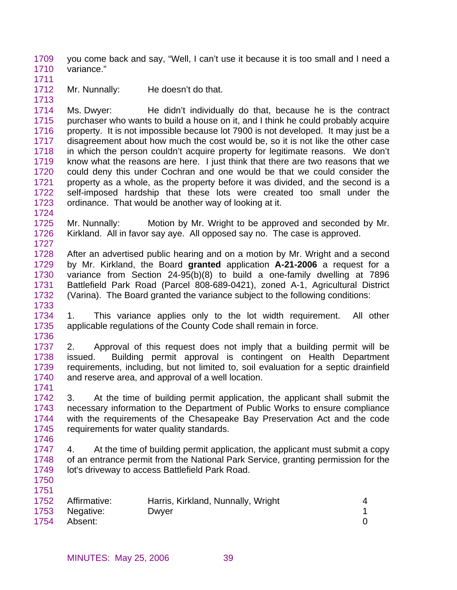1709 1710 you come back and say, "Well, I can't use it because it is too small and I need a variance."

1711

1724

1733

1741

1746

1750 1751

1712 1713 Mr. Nunnally: He doesn't do that.

1714 1715 1716 1717 1718 1719 1720 1721 1722 1723 Ms. Dwyer: He didn't individually do that, because he is the contract purchaser who wants to build a house on it, and I think he could probably acquire property. It is not impossible because lot 7900 is not developed. It may just be a disagreement about how much the cost would be, so it is not like the other case in which the person couldn't acquire property for legitimate reasons. We don't know what the reasons are here. I just think that there are two reasons that we could deny this under Cochran and one would be that we could consider the property as a whole, as the property before it was divided, and the second is a self-imposed hardship that these lots were created too small under the ordinance. That would be another way of looking at it.

- 1725 1726 1727 Mr. Nunnally: Motion by Mr. Wright to be approved and seconded by Mr. Kirkland. All in favor say aye. All opposed say no. The case is approved.
- 1728 1729 1730 1731 1732 After an advertised public hearing and on a motion by Mr. Wright and a second by Mr. Kirkland, the Board **granted** application **A-21-2006** a request for a variance from Section 24-95(b)(8) to build a one-family dwelling at 7896 Battlefield Park Road (Parcel 808-689-0421), zoned A-1, Agricultural District (Varina). The Board granted the variance subject to the following conditions:
- 1734 1735 1736 1. This variance applies only to the lot width requirement. All other applicable regulations of the County Code shall remain in force.
- 1737 1738 1739 1740 2. Approval of this request does not imply that a building permit will be issued. Building permit approval is contingent on Health Department requirements, including, but not limited to, soil evaluation for a septic drainfield and reserve area, and approval of a well location.
- 1742 1743 1744 1745 3. At the time of building permit application, the applicant shall submit the necessary information to the Department of Public Works to ensure compliance with the requirements of the Chesapeake Bay Preservation Act and the code requirements for water quality standards.
- 1747 1748 1749 4. At the time of building permit application, the applicant must submit a copy of an entrance permit from the National Park Service, granting permission for the lot's driveway to access Battlefield Park Road.

| .<br>1752 | Affirmative: | Harris, Kirkland, Nunnally, Wright |  |
|-----------|--------------|------------------------------------|--|
| 1753      | Negative:    | Dwyer                              |  |
| 1754      | Absent:      |                                    |  |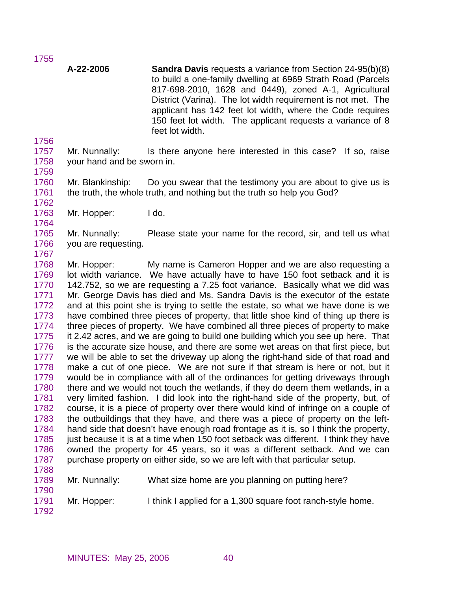**A-22-2006 Sandra Davis** requests a variance from Section 24-95(b)(8) to build a one-family dwelling at 6969 Strath Road (Parcels 817-698-2010, 1628 and 0449), zoned A-1, Agricultural District (Varina). The lot width requirement is not met. The applicant has 142 feet lot width, where the Code requires 150 feet lot width. The applicant requests a variance of 8 feet lot width.

1757 1758 Mr. Nunnally: Is there anyone here interested in this case? If so, raise your hand and be sworn in.

1759

1764

1767

1756

1755

1760 1761 1762 Mr. Blankinship: Do you swear that the testimony you are about to give us is the truth, the whole truth, and nothing but the truth so help you God?

1763 Mr. Hopper: I do.

1765 1766 Mr. Nunnally: Please state your name for the record, sir, and tell us what you are requesting.

1768 1769 1770 1771 1772 1773 1774 1775 1776 1777 1778 1779 1780 1781 1782 1783 1784 1785 1786 1787 1788 Mr. Hopper: My name is Cameron Hopper and we are also requesting a lot width variance. We have actually have to have 150 foot setback and it is 142.752, so we are requesting a 7.25 foot variance. Basically what we did was Mr. George Davis has died and Ms. Sandra Davis is the executor of the estate and at this point she is trying to settle the estate, so what we have done is we have combined three pieces of property, that little shoe kind of thing up there is three pieces of property. We have combined all three pieces of property to make it 2.42 acres, and we are going to build one building which you see up here. That is the accurate size house, and there are some wet areas on that first piece, but we will be able to set the driveway up along the right-hand side of that road and make a cut of one piece. We are not sure if that stream is here or not, but it would be in compliance with all of the ordinances for getting driveways through there and we would not touch the wetlands, if they do deem them wetlands, in a very limited fashion. I did look into the right-hand side of the property, but, of course, it is a piece of property over there would kind of infringe on a couple of the outbuildings that they have, and there was a piece of property on the lefthand side that doesn't have enough road frontage as it is, so I think the property, just because it is at a time when 150 foot setback was different. I think they have owned the property for 45 years, so it was a different setback. And we can purchase property on either side, so we are left with that particular setup.

1789

1790

Mr. Nunnally: What size home are you planning on putting here?

1791 Mr. Hopper: I think I applied for a 1,300 square foot ranch-style home.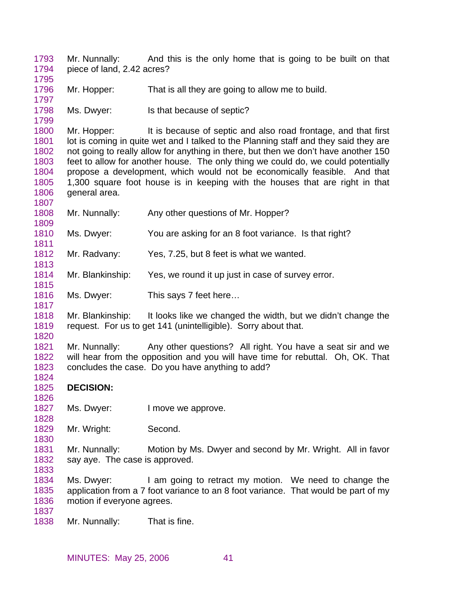1793 1794 Mr. Nunnally: And this is the only home that is going to be built on that piece of land, 2.42 acres?

1796 Mr. Hopper: That is all they are going to allow me to build.

1798 Ms. Dwyer: Is that because of septic?

1800 1801 1802 1803 1804 1805 1806 Mr. Hopper: It is because of septic and also road frontage, and that first lot is coming in quite wet and I talked to the Planning staff and they said they are not going to really allow for anything in there, but then we don't have another 150 feet to allow for another house. The only thing we could do, we could potentially propose a development, which would not be economically feasible. And that 1,300 square foot house is in keeping with the houses that are right in that general area.

1808 Mr. Nunnally: Any other questions of Mr. Hopper?

1810 Ms. Dwyer: You are asking for an 8 foot variance. Is that right?

1812 Mr. Radvany: Yes, 7.25, but 8 feet is what we wanted.

1814 Mr. Blankinship: Yes, we round it up just in case of survey error.

1816 Ms. Dwyer: This says 7 feet here...

1818 1819 Mr. Blankinship: It looks like we changed the width, but we didn't change the request. For us to get 141 (unintelligible). Sorry about that.

1821 1822 1823 Mr. Nunnally: Any other questions? All right. You have a seat sir and we will hear from the opposition and you will have time for rebuttal. Oh, OK. That concludes the case. Do you have anything to add?

1825 **DECISION:** 

1827 Ms. Dwyer: I move we approve.

1829 Mr. Wright: Second.

1831 1832 Mr. Nunnally: Motion by Ms. Dwyer and second by Mr. Wright. All in favor say aye. The case is approved.

1834 1835 1836 Ms. Dwyer: I am going to retract my motion. We need to change the application from a 7 foot variance to an 8 foot variance. That would be part of my motion if everyone agrees.

1837

1795

1797

1799

1807

1809

1811

1813

1815

1817

1820

1824

1826

1828

1830

1833

1838 Mr. Nunnally: That is fine.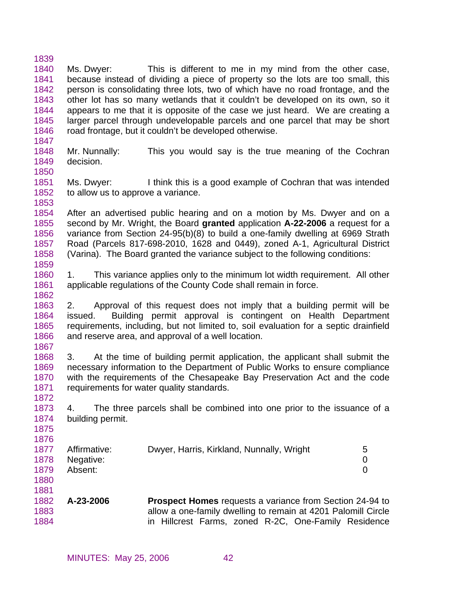1839 1840 1841 1842 1843 1844 1845 1846 1847 Ms. Dwyer: This is different to me in my mind from the other case, because instead of dividing a piece of property so the lots are too small, this person is consolidating three lots, two of which have no road frontage, and the other lot has so many wetlands that it couldn't be developed on its own, so it appears to me that it is opposite of the case we just heard. We are creating a larger parcel through undevelopable parcels and one parcel that may be short road frontage, but it couldn't be developed otherwise.

- 1848 1849 1850 Mr. Nunnally: This you would say is the true meaning of the Cochran decision.
- 1851 1852 1853 Ms. Dwyer: I think this is a good example of Cochran that was intended to allow us to approve a variance.

1854 1855 1856 1857 1858 After an advertised public hearing and on a motion by Ms. Dwyer and on a second by Mr. Wright, the Board **granted** application **A-22-2006** a request for a variance from Section 24-95(b)(8) to build a one-family dwelling at 6969 Strath Road (Parcels 817-698-2010, 1628 and 0449), zoned A-1, Agricultural District (Varina). The Board granted the variance subject to the following conditions:

1860 1861 1. This variance applies only to the minimum lot width requirement. All other applicable regulations of the County Code shall remain in force.

1863 1864 1865 1866 2. Approval of this request does not imply that a building permit will be issued. Building permit approval is contingent on Health Department requirements, including, but not limited to, soil evaluation for a septic drainfield and reserve area, and approval of a well location.

1867

1872

1875 1876

1881

1859

1862

1868 1869 1870 1871 3. At the time of building permit application, the applicant shall submit the necessary information to the Department of Public Works to ensure compliance with the requirements of the Chesapeake Bay Preservation Act and the code requirements for water quality standards.

1873 1874 4. The three parcels shall be combined into one prior to the issuance of a building permit.

| 1877<br>1878<br>1879 | Affirmative:<br>Negative:<br>Absent: | Dwyer, Harris, Kirkland, Nunnally, Wright | 5 |
|----------------------|--------------------------------------|-------------------------------------------|---|
| 1880                 |                                      |                                           |   |

1882 1883 1884 **A-23-2006 Prospect Homes** requests a variance from Section 24-94 to allow a one-family dwelling to remain at 4201 Palomill Circle in Hillcrest Farms, zoned R-2C, One-Family Residence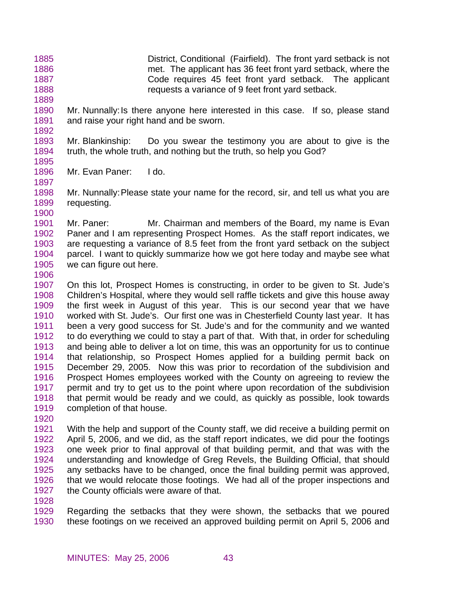1885 1886 1887 1888 District, Conditional (Fairfield). The front yard setback is not met. The applicant has 36 feet front yard setback, where the Code requires 45 feet front yard setback. The applicant requests a variance of 9 feet front yard setback.

1890 1891 Mr. Nunnally: Is there anyone here interested in this case. If so, please stand and raise your right hand and be sworn.

1893 1894 Mr. Blankinship: Do you swear the testimony you are about to give is the truth, the whole truth, and nothing but the truth, so help you God?

1895 1896

1897

1889

1892

Mr. Evan Paner: I do.

1898 1899 1900 Mr. Nunnally: Please state your name for the record, sir, and tell us what you are requesting.

1901 1902 1903 1904 1905 Mr. Paner: Mr. Chairman and members of the Board, my name is Evan Paner and I am representing Prospect Homes. As the staff report indicates, we are requesting a variance of 8.5 feet from the front yard setback on the subject parcel. I want to quickly summarize how we got here today and maybe see what we can figure out here.

1906

1907 1908 1909 1910 1911 1912 1913 1914 1915 1916 1917 1918 1919 On this lot, Prospect Homes is constructing, in order to be given to St. Jude's Children's Hospital, where they would sell raffle tickets and give this house away the first week in August of this year. This is our second year that we have worked with St. Jude's. Our first one was in Chesterfield County last year. It has been a very good success for St. Jude's and for the community and we wanted to do everything we could to stay a part of that. With that, in order for scheduling and being able to deliver a lot on time, this was an opportunity for us to continue that relationship, so Prospect Homes applied for a building permit back on December 29, 2005. Now this was prior to recordation of the subdivision and Prospect Homes employees worked with the County on agreeing to review the permit and try to get us to the point where upon recordation of the subdivision that permit would be ready and we could, as quickly as possible, look towards completion of that house.

1920

1921 1922 1923 1924 1925 1926 1927 With the help and support of the County staff, we did receive a building permit on April 5, 2006, and we did, as the staff report indicates, we did pour the footings one week prior to final approval of that building permit, and that was with the understanding and knowledge of Greg Revels, the Building Official, that should any setbacks have to be changed, once the final building permit was approved, that we would relocate those footings. We had all of the proper inspections and the County officials were aware of that.

1928

1929 1930 Regarding the setbacks that they were shown, the setbacks that we poured these footings on we received an approved building permit on April 5, 2006 and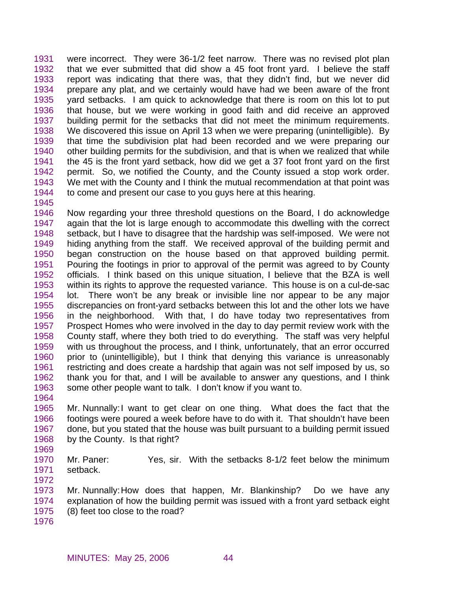1931 1932 1933 1934 1935 1936 1937 1938 1939 1940 1941 1942 1943 1944 were incorrect. They were 36-1/2 feet narrow. There was no revised plot plan that we ever submitted that did show a 45 foot front yard. I believe the staff report was indicating that there was, that they didn't find, but we never did prepare any plat, and we certainly would have had we been aware of the front yard setbacks. I am quick to acknowledge that there is room on this lot to put that house, but we were working in good faith and did receive an approved building permit for the setbacks that did not meet the minimum requirements. We discovered this issue on April 13 when we were preparing (unintelligible). By that time the subdivision plat had been recorded and we were preparing our other building permits for the subdivision, and that is when we realized that while the 45 is the front yard setback, how did we get a 37 foot front yard on the first permit. So, we notified the County, and the County issued a stop work order. We met with the County and I think the mutual recommendation at that point was to come and present our case to you guys here at this hearing.

1945

1946 1947 1948 1949 1950 1951 1952 1953 1954 1955 1956 1957 1958 1959 1960 1961 1962 1963 Now regarding your three threshold questions on the Board, I do acknowledge again that the lot is large enough to accommodate this dwelling with the correct setback, but I have to disagree that the hardship was self-imposed. We were not hiding anything from the staff. We received approval of the building permit and began construction on the house based on that approved building permit. Pouring the footings in prior to approval of the permit was agreed to by County officials. I think based on this unique situation, I believe that the BZA is well within its rights to approve the requested variance. This house is on a cul-de-sac lot. There won't be any break or invisible line nor appear to be any major discrepancies on front-yard setbacks between this lot and the other lots we have in the neighborhood. With that, I do have today two representatives from Prospect Homes who were involved in the day to day permit review work with the County staff, where they both tried to do everything. The staff was very helpful with us throughout the process, and I think, unfortunately, that an error occurred prior to (unintelligible), but I think that denying this variance is unreasonably restricting and does create a hardship that again was not self imposed by us, so thank you for that, and I will be available to answer any questions, and I think some other people want to talk. I don't know if you want to.

1964

1965 1966 1967 1968 1969 Mr. Nunnally: I want to get clear on one thing. What does the fact that the footings were poured a week before have to do with it. That shouldn't have been done, but you stated that the house was built pursuant to a building permit issued by the County. Is that right?

1970 1971 Mr. Paner: Yes, sir. With the setbacks 8-1/2 feet below the minimum setback.

1973 1974 1975 Mr. Nunnally: How does that happen, Mr. Blankinship? Do we have any explanation of how the building permit was issued with a front yard setback eight (8) feet too close to the road?

1976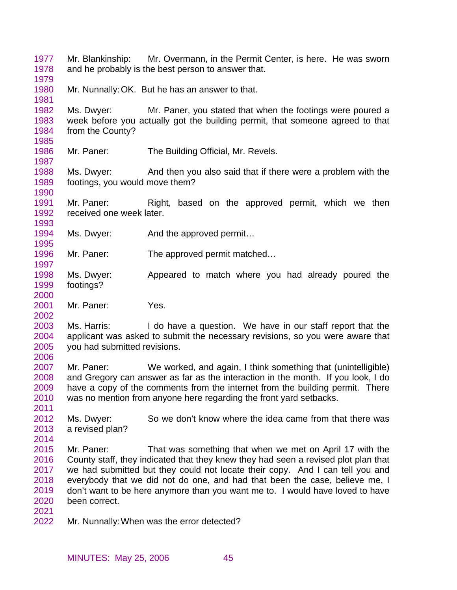1977 1978 Mr. Blankinship: Mr. Overmann, in the Permit Center, is here. He was sworn and he probably is the best person to answer that.

1979

1981

1985

1987

1990

1993

1995

1997

2000

2002

2011

2014

1980 Mr. Nunnally: OK. But he has an answer to that.

1982 1983 1984 Ms. Dwyer: Mr. Paner, you stated that when the footings were poured a week before you actually got the building permit, that someone agreed to that from the County?

1986 Mr. Paner: The Building Official, Mr. Revels.

1988 1989 Ms. Dwyer: And then you also said that if there were a problem with the footings, you would move them?

1991 1992 Mr. Paner: Right, based on the approved permit, which we then received one week later.

- 1994 Ms. Dwyer: And the approved permit...
- 1996 Mr. Paner: The approved permit matched...
- 1998 1999 Ms. Dwyer: Appeared to match where you had already poured the footings?
- 2001 Mr. Paner: Yes.

2003 2004 2005 2006 Ms. Harris: I do have a question. We have in our staff report that the applicant was asked to submit the necessary revisions, so you were aware that you had submitted revisions.

2007 2008 2009 2010 Mr. Paner: We worked, and again, I think something that (unintelligible) and Gregory can answer as far as the interaction in the month. If you look, I do have a copy of the comments from the internet from the building permit. There was no mention from anyone here regarding the front yard setbacks.

2012 2013 Ms. Dwyer: So we don't know where the idea came from that there was a revised plan?

- 2015 2016 2017 2018 2019 2020 Mr. Paner: That was something that when we met on April 17 with the County staff, they indicated that they knew they had seen a revised plot plan that we had submitted but they could not locate their copy. And I can tell you and everybody that we did not do one, and had that been the case, believe me, I don't want to be here anymore than you want me to. I would have loved to have been correct.
- 2021
- 2022 Mr. Nunnally: When was the error detected?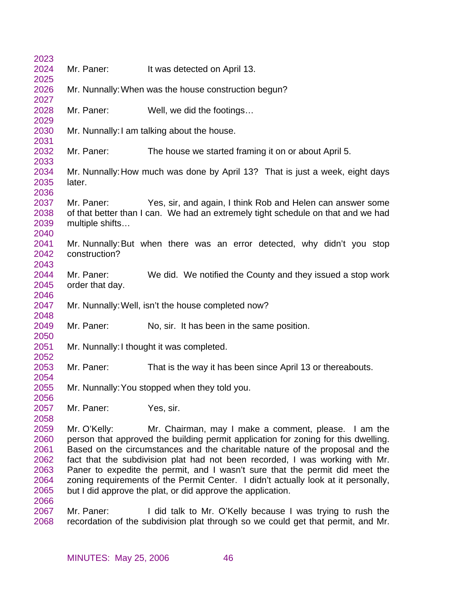| 2023 |                 |                                                                                    |
|------|-----------------|------------------------------------------------------------------------------------|
| 2024 | Mr. Paner:      | It was detected on April 13.                                                       |
| 2025 |                 |                                                                                    |
| 2026 |                 | Mr. Nunnally: When was the house construction begun?                               |
| 2027 |                 |                                                                                    |
| 2028 | Mr. Paner:      | Well, we did the footings                                                          |
| 2029 |                 |                                                                                    |
| 2030 |                 | Mr. Nunnally: I am talking about the house.                                        |
| 2031 |                 |                                                                                    |
| 2032 | Mr. Paner:      | The house we started framing it on or about April 5.                               |
| 2033 |                 |                                                                                    |
| 2034 |                 | Mr. Nunnally: How much was done by April 13? That is just a week, eight days       |
| 2035 | later.          |                                                                                    |
| 2036 |                 |                                                                                    |
| 2037 | Mr. Paner:      | Yes, sir, and again, I think Rob and Helen can answer some                         |
| 2038 |                 | of that better than I can. We had an extremely tight schedule on that and we had   |
| 2039 | multiple shifts |                                                                                    |
| 2040 |                 |                                                                                    |
| 2041 |                 | Mr. Nunnally: But when there was an error detected, why didn't you stop            |
| 2042 | construction?   |                                                                                    |
| 2043 |                 |                                                                                    |
| 2044 | Mr. Paner:      | We did. We notified the County and they issued a stop work                         |
| 2045 | order that day. |                                                                                    |
| 2046 |                 |                                                                                    |
| 2047 |                 | Mr. Nunnally: Well, isn't the house completed now?                                 |
| 2048 |                 |                                                                                    |
| 2049 | Mr. Paner:      | No, sir. It has been in the same position.                                         |
| 2050 |                 |                                                                                    |
| 2051 |                 | Mr. Nunnally: I thought it was completed.                                          |
| 2052 |                 |                                                                                    |
| 2053 | Mr. Paner:      | That is the way it has been since April 13 or thereabouts.                         |
| 2054 |                 |                                                                                    |
| 2055 |                 | Mr. Nunnally: You stopped when they told you.                                      |
| 2056 |                 |                                                                                    |
| 2057 | Mr. Paner:      | Yes, sir.                                                                          |
| 2058 |                 |                                                                                    |
| 2059 | Mr. O'Kelly:    | Mr. Chairman, may I make a comment, please. I am the                               |
| 2060 |                 | person that approved the building permit application for zoning for this dwelling. |
| 2061 |                 | Based on the circumstances and the charitable nature of the proposal and the       |
| 2062 |                 | fact that the subdivision plat had not been recorded, I was working with Mr.       |
| 2063 |                 | Paner to expedite the permit, and I wasn't sure that the permit did meet the       |
| 2064 |                 | zoning requirements of the Permit Center. I didn't actually look at it personally, |
| 2065 |                 | but I did approve the plat, or did approve the application.                        |
| 2066 |                 |                                                                                    |
| 2067 | Mr. Paner:      | I did talk to Mr. O'Kelly because I was trying to rush the                         |
| 2068 |                 | recordation of the subdivision plat through so we could get that permit, and Mr.   |
|      |                 |                                                                                    |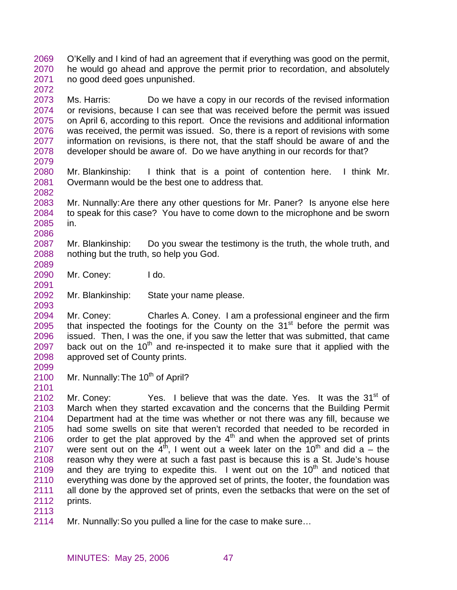2069 2070 2071 O'Kelly and I kind of had an agreement that if everything was good on the permit, he would go ahead and approve the permit prior to recordation, and absolutely no good deed goes unpunished.

2073 2074 2075 2076 2077 2078 Ms. Harris: Do we have a copy in our records of the revised information or revisions, because I can see that was received before the permit was issued on April 6, according to this report. Once the revisions and additional information was received, the permit was issued. So, there is a report of revisions with some information on revisions, is there not, that the staff should be aware of and the developer should be aware of. Do we have anything in our records for that?

2080 2081 Mr. Blankinship: I think that is a point of contention here. I think Mr. Overmann would be the best one to address that.

2083 2084 2085 Mr. Nunnally: Are there any other questions for Mr. Paner? Is anyone else here to speak for this case? You have to come down to the microphone and be sworn in.

2087 2088 Mr. Blankinship: Do you swear the testimony is the truth, the whole truth, and nothing but the truth, so help you God.

2090 Mr. Coney: I do.

2092 Mr. Blankinship: State your name please.

2094 2095 2096 2097 2098 Mr. Coney: Charles A. Coney. I am a professional engineer and the firm that inspected the footings for the County on the  $31<sup>st</sup>$  before the permit was issued. Then, I was the one, if you saw the letter that was submitted, that came back out on the  $10<sup>th</sup>$  and re-inspected it to make sure that it applied with the approved set of County prints.

2100 Mr. Nunnally: The 10<sup>th</sup> of April?

2102 2103 2104 2105 2106 2107 2108 2109 2110 2111 2112 Mr. Coney: Yes. I believe that was the date. Yes. It was the 31<sup>st</sup> of March when they started excavation and the concerns that the Building Permit Department had at the time was whether or not there was any fill, because we had some swells on site that weren't recorded that needed to be recorded in order to get the plat approved by the  $4<sup>th</sup>$  and when the approved set of prints were sent out on the  $4<sup>th</sup>$ , I went out a week later on the 10<sup>th</sup> and did a – the reason why they were at such a fast past is because this is a St. Jude's house and they are trying to expedite this. I went out on the  $10<sup>th</sup>$  and noticed that everything was done by the approved set of prints, the footer, the foundation was all done by the approved set of prints, even the setbacks that were on the set of prints.

2113

2072

2079

2082

2086

2089

2091

2093

2099

2101

2114 Mr. Nunnally: So you pulled a line for the case to make sure…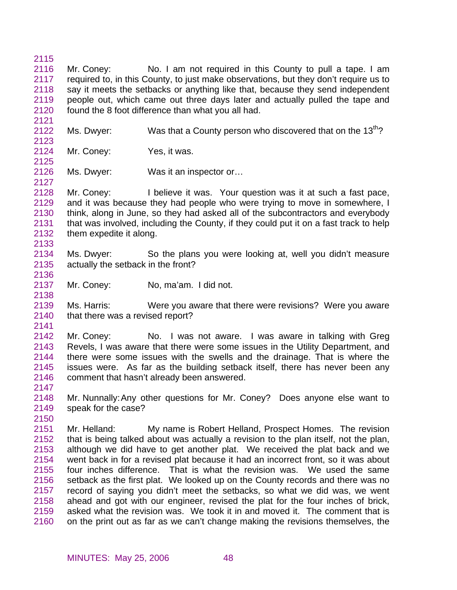2115 2116 2117 2118 2119 2120 Mr. Coney: No. I am not required in this County to pull a tape. I am required to, in this County, to just make observations, but they don't require us to say it meets the setbacks or anything like that, because they send independent people out, which came out three days later and actually pulled the tape and found the 8 foot difference than what you all had.

- 2122 Ms. Dwyer: Was that a County person who discovered that on the  $13<sup>th</sup>$ ?
- 2124 Mr. Coney: Yes, it was.
- 2126 Ms. Dwyer: Was it an inspector or...

2128 2129 2130 2131 2132 2133 Mr. Coney: I believe it was. Your question was it at such a fast pace, and it was because they had people who were trying to move in somewhere, I think, along in June, so they had asked all of the subcontractors and everybody that was involved, including the County, if they could put it on a fast track to help them expedite it along.

- 2134 2135 Ms. Dwyer: So the plans you were looking at, well you didn't measure actually the setback in the front?
- 2136 2137

2138

2121

2123

2125

2127

Mr. Coney: No, ma'am. I did not.

2139 2140 Ms. Harris: Were you aware that there were revisions? Were you aware that there was a revised report?

2141

2142 2143 2144 2145 2146 Mr. Coney: No. I was not aware. I was aware in talking with Greg Revels, I was aware that there were some issues in the Utility Department, and there were some issues with the swells and the drainage. That is where the issues were. As far as the building setback itself, there has never been any comment that hasn't already been answered.

- 2147
- 2148 2149 2150 Mr. Nunnally: Any other questions for Mr. Coney? Does anyone else want to speak for the case?

2151 2152 2153 2154 2155 2156 2157 2158 2159 2160 Mr. Helland: My name is Robert Helland, Prospect Homes. The revision that is being talked about was actually a revision to the plan itself, not the plan, although we did have to get another plat. We received the plat back and we went back in for a revised plat because it had an incorrect front, so it was about four inches difference. That is what the revision was. We used the same setback as the first plat. We looked up on the County records and there was no record of saying you didn't meet the setbacks, so what we did was, we went ahead and got with our engineer, revised the plat for the four inches of brick, asked what the revision was. We took it in and moved it. The comment that is on the print out as far as we can't change making the revisions themselves, the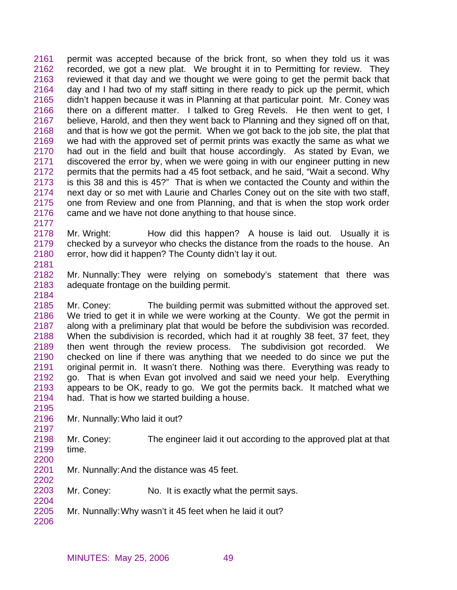2161 2162 2163 2164 2165 2166 2167 2168 2169 2170 2171 2172 2173 2174 2175 2176 permit was accepted because of the brick front, so when they told us it was recorded, we got a new plat. We brought it in to Permitting for review. They reviewed it that day and we thought we were going to get the permit back that day and I had two of my staff sitting in there ready to pick up the permit, which didn't happen because it was in Planning at that particular point. Mr. Coney was there on a different matter. I talked to Greg Revels. He then went to get, I believe, Harold, and then they went back to Planning and they signed off on that, and that is how we got the permit. When we got back to the job site, the plat that we had with the approved set of permit prints was exactly the same as what we had out in the field and built that house accordingly. As stated by Evan, we discovered the error by, when we were going in with our engineer putting in new permits that the permits had a 45 foot setback, and he said, "Wait a second. Why is this 38 and this is 45?" That is when we contacted the County and within the next day or so met with Laurie and Charles Coney out on the site with two staff, one from Review and one from Planning, and that is when the stop work order came and we have not done anything to that house since.

- 2178 2179 2180 Mr. Wright: How did this happen? A house is laid out. Usually it is checked by a surveyor who checks the distance from the roads to the house. An error, how did it happen? The County didn't lay it out.
- 2182 2183 Mr. Nunnally: They were relying on somebody's statement that there was adequate frontage on the building permit.

2185 2186 2187 2188 2189 2190 2191 2192 2193 2194 Mr. Coney: The building permit was submitted without the approved set. We tried to get it in while we were working at the County. We got the permit in along with a preliminary plat that would be before the subdivision was recorded. When the subdivision is recorded, which had it at roughly 38 feet, 37 feet, they then went through the review process. The subdivision got recorded. We checked on line if there was anything that we needed to do since we put the original permit in. It wasn't there. Nothing was there. Everything was ready to go. That is when Evan got involved and said we need your help. Everything appears to be OK, ready to go. We got the permits back. It matched what we had. That is how we started building a house.

- 2196 Mr. Nunnally: Who laid it out?
- 2198 2199 2200 Mr. Coney: The engineer laid it out according to the approved plat at that time.
- 2201 Mr. Nunnally: And the distance was 45 feet.
- 2203 Mr. Coney: No. It is exactly what the permit says.
- 2205 Mr. Nunnally: Why wasn't it 45 feet when he laid it out?
- 2206

2202

2204

2177

2181

2184

2195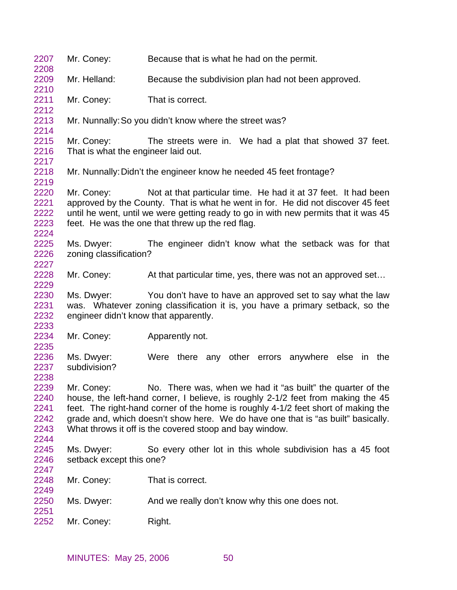| 2207<br>2208                                 | Mr. Coney:                                          | Because that is what he had on the permit.                                                                                                                                                                                                                                                                                                                                          |
|----------------------------------------------|-----------------------------------------------------|-------------------------------------------------------------------------------------------------------------------------------------------------------------------------------------------------------------------------------------------------------------------------------------------------------------------------------------------------------------------------------------|
| 2209<br>2210                                 | Mr. Helland:                                        | Because the subdivision plan had not been approved.                                                                                                                                                                                                                                                                                                                                 |
| 2211<br>2212                                 | Mr. Coney:                                          | That is correct.                                                                                                                                                                                                                                                                                                                                                                    |
| 2213<br>2214                                 |                                                     | Mr. Nunnally: So you didn't know where the street was?                                                                                                                                                                                                                                                                                                                              |
| 2215<br>2216<br>2217                         | Mr. Coney:<br>That is what the engineer laid out.   | The streets were in. We had a plat that showed 37 feet.                                                                                                                                                                                                                                                                                                                             |
| 2218<br>2219                                 |                                                     | Mr. Nunnally: Didn't the engineer know he needed 45 feet frontage?                                                                                                                                                                                                                                                                                                                  |
| 2220<br>2221<br>2222<br>2223<br>2224         | Mr. Coney:                                          | Not at that particular time. He had it at 37 feet. It had been<br>approved by the County. That is what he went in for. He did not discover 45 feet<br>until he went, until we were getting ready to go in with new permits that it was 45<br>feet. He was the one that threw up the red flag.                                                                                       |
| 2225<br>2226<br>2227                         | Ms. Dwyer:<br>zoning classification?                | The engineer didn't know what the setback was for that                                                                                                                                                                                                                                                                                                                              |
| 2228<br>2229                                 | Mr. Coney:                                          | At that particular time, yes, there was not an approved set                                                                                                                                                                                                                                                                                                                         |
| 2230<br>2231<br>2232<br>2233                 | Ms. Dwyer:<br>engineer didn't know that apparently. | You don't have to have an approved set to say what the law<br>was. Whatever zoning classification it is, you have a primary setback, so the                                                                                                                                                                                                                                         |
| 2234<br>2235                                 | Mr. Coney:                                          | Apparently not.                                                                                                                                                                                                                                                                                                                                                                     |
| 2236<br>2237<br>2238                         | Ms. Dwyer:<br>subdivision?                          | Were there any other errors anywhere else in the                                                                                                                                                                                                                                                                                                                                    |
| 2239<br>2240<br>2241<br>2242<br>2243<br>2244 | Mr. Coney:                                          | No. There was, when we had it "as built" the quarter of the<br>house, the left-hand corner, I believe, is roughly 2-1/2 feet from making the 45<br>feet. The right-hand corner of the home is roughly 4-1/2 feet short of making the<br>grade and, which doesn't show here. We do have one that is "as built" basically.<br>What throws it off is the covered stoop and bay window. |
| 2245<br>2246<br>2247                         | Ms. Dwyer:<br>setback except this one?              | So every other lot in this whole subdivision has a 45 foot                                                                                                                                                                                                                                                                                                                          |
| 2248<br>2249                                 | Mr. Coney:                                          | That is correct.                                                                                                                                                                                                                                                                                                                                                                    |
| 2250<br>2251                                 | Ms. Dwyer:                                          | And we really don't know why this one does not.                                                                                                                                                                                                                                                                                                                                     |
| 2252                                         | Mr. Coney:                                          | Right.                                                                                                                                                                                                                                                                                                                                                                              |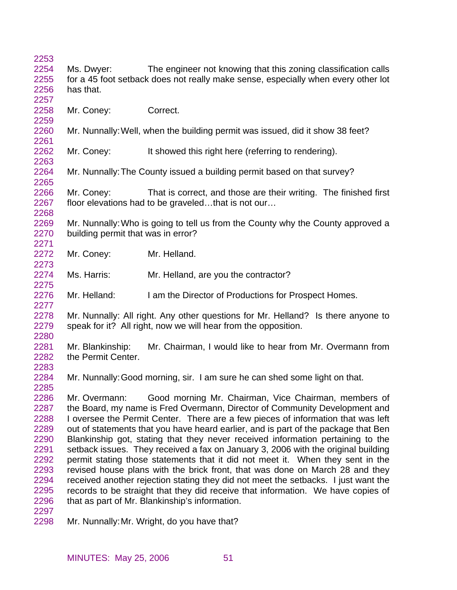| 2253 |                                    |                                                                                    |
|------|------------------------------------|------------------------------------------------------------------------------------|
| 2254 | Ms. Dwyer:                         | The engineer not knowing that this zoning classification calls                     |
| 2255 |                                    | for a 45 foot setback does not really make sense, especially when every other lot  |
| 2256 | has that.                          |                                                                                    |
| 2257 |                                    |                                                                                    |
| 2258 | Mr. Coney:                         | Correct.                                                                           |
| 2259 |                                    |                                                                                    |
| 2260 |                                    | Mr. Nunnally: Well, when the building permit was issued, did it show 38 feet?      |
| 2261 |                                    |                                                                                    |
| 2262 |                                    |                                                                                    |
|      | Mr. Coney:                         | It showed this right here (referring to rendering).                                |
| 2263 |                                    |                                                                                    |
| 2264 |                                    | Mr. Nunnally: The County issued a building permit based on that survey?            |
| 2265 |                                    |                                                                                    |
| 2266 | Mr. Coney:                         | That is correct, and those are their writing. The finished first                   |
| 2267 |                                    | floor elevations had to be graveledthat is not our                                 |
| 2268 |                                    |                                                                                    |
| 2269 |                                    | Mr. Nunnally: Who is going to tell us from the County why the County approved a    |
| 2270 | building permit that was in error? |                                                                                    |
| 2271 |                                    |                                                                                    |
| 2272 | Mr. Coney:                         | Mr. Helland.                                                                       |
| 2273 |                                    |                                                                                    |
| 2274 | Ms. Harris:                        | Mr. Helland, are you the contractor?                                               |
| 2275 |                                    |                                                                                    |
| 2276 | Mr. Helland:                       | I am the Director of Productions for Prospect Homes.                               |
| 2277 |                                    |                                                                                    |
| 2278 |                                    | Mr. Nunnally: All right. Any other questions for Mr. Helland? Is there anyone to   |
| 2279 |                                    | speak for it? All right, now we will hear from the opposition.                     |
| 2280 |                                    |                                                                                    |
| 2281 |                                    |                                                                                    |
|      | Mr. Blankinship:                   | Mr. Chairman, I would like to hear from Mr. Overmann from                          |
| 2282 | the Permit Center.                 |                                                                                    |
| 2283 |                                    |                                                                                    |
| 2284 |                                    | Mr. Nunnally: Good morning, sir. I am sure he can shed some light on that.         |
| 2285 |                                    |                                                                                    |
| 2286 | Mr. Overmann:                      | Good morning Mr. Chairman, Vice Chairman, members of                               |
| 2287 |                                    | the Board, my name is Fred Overmann, Director of Community Development and         |
| 2288 |                                    | I oversee the Permit Center. There are a few pieces of information that was left   |
| 2289 |                                    | out of statements that you have heard earlier, and is part of the package that Ben |
| 2290 |                                    | Blankinship got, stating that they never received information pertaining to the    |
| 2291 |                                    | setback issues. They received a fax on January 3, 2006 with the original building  |
| 2292 |                                    | permit stating those statements that it did not meet it. When they sent in the     |
| 2293 |                                    | revised house plans with the brick front, that was done on March 28 and they       |
| 2294 |                                    | received another rejection stating they did not meet the setbacks. I just want the |
| 2295 |                                    | records to be straight that they did receive that information. We have copies of   |
| 2296 |                                    | that as part of Mr. Blankinship's information.                                     |
| 2297 |                                    |                                                                                    |
| 2298 |                                    | Mr. Nunnally: Mr. Wright, do you have that?                                        |
|      |                                    |                                                                                    |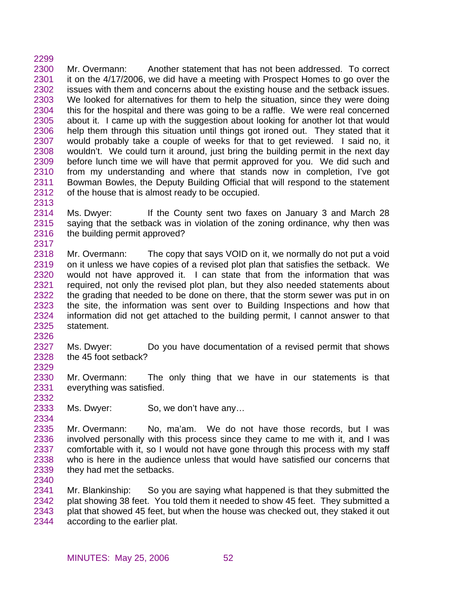2300 2301 2302 2303 2304 2305 2306 2307 2308 2309 2310 2311 2312 Mr. Overmann: Another statement that has not been addressed. To correct it on the 4/17/2006, we did have a meeting with Prospect Homes to go over the issues with them and concerns about the existing house and the setback issues. We looked for alternatives for them to help the situation, since they were doing this for the hospital and there was going to be a raffle. We were real concerned about it. I came up with the suggestion about looking for another lot that would help them through this situation until things got ironed out. They stated that it would probably take a couple of weeks for that to get reviewed. I said no, it wouldn't. We could turn it around, just bring the building permit in the next day before lunch time we will have that permit approved for you. We did such and from my understanding and where that stands now in completion, I've got Bowman Bowles, the Deputy Building Official that will respond to the statement of the house that is almost ready to be occupied.

2313

2299

2314 2315 2316 2317 Ms. Dwyer: If the County sent two faxes on January 3 and March 28 saying that the setback was in violation of the zoning ordinance, why then was the building permit approved?

2318 2319 2320 2321 2322 2323 2324 2325 Mr. Overmann: The copy that says VOID on it, we normally do not put a void on it unless we have copies of a revised plot plan that satisfies the setback. We would not have approved it. I can state that from the information that was required, not only the revised plot plan, but they also needed statements about the grading that needed to be done on there, that the storm sewer was put in on the site, the information was sent over to Building Inspections and how that information did not get attached to the building permit, I cannot answer to that statement.

2326 2327 2328 Ms. Dwyer: Do you have documentation of a revised permit that shows the 45 foot setback?

2330 2331 Mr. Overmann: The only thing that we have in our statements is that everything was satisfied.

- 2333 Ms. Dwyer: So, we don't have any...
- 2334 2335 2336 2337 2338 2339 Mr. Overmann: No, ma'am. We do not have those records, but I was involved personally with this process since they came to me with it, and I was comfortable with it, so I would not have gone through this process with my staff who is here in the audience unless that would have satisfied our concerns that they had met the setbacks.

2340

2329

2332

2341 2342 2343 2344 Mr. Blankinship: So you are saying what happened is that they submitted the plat showing 38 feet. You told them it needed to show 45 feet. They submitted a plat that showed 45 feet, but when the house was checked out, they staked it out according to the earlier plat.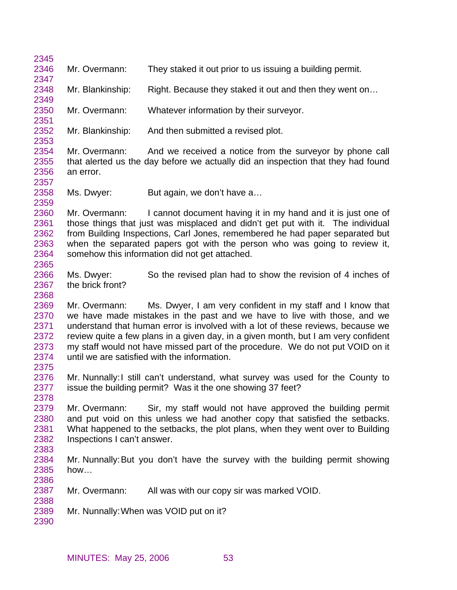| 2346<br>Mr. Overmann:<br>They staked it out prior to us issuing a building permit.<br>2347<br>2348<br>Right. Because they staked it out and then they went on<br>Mr. Blankinship:<br>2349<br>2350<br>Mr. Overmann:<br>Whatever information by their surveyor.<br>2351<br>2352<br>And then submitted a revised plot.<br>Mr. Blankinship:<br>2353<br>2354<br>Mr. Overmann:<br>And we received a notice from the surveyor by phone call<br>2355<br>that alerted us the day before we actually did an inspection that they had found<br>2356<br>an error.<br>2357<br>2358<br>Ms. Dwyer:<br>But again, we don't have a<br>2359<br>2360<br>I cannot document having it in my hand and it is just one of<br>Mr. Overmann:<br>2361<br>those things that just was misplaced and didn't get put with it. The individual<br>from Building Inspections, Carl Jones, remembered he had paper separated but<br>2362<br>2363<br>when the separated papers got with the person who was going to review it,<br>2364<br>somehow this information did not get attached.<br>2365<br>Ms. Dwyer:<br>2366<br>So the revised plan had to show the revision of 4 inches of<br>the brick front?<br>2367<br>2368<br>Ms. Dwyer, I am very confident in my staff and I know that<br>2369<br>Mr. Overmann:<br>we have made mistakes in the past and we have to live with those, and we<br>2370<br>understand that human error is involved with a lot of these reviews, because we<br>2371<br>review quite a few plans in a given day, in a given month, but I am very confident<br>2372<br>2373<br>my staff would not have missed part of the procedure. We do not put VOID on it<br>until we are satisfied with the information.<br>2374<br>2375<br>2376<br>Mr. Nunnally: I still can't understand, what survey was used for the County to<br>issue the building permit? Was it the one showing 37 feet?<br>2377<br>2378<br>2379<br>Mr. Overmann:<br>Sir, my staff would not have approved the building permit<br>2380<br>and put void on this unless we had another copy that satisfied the setbacks.<br>2381<br>What happened to the setbacks, the plot plans, when they went over to Building<br>2382<br>Inspections I can't answer.<br>2383<br>2384<br>Mr. Nunnally: But you don't have the survey with the building permit showing | 2345 |  |
|------------------------------------------------------------------------------------------------------------------------------------------------------------------------------------------------------------------------------------------------------------------------------------------------------------------------------------------------------------------------------------------------------------------------------------------------------------------------------------------------------------------------------------------------------------------------------------------------------------------------------------------------------------------------------------------------------------------------------------------------------------------------------------------------------------------------------------------------------------------------------------------------------------------------------------------------------------------------------------------------------------------------------------------------------------------------------------------------------------------------------------------------------------------------------------------------------------------------------------------------------------------------------------------------------------------------------------------------------------------------------------------------------------------------------------------------------------------------------------------------------------------------------------------------------------------------------------------------------------------------------------------------------------------------------------------------------------------------------------------------------------------------------------------------------------------------------------------------------------------------------------------------------------------------------------------------------------------------------------------------------------------------------------------------------------------------------------------------------------------------------------------------------------------------------------------------------------------------------------------------------------------------------------------------------------|------|--|
|                                                                                                                                                                                                                                                                                                                                                                                                                                                                                                                                                                                                                                                                                                                                                                                                                                                                                                                                                                                                                                                                                                                                                                                                                                                                                                                                                                                                                                                                                                                                                                                                                                                                                                                                                                                                                                                                                                                                                                                                                                                                                                                                                                                                                                                                                                            |      |  |
|                                                                                                                                                                                                                                                                                                                                                                                                                                                                                                                                                                                                                                                                                                                                                                                                                                                                                                                                                                                                                                                                                                                                                                                                                                                                                                                                                                                                                                                                                                                                                                                                                                                                                                                                                                                                                                                                                                                                                                                                                                                                                                                                                                                                                                                                                                            |      |  |
|                                                                                                                                                                                                                                                                                                                                                                                                                                                                                                                                                                                                                                                                                                                                                                                                                                                                                                                                                                                                                                                                                                                                                                                                                                                                                                                                                                                                                                                                                                                                                                                                                                                                                                                                                                                                                                                                                                                                                                                                                                                                                                                                                                                                                                                                                                            |      |  |
|                                                                                                                                                                                                                                                                                                                                                                                                                                                                                                                                                                                                                                                                                                                                                                                                                                                                                                                                                                                                                                                                                                                                                                                                                                                                                                                                                                                                                                                                                                                                                                                                                                                                                                                                                                                                                                                                                                                                                                                                                                                                                                                                                                                                                                                                                                            |      |  |
|                                                                                                                                                                                                                                                                                                                                                                                                                                                                                                                                                                                                                                                                                                                                                                                                                                                                                                                                                                                                                                                                                                                                                                                                                                                                                                                                                                                                                                                                                                                                                                                                                                                                                                                                                                                                                                                                                                                                                                                                                                                                                                                                                                                                                                                                                                            |      |  |
|                                                                                                                                                                                                                                                                                                                                                                                                                                                                                                                                                                                                                                                                                                                                                                                                                                                                                                                                                                                                                                                                                                                                                                                                                                                                                                                                                                                                                                                                                                                                                                                                                                                                                                                                                                                                                                                                                                                                                                                                                                                                                                                                                                                                                                                                                                            |      |  |
|                                                                                                                                                                                                                                                                                                                                                                                                                                                                                                                                                                                                                                                                                                                                                                                                                                                                                                                                                                                                                                                                                                                                                                                                                                                                                                                                                                                                                                                                                                                                                                                                                                                                                                                                                                                                                                                                                                                                                                                                                                                                                                                                                                                                                                                                                                            |      |  |
|                                                                                                                                                                                                                                                                                                                                                                                                                                                                                                                                                                                                                                                                                                                                                                                                                                                                                                                                                                                                                                                                                                                                                                                                                                                                                                                                                                                                                                                                                                                                                                                                                                                                                                                                                                                                                                                                                                                                                                                                                                                                                                                                                                                                                                                                                                            |      |  |
|                                                                                                                                                                                                                                                                                                                                                                                                                                                                                                                                                                                                                                                                                                                                                                                                                                                                                                                                                                                                                                                                                                                                                                                                                                                                                                                                                                                                                                                                                                                                                                                                                                                                                                                                                                                                                                                                                                                                                                                                                                                                                                                                                                                                                                                                                                            |      |  |
|                                                                                                                                                                                                                                                                                                                                                                                                                                                                                                                                                                                                                                                                                                                                                                                                                                                                                                                                                                                                                                                                                                                                                                                                                                                                                                                                                                                                                                                                                                                                                                                                                                                                                                                                                                                                                                                                                                                                                                                                                                                                                                                                                                                                                                                                                                            |      |  |
|                                                                                                                                                                                                                                                                                                                                                                                                                                                                                                                                                                                                                                                                                                                                                                                                                                                                                                                                                                                                                                                                                                                                                                                                                                                                                                                                                                                                                                                                                                                                                                                                                                                                                                                                                                                                                                                                                                                                                                                                                                                                                                                                                                                                                                                                                                            |      |  |
|                                                                                                                                                                                                                                                                                                                                                                                                                                                                                                                                                                                                                                                                                                                                                                                                                                                                                                                                                                                                                                                                                                                                                                                                                                                                                                                                                                                                                                                                                                                                                                                                                                                                                                                                                                                                                                                                                                                                                                                                                                                                                                                                                                                                                                                                                                            |      |  |
|                                                                                                                                                                                                                                                                                                                                                                                                                                                                                                                                                                                                                                                                                                                                                                                                                                                                                                                                                                                                                                                                                                                                                                                                                                                                                                                                                                                                                                                                                                                                                                                                                                                                                                                                                                                                                                                                                                                                                                                                                                                                                                                                                                                                                                                                                                            |      |  |
|                                                                                                                                                                                                                                                                                                                                                                                                                                                                                                                                                                                                                                                                                                                                                                                                                                                                                                                                                                                                                                                                                                                                                                                                                                                                                                                                                                                                                                                                                                                                                                                                                                                                                                                                                                                                                                                                                                                                                                                                                                                                                                                                                                                                                                                                                                            |      |  |
|                                                                                                                                                                                                                                                                                                                                                                                                                                                                                                                                                                                                                                                                                                                                                                                                                                                                                                                                                                                                                                                                                                                                                                                                                                                                                                                                                                                                                                                                                                                                                                                                                                                                                                                                                                                                                                                                                                                                                                                                                                                                                                                                                                                                                                                                                                            |      |  |
|                                                                                                                                                                                                                                                                                                                                                                                                                                                                                                                                                                                                                                                                                                                                                                                                                                                                                                                                                                                                                                                                                                                                                                                                                                                                                                                                                                                                                                                                                                                                                                                                                                                                                                                                                                                                                                                                                                                                                                                                                                                                                                                                                                                                                                                                                                            |      |  |
|                                                                                                                                                                                                                                                                                                                                                                                                                                                                                                                                                                                                                                                                                                                                                                                                                                                                                                                                                                                                                                                                                                                                                                                                                                                                                                                                                                                                                                                                                                                                                                                                                                                                                                                                                                                                                                                                                                                                                                                                                                                                                                                                                                                                                                                                                                            |      |  |
|                                                                                                                                                                                                                                                                                                                                                                                                                                                                                                                                                                                                                                                                                                                                                                                                                                                                                                                                                                                                                                                                                                                                                                                                                                                                                                                                                                                                                                                                                                                                                                                                                                                                                                                                                                                                                                                                                                                                                                                                                                                                                                                                                                                                                                                                                                            |      |  |
|                                                                                                                                                                                                                                                                                                                                                                                                                                                                                                                                                                                                                                                                                                                                                                                                                                                                                                                                                                                                                                                                                                                                                                                                                                                                                                                                                                                                                                                                                                                                                                                                                                                                                                                                                                                                                                                                                                                                                                                                                                                                                                                                                                                                                                                                                                            |      |  |
|                                                                                                                                                                                                                                                                                                                                                                                                                                                                                                                                                                                                                                                                                                                                                                                                                                                                                                                                                                                                                                                                                                                                                                                                                                                                                                                                                                                                                                                                                                                                                                                                                                                                                                                                                                                                                                                                                                                                                                                                                                                                                                                                                                                                                                                                                                            |      |  |
|                                                                                                                                                                                                                                                                                                                                                                                                                                                                                                                                                                                                                                                                                                                                                                                                                                                                                                                                                                                                                                                                                                                                                                                                                                                                                                                                                                                                                                                                                                                                                                                                                                                                                                                                                                                                                                                                                                                                                                                                                                                                                                                                                                                                                                                                                                            |      |  |
|                                                                                                                                                                                                                                                                                                                                                                                                                                                                                                                                                                                                                                                                                                                                                                                                                                                                                                                                                                                                                                                                                                                                                                                                                                                                                                                                                                                                                                                                                                                                                                                                                                                                                                                                                                                                                                                                                                                                                                                                                                                                                                                                                                                                                                                                                                            |      |  |
|                                                                                                                                                                                                                                                                                                                                                                                                                                                                                                                                                                                                                                                                                                                                                                                                                                                                                                                                                                                                                                                                                                                                                                                                                                                                                                                                                                                                                                                                                                                                                                                                                                                                                                                                                                                                                                                                                                                                                                                                                                                                                                                                                                                                                                                                                                            |      |  |
|                                                                                                                                                                                                                                                                                                                                                                                                                                                                                                                                                                                                                                                                                                                                                                                                                                                                                                                                                                                                                                                                                                                                                                                                                                                                                                                                                                                                                                                                                                                                                                                                                                                                                                                                                                                                                                                                                                                                                                                                                                                                                                                                                                                                                                                                                                            |      |  |
|                                                                                                                                                                                                                                                                                                                                                                                                                                                                                                                                                                                                                                                                                                                                                                                                                                                                                                                                                                                                                                                                                                                                                                                                                                                                                                                                                                                                                                                                                                                                                                                                                                                                                                                                                                                                                                                                                                                                                                                                                                                                                                                                                                                                                                                                                                            |      |  |
|                                                                                                                                                                                                                                                                                                                                                                                                                                                                                                                                                                                                                                                                                                                                                                                                                                                                                                                                                                                                                                                                                                                                                                                                                                                                                                                                                                                                                                                                                                                                                                                                                                                                                                                                                                                                                                                                                                                                                                                                                                                                                                                                                                                                                                                                                                            |      |  |
|                                                                                                                                                                                                                                                                                                                                                                                                                                                                                                                                                                                                                                                                                                                                                                                                                                                                                                                                                                                                                                                                                                                                                                                                                                                                                                                                                                                                                                                                                                                                                                                                                                                                                                                                                                                                                                                                                                                                                                                                                                                                                                                                                                                                                                                                                                            |      |  |
|                                                                                                                                                                                                                                                                                                                                                                                                                                                                                                                                                                                                                                                                                                                                                                                                                                                                                                                                                                                                                                                                                                                                                                                                                                                                                                                                                                                                                                                                                                                                                                                                                                                                                                                                                                                                                                                                                                                                                                                                                                                                                                                                                                                                                                                                                                            |      |  |
|                                                                                                                                                                                                                                                                                                                                                                                                                                                                                                                                                                                                                                                                                                                                                                                                                                                                                                                                                                                                                                                                                                                                                                                                                                                                                                                                                                                                                                                                                                                                                                                                                                                                                                                                                                                                                                                                                                                                                                                                                                                                                                                                                                                                                                                                                                            |      |  |
|                                                                                                                                                                                                                                                                                                                                                                                                                                                                                                                                                                                                                                                                                                                                                                                                                                                                                                                                                                                                                                                                                                                                                                                                                                                                                                                                                                                                                                                                                                                                                                                                                                                                                                                                                                                                                                                                                                                                                                                                                                                                                                                                                                                                                                                                                                            |      |  |
|                                                                                                                                                                                                                                                                                                                                                                                                                                                                                                                                                                                                                                                                                                                                                                                                                                                                                                                                                                                                                                                                                                                                                                                                                                                                                                                                                                                                                                                                                                                                                                                                                                                                                                                                                                                                                                                                                                                                                                                                                                                                                                                                                                                                                                                                                                            |      |  |
|                                                                                                                                                                                                                                                                                                                                                                                                                                                                                                                                                                                                                                                                                                                                                                                                                                                                                                                                                                                                                                                                                                                                                                                                                                                                                                                                                                                                                                                                                                                                                                                                                                                                                                                                                                                                                                                                                                                                                                                                                                                                                                                                                                                                                                                                                                            |      |  |
|                                                                                                                                                                                                                                                                                                                                                                                                                                                                                                                                                                                                                                                                                                                                                                                                                                                                                                                                                                                                                                                                                                                                                                                                                                                                                                                                                                                                                                                                                                                                                                                                                                                                                                                                                                                                                                                                                                                                                                                                                                                                                                                                                                                                                                                                                                            |      |  |
|                                                                                                                                                                                                                                                                                                                                                                                                                                                                                                                                                                                                                                                                                                                                                                                                                                                                                                                                                                                                                                                                                                                                                                                                                                                                                                                                                                                                                                                                                                                                                                                                                                                                                                                                                                                                                                                                                                                                                                                                                                                                                                                                                                                                                                                                                                            |      |  |
|                                                                                                                                                                                                                                                                                                                                                                                                                                                                                                                                                                                                                                                                                                                                                                                                                                                                                                                                                                                                                                                                                                                                                                                                                                                                                                                                                                                                                                                                                                                                                                                                                                                                                                                                                                                                                                                                                                                                                                                                                                                                                                                                                                                                                                                                                                            |      |  |
|                                                                                                                                                                                                                                                                                                                                                                                                                                                                                                                                                                                                                                                                                                                                                                                                                                                                                                                                                                                                                                                                                                                                                                                                                                                                                                                                                                                                                                                                                                                                                                                                                                                                                                                                                                                                                                                                                                                                                                                                                                                                                                                                                                                                                                                                                                            |      |  |
|                                                                                                                                                                                                                                                                                                                                                                                                                                                                                                                                                                                                                                                                                                                                                                                                                                                                                                                                                                                                                                                                                                                                                                                                                                                                                                                                                                                                                                                                                                                                                                                                                                                                                                                                                                                                                                                                                                                                                                                                                                                                                                                                                                                                                                                                                                            |      |  |
|                                                                                                                                                                                                                                                                                                                                                                                                                                                                                                                                                                                                                                                                                                                                                                                                                                                                                                                                                                                                                                                                                                                                                                                                                                                                                                                                                                                                                                                                                                                                                                                                                                                                                                                                                                                                                                                                                                                                                                                                                                                                                                                                                                                                                                                                                                            |      |  |
| 2385<br>how                                                                                                                                                                                                                                                                                                                                                                                                                                                                                                                                                                                                                                                                                                                                                                                                                                                                                                                                                                                                                                                                                                                                                                                                                                                                                                                                                                                                                                                                                                                                                                                                                                                                                                                                                                                                                                                                                                                                                                                                                                                                                                                                                                                                                                                                                                |      |  |
| 2386                                                                                                                                                                                                                                                                                                                                                                                                                                                                                                                                                                                                                                                                                                                                                                                                                                                                                                                                                                                                                                                                                                                                                                                                                                                                                                                                                                                                                                                                                                                                                                                                                                                                                                                                                                                                                                                                                                                                                                                                                                                                                                                                                                                                                                                                                                       |      |  |
| 2387<br>Mr. Overmann:<br>All was with our copy sir was marked VOID.                                                                                                                                                                                                                                                                                                                                                                                                                                                                                                                                                                                                                                                                                                                                                                                                                                                                                                                                                                                                                                                                                                                                                                                                                                                                                                                                                                                                                                                                                                                                                                                                                                                                                                                                                                                                                                                                                                                                                                                                                                                                                                                                                                                                                                        |      |  |
| 2388                                                                                                                                                                                                                                                                                                                                                                                                                                                                                                                                                                                                                                                                                                                                                                                                                                                                                                                                                                                                                                                                                                                                                                                                                                                                                                                                                                                                                                                                                                                                                                                                                                                                                                                                                                                                                                                                                                                                                                                                                                                                                                                                                                                                                                                                                                       |      |  |
| 2389<br>Mr. Nunnally: When was VOID put on it?                                                                                                                                                                                                                                                                                                                                                                                                                                                                                                                                                                                                                                                                                                                                                                                                                                                                                                                                                                                                                                                                                                                                                                                                                                                                                                                                                                                                                                                                                                                                                                                                                                                                                                                                                                                                                                                                                                                                                                                                                                                                                                                                                                                                                                                             |      |  |
| 2390                                                                                                                                                                                                                                                                                                                                                                                                                                                                                                                                                                                                                                                                                                                                                                                                                                                                                                                                                                                                                                                                                                                                                                                                                                                                                                                                                                                                                                                                                                                                                                                                                                                                                                                                                                                                                                                                                                                                                                                                                                                                                                                                                                                                                                                                                                       |      |  |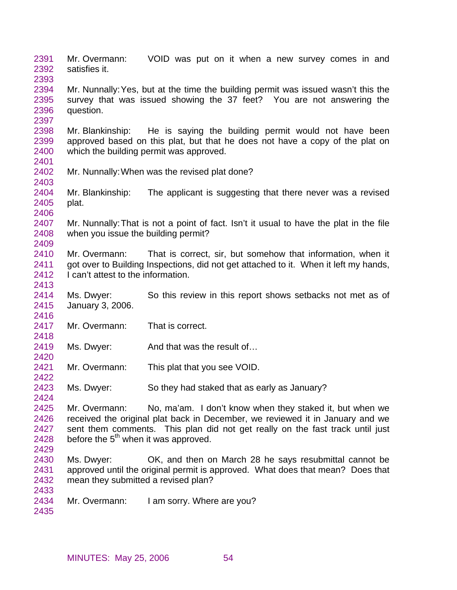2391 2392 2393 2394 2395 2396 2397 2398 2399 2400 2401 2402 2403 2404 2405 2406 2407 2408 2409 2410 2411 2412 2413 2414 2415 2416 2417 2418 2419 2420 2421 2422 2423 2424 2425 2426 2427 2428 2429 2430 2431 2432 2433 2434 2435 Mr. Overmann: VOID was put on it when a new survey comes in and satisfies it. Mr. Nunnally: Yes, but at the time the building permit was issued wasn't this the survey that was issued showing the 37 feet? You are not answering the question. Mr. Blankinship: He is saying the building permit would not have been approved based on this plat, but that he does not have a copy of the plat on which the building permit was approved. Mr. Nunnally: When was the revised plat done? Mr. Blankinship: The applicant is suggesting that there never was a revised plat. Mr. Nunnally: That is not a point of fact. Isn't it usual to have the plat in the file when you issue the building permit? Mr. Overmann: That is correct, sir, but somehow that information, when it got over to Building Inspections, did not get attached to it. When it left my hands, I can't attest to the information. Ms. Dwyer: So this review in this report shows setbacks not met as of January 3, 2006. Mr. Overmann: That is correct. Ms. Dwyer: And that was the result of... Mr. Overmann: This plat that you see VOID. Ms. Dwyer: So they had staked that as early as January? Mr. Overmann: No, ma'am. I don't know when they staked it, but when we received the original plat back in December, we reviewed it in January and we sent them comments. This plan did not get really on the fast track until just before the  $5<sup>th</sup>$  when it was approved. Ms. Dwyer: OK, and then on March 28 he says resubmittal cannot be approved until the original permit is approved. What does that mean? Does that mean they submitted a revised plan? Mr. Overmann: I am sorry. Where are you?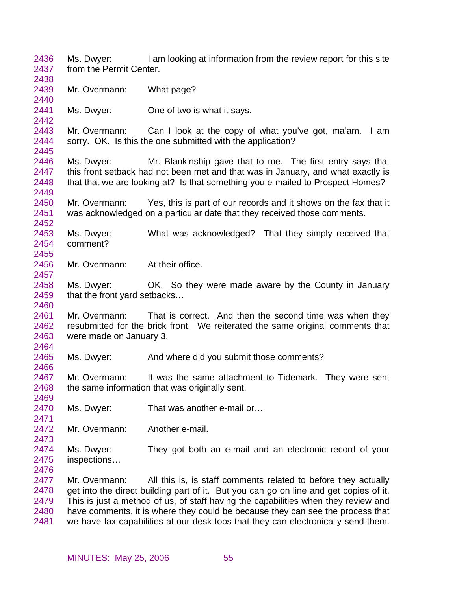2436 2437 2438 2439 2440 2441 2442 2443 2444 2445 2446 2447 2448 2449 2450 2451 2452 2453 2454 2455 2456 2457 2458 2459 2460 2461 2462 2463 2464 2465 2466 2467 2468 2469 2470 2471 2472 2473 2474 2475 2476 2477 2478 2479 2480 2481 Ms. Dwyer: I am looking at information from the review report for this site from the Permit Center. Mr. Overmann: What page? Ms. Dwyer: One of two is what it says. Mr. Overmann: Can I look at the copy of what you've got, ma'am. I am sorry. OK. Is this the one submitted with the application? Ms. Dwyer: Mr. Blankinship gave that to me. The first entry says that this front setback had not been met and that was in January, and what exactly is that that we are looking at? Is that something you e-mailed to Prospect Homes? Mr. Overmann: Yes, this is part of our records and it shows on the fax that it was acknowledged on a particular date that they received those comments. Ms. Dwyer: What was acknowledged? That they simply received that comment? Mr. Overmann: At their office. Ms. Dwyer: OK. So they were made aware by the County in January that the front yard setbacks… Mr. Overmann: That is correct. And then the second time was when they resubmitted for the brick front. We reiterated the same original comments that were made on January 3. Ms. Dwyer: And where did you submit those comments? Mr. Overmann: It was the same attachment to Tidemark. They were sent the same information that was originally sent. Ms. Dwyer: That was another e-mail or... Mr. Overmann: Another e-mail. Ms. Dwyer: They got both an e-mail and an electronic record of your inspections… Mr. Overmann: All this is, is staff comments related to before they actually get into the direct building part of it. But you can go on line and get copies of it. This is just a method of us, of staff having the capabilities when they review and have comments, it is where they could be because they can see the process that we have fax capabilities at our desk tops that they can electronically send them.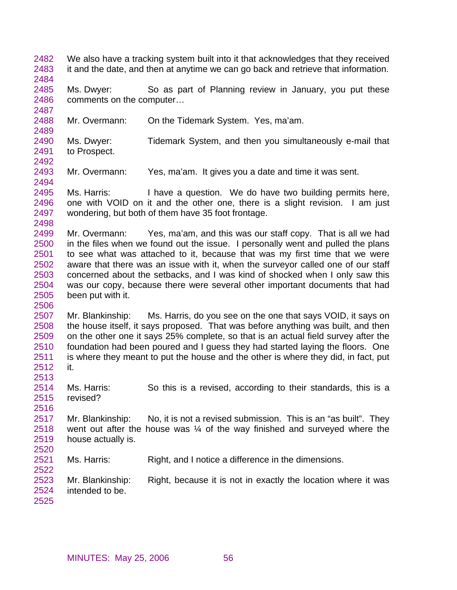2482 2483 2484 2485 2486 2487 2488 2489 2490 2491 2492 2493 2494 2495 2496 2497 2498 2499 2500 2501 2502 2503 2504 2505 2506 2507 2508 2509 2510 2511 2512 2513 2514 2515 2516 2517 2518 2519 2520 2521 2522 2523 2524 2525 We also have a tracking system built into it that acknowledges that they received it and the date, and then at anytime we can go back and retrieve that information. Ms. Dwyer: So as part of Planning review in January, you put these comments on the computer… Mr. Overmann: On the Tidemark System. Yes, ma'am. Ms. Dwyer: Tidemark System, and then you simultaneously e-mail that to Prospect. Mr. Overmann: Yes, ma'am. It gives you a date and time it was sent. Ms. Harris: I have a question. We do have two building permits here, one with VOID on it and the other one, there is a slight revision. I am just wondering, but both of them have 35 foot frontage. Mr. Overmann: Yes, ma'am, and this was our staff copy. That is all we had in the files when we found out the issue. I personally went and pulled the plans to see what was attached to it, because that was my first time that we were aware that there was an issue with it, when the surveyor called one of our staff concerned about the setbacks, and I was kind of shocked when I only saw this was our copy, because there were several other important documents that had been put with it. Mr. Blankinship: Ms. Harris, do you see on the one that says VOID, it says on the house itself, it says proposed. That was before anything was built, and then on the other one it says 25% complete, so that is an actual field survey after the foundation had been poured and I guess they had started laying the floors. One is where they meant to put the house and the other is where they did, in fact, put it. Ms. Harris: So this is a revised, according to their standards, this is a revised? Mr. Blankinship: No, it is not a revised submission. This is an "as built". They went out after the house was ¼ of the way finished and surveyed where the house actually is. Ms. Harris: Right, and I notice a difference in the dimensions. Mr. Blankinship: Right, because it is not in exactly the location where it was intended to be.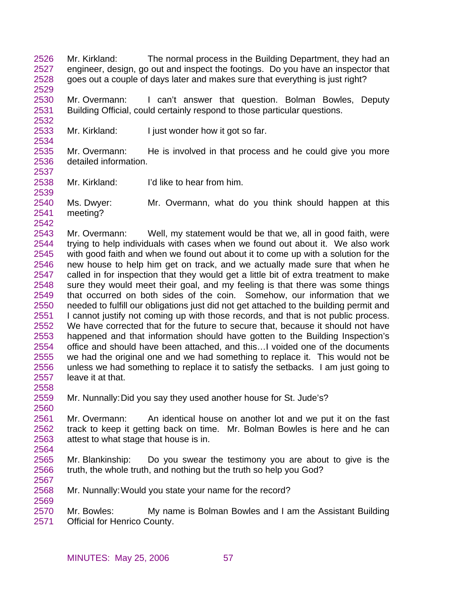2526 2527 2528 Mr. Kirkland: The normal process in the Building Department, they had an engineer, design, go out and inspect the footings. Do you have an inspector that goes out a couple of days later and makes sure that everything is just right?

2530 2531 Mr. Overmann: I can't answer that question. Bolman Bowles, Deputy Building Official, could certainly respond to those particular questions.

2533 Mr. Kirkland: I just wonder how it got so far.

2535 2536 Mr. Overmann: He is involved in that process and he could give you more detailed information.

2538 Mr. Kirkland: I'd like to hear from him.

2540 2541 Ms. Dwyer: Mr. Overmann, what do you think should happen at this meeting?

2542

2529

2532

2534

2537

2539

2543 2544 2545 2546 2547 2548 2549 2550 2551 2552 2553 2554 2555 2556 2557 Mr. Overmann: Well, my statement would be that we, all in good faith, were trying to help individuals with cases when we found out about it. We also work with good faith and when we found out about it to come up with a solution for the new house to help him get on track, and we actually made sure that when he called in for inspection that they would get a little bit of extra treatment to make sure they would meet their goal, and my feeling is that there was some things that occurred on both sides of the coin. Somehow, our information that we needed to fulfill our obligations just did not get attached to the building permit and I cannot justify not coming up with those records, and that is not public process. We have corrected that for the future to secure that, because it should not have happened and that information should have gotten to the Building Inspection's office and should have been attached, and this…I voided one of the documents we had the original one and we had something to replace it. This would not be unless we had something to replace it to satisfy the setbacks. I am just going to leave it at that.

2558

2560

2564

2567

2569

2559 Mr. Nunnally: Did you say they used another house for St. Jude's?

2561 2562 2563 Mr. Overmann: An identical house on another lot and we put it on the fast track to keep it getting back on time. Mr. Bolman Bowles is here and he can attest to what stage that house is in.

- 2565 2566 Mr. Blankinship: Do you swear the testimony you are about to give is the truth, the whole truth, and nothing but the truth so help you God?
- 2568 Mr. Nunnally: Would you state your name for the record?

2570 2571 Mr. Bowles: My name is Bolman Bowles and I am the Assistant Building Official for Henrico County.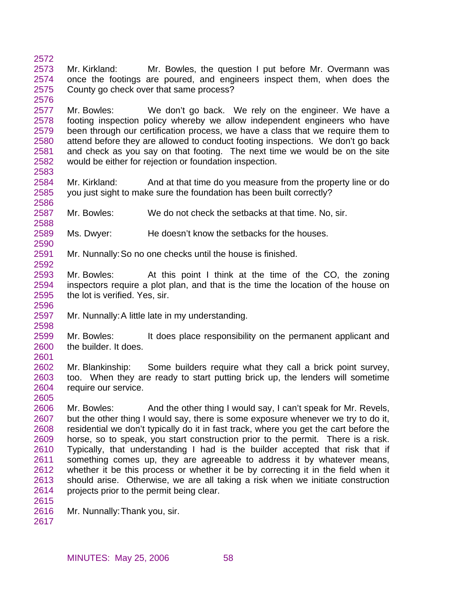2572 2573 2574 2575 2576 Mr. Kirkland: Mr. Bowles, the question I put before Mr. Overmann was once the footings are poured, and engineers inspect them, when does the County go check over that same process?

2577 2578 2579 2580 2581 2582 2583 Mr. Bowles: We don't go back. We rely on the engineer. We have a footing inspection policy whereby we allow independent engineers who have been through our certification process, we have a class that we require them to attend before they are allowed to conduct footing inspections. We don't go back and check as you say on that footing. The next time we would be on the site would be either for rejection or foundation inspection.

2584 2585 2586 Mr. Kirkland: And at that time do you measure from the property line or do you just sight to make sure the foundation has been built correctly?

2587 Mr. Bowles: We do not check the setbacks at that time. No, sir.

2589 Ms. Dwyer: He doesn't know the setbacks for the houses.

2591 Mr. Nunnally: So no one checks until the house is finished.

2593 2594 2595 Mr. Bowles: At this point I think at the time of the CO, the zoning inspectors require a plot plan, and that is the time the location of the house on the lot is verified. Yes, sir.

2597 Mr. Nunnally: A little late in my understanding.

2599 2600 Mr. Bowles: It does place responsibility on the permanent applicant and the builder. It does.

2601

2588

2590

2592

2596

2598

2602 2603 2604 2605 Mr. Blankinship: Some builders require what they call a brick point survey, too. When they are ready to start putting brick up, the lenders will sometime require our service.

2606 2607 2608 2609 2610 2611 2612 2613 2614 Mr. Bowles: And the other thing I would say, I can't speak for Mr. Revels, but the other thing I would say, there is some exposure whenever we try to do it, residential we don't typically do it in fast track, where you get the cart before the horse, so to speak, you start construction prior to the permit. There is a risk. Typically, that understanding I had is the builder accepted that risk that if something comes up, they are agreeable to address it by whatever means, whether it be this process or whether it be by correcting it in the field when it should arise. Otherwise, we are all taking a risk when we initiate construction projects prior to the permit being clear.

2616 Mr. Nunnally: Thank you, sir.

2617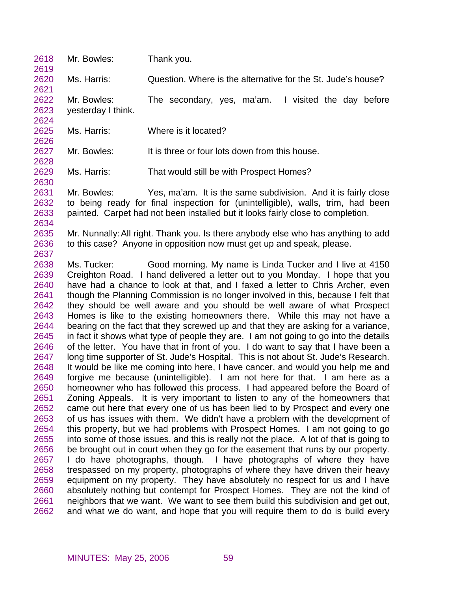| 2618<br>2619                                                                                                                                                                                         | Mr. Bowles:                       | Thank you.                                                                                                                                                                                                                                                                                                                                                                                                                                                                                                                                                                                                                                                                                                                                                                                                                                                                                                                                                                                                                                                                                                                                                                                                                                                                                                                                                                                                                                                                                                                                                                                                                                                                                                                                                                                                                                                                                                                                                                                                                                                                               |
|------------------------------------------------------------------------------------------------------------------------------------------------------------------------------------------------------|-----------------------------------|------------------------------------------------------------------------------------------------------------------------------------------------------------------------------------------------------------------------------------------------------------------------------------------------------------------------------------------------------------------------------------------------------------------------------------------------------------------------------------------------------------------------------------------------------------------------------------------------------------------------------------------------------------------------------------------------------------------------------------------------------------------------------------------------------------------------------------------------------------------------------------------------------------------------------------------------------------------------------------------------------------------------------------------------------------------------------------------------------------------------------------------------------------------------------------------------------------------------------------------------------------------------------------------------------------------------------------------------------------------------------------------------------------------------------------------------------------------------------------------------------------------------------------------------------------------------------------------------------------------------------------------------------------------------------------------------------------------------------------------------------------------------------------------------------------------------------------------------------------------------------------------------------------------------------------------------------------------------------------------------------------------------------------------------------------------------------------------|
| 2620<br>2621                                                                                                                                                                                         | Ms. Harris:                       | Question. Where is the alternative for the St. Jude's house?                                                                                                                                                                                                                                                                                                                                                                                                                                                                                                                                                                                                                                                                                                                                                                                                                                                                                                                                                                                                                                                                                                                                                                                                                                                                                                                                                                                                                                                                                                                                                                                                                                                                                                                                                                                                                                                                                                                                                                                                                             |
| 2622<br>2623<br>2624                                                                                                                                                                                 | Mr. Bowles:<br>yesterday I think. | I visited the day before<br>The secondary, yes, ma'am.                                                                                                                                                                                                                                                                                                                                                                                                                                                                                                                                                                                                                                                                                                                                                                                                                                                                                                                                                                                                                                                                                                                                                                                                                                                                                                                                                                                                                                                                                                                                                                                                                                                                                                                                                                                                                                                                                                                                                                                                                                   |
| 2625<br>2626                                                                                                                                                                                         | Ms. Harris:                       | Where is it located?                                                                                                                                                                                                                                                                                                                                                                                                                                                                                                                                                                                                                                                                                                                                                                                                                                                                                                                                                                                                                                                                                                                                                                                                                                                                                                                                                                                                                                                                                                                                                                                                                                                                                                                                                                                                                                                                                                                                                                                                                                                                     |
| 2627<br>2628                                                                                                                                                                                         | Mr. Bowles:                       | It is three or four lots down from this house.                                                                                                                                                                                                                                                                                                                                                                                                                                                                                                                                                                                                                                                                                                                                                                                                                                                                                                                                                                                                                                                                                                                                                                                                                                                                                                                                                                                                                                                                                                                                                                                                                                                                                                                                                                                                                                                                                                                                                                                                                                           |
| 2629<br>2630                                                                                                                                                                                         | Ms. Harris:                       | That would still be with Prospect Homes?                                                                                                                                                                                                                                                                                                                                                                                                                                                                                                                                                                                                                                                                                                                                                                                                                                                                                                                                                                                                                                                                                                                                                                                                                                                                                                                                                                                                                                                                                                                                                                                                                                                                                                                                                                                                                                                                                                                                                                                                                                                 |
| 2631<br>2632<br>2633<br>2634<br>2635                                                                                                                                                                 | Mr. Bowles:                       | Yes, ma'am. It is the same subdivision. And it is fairly close<br>to being ready for final inspection for (unintelligible), walls, trim, had been<br>painted. Carpet had not been installed but it looks fairly close to completion.<br>Mr. Nunnally: All right. Thank you. Is there anybody else who has anything to add                                                                                                                                                                                                                                                                                                                                                                                                                                                                                                                                                                                                                                                                                                                                                                                                                                                                                                                                                                                                                                                                                                                                                                                                                                                                                                                                                                                                                                                                                                                                                                                                                                                                                                                                                                |
| 2636<br>2637                                                                                                                                                                                         |                                   | to this case? Anyone in opposition now must get up and speak, please.                                                                                                                                                                                                                                                                                                                                                                                                                                                                                                                                                                                                                                                                                                                                                                                                                                                                                                                                                                                                                                                                                                                                                                                                                                                                                                                                                                                                                                                                                                                                                                                                                                                                                                                                                                                                                                                                                                                                                                                                                    |
| 2638<br>2639<br>2640<br>2641<br>2642<br>2643<br>2644<br>2645<br>2646<br>2647<br>2648<br>2649<br>2650<br>2651<br>2652<br>2653<br>2654<br>2655<br>2656<br>2657<br>2658<br>2659<br>2660<br>2661<br>2662 | Ms. Tucker:                       | Good morning. My name is Linda Tucker and I live at 4150<br>Creighton Road. I hand delivered a letter out to you Monday. I hope that you<br>have had a chance to look at that, and I faxed a letter to Chris Archer, even<br>though the Planning Commission is no longer involved in this, because I felt that<br>they should be well aware and you should be well aware of what Prospect<br>Homes is like to the existing homeowners there. While this may not have a<br>bearing on the fact that they screwed up and that they are asking for a variance,<br>in fact it shows what type of people they are. I am not going to go into the details<br>of the letter. You have that in front of you. I do want to say that I have been a<br>long time supporter of St. Jude's Hospital. This is not about St. Jude's Research.<br>It would be like me coming into here, I have cancer, and would you help me and<br>forgive me because (unintelligible). I am not here for that. I am here as a<br>homeowner who has followed this process. I had appeared before the Board of<br>Zoning Appeals. It is very important to listen to any of the homeowners that<br>came out here that every one of us has been lied to by Prospect and every one<br>of us has issues with them. We didn't have a problem with the development of<br>this property, but we had problems with Prospect Homes. I am not going to go<br>into some of those issues, and this is really not the place. A lot of that is going to<br>be brought out in court when they go for the easement that runs by our property.<br>I do have photographs, though. I have photographs of where they have<br>trespassed on my property, photographs of where they have driven their heavy<br>equipment on my property. They have absolutely no respect for us and I have<br>absolutely nothing but contempt for Prospect Homes. They are not the kind of<br>neighbors that we want. We want to see them build this subdivision and get out,<br>and what we do want, and hope that you will require them to do is build every |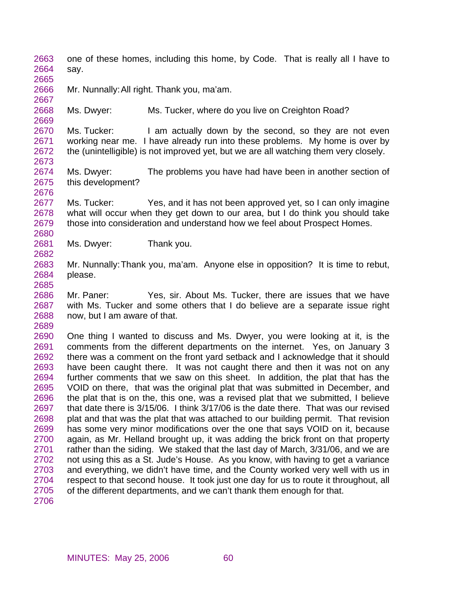2663 2664 one of these homes, including this home, by Code. That is really all I have to say.

2666 Mr. Nunnally: All right. Thank you, ma'am.

2665

2667

2669

2673

2676

2680

2682

2685

2689

2668 Ms. Dwyer: Ms. Tucker, where do you live on Creighton Road?

2670 2671 2672 Ms. Tucker: I am actually down by the second, so they are not even working near me. I have already run into these problems. My home is over by the (unintelligible) is not improved yet, but we are all watching them very closely.

2674 2675 Ms. Dwyer: The problems you have had have been in another section of this development?

2677 2678 2679 Ms. Tucker: Yes, and it has not been approved yet, so I can only imagine what will occur when they get down to our area, but I do think you should take those into consideration and understand how we feel about Prospect Homes.

2681 Ms. Dwyer: Thank you.

2683 2684 Mr. Nunnally: Thank you, ma'am. Anyone else in opposition? It is time to rebut, please.

2686 2687 2688 Mr. Paner: Yes, sir. About Ms. Tucker, there are issues that we have with Ms. Tucker and some others that I do believe are a separate issue right now, but I am aware of that.

2690 2691 2692 2693 2694 2695 2696 2697 2698 2699 2700 2701 2702 2703 2704 2705 2706 One thing I wanted to discuss and Ms. Dwyer, you were looking at it, is the comments from the different departments on the internet. Yes, on January 3 there was a comment on the front yard setback and I acknowledge that it should have been caught there. It was not caught there and then it was not on any further comments that we saw on this sheet. In addition, the plat that has the VOID on there, that was the original plat that was submitted in December, and the plat that is on the, this one, was a revised plat that we submitted, I believe that date there is 3/15/06. I think 3/17/06 is the date there. That was our revised plat and that was the plat that was attached to our building permit. That revision has some very minor modifications over the one that says VOID on it, because again, as Mr. Helland brought up, it was adding the brick front on that property rather than the siding. We staked that the last day of March, 3/31/06, and we are not using this as a St. Jude's House. As you know, with having to get a variance and everything, we didn't have time, and the County worked very well with us in respect to that second house. It took just one day for us to route it throughout, all of the different departments, and we can't thank them enough for that.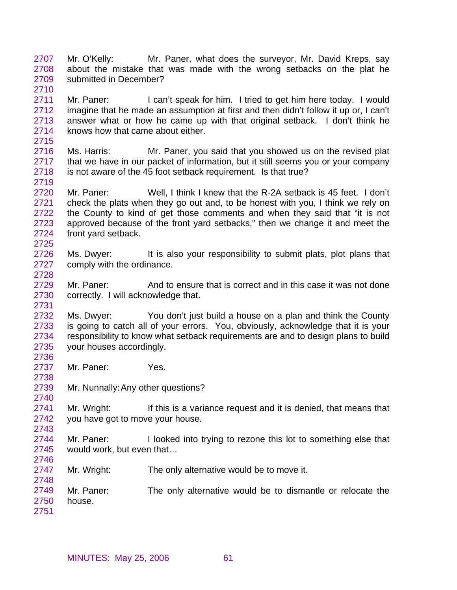- 2707 2708 2709 Mr. O'Kelly: Mr. Paner, what does the surveyor, Mr. David Kreps, say about the mistake that was made with the wrong setbacks on the plat he submitted in December?
- 2711 2712 2713 2714 Mr. Paner: I can't speak for him. I tried to get him here today. I would imagine that he made an assumption at first and then didn't follow it up or, I can't answer what or how he came up with that original setback. I don't think he knows how that came about either.
- 2716 2717 2718 Ms. Harris: Mr. Paner, you said that you showed us on the revised plat that we have in our packet of information, but it still seems you or your company is not aware of the 45 foot setback requirement. Is that true?
- 2720 2721 2722 2723 2724 Mr. Paner: Well, I think I knew that the R-2A setback is 45 feet. I don't check the plats when they go out and, to be honest with you, I think we rely on the County to kind of get those comments and when they said that "it is not approved because of the front yard setbacks," then we change it and meet the front yard setback.
- 2726 2727 2728 Ms. Dwyer: It is also your responsibility to submit plats, plot plans that comply with the ordinance.
- 2729 2730 Mr. Paner: And to ensure that is correct and in this case it was not done correctly. I will acknowledge that.
- 2732 2733 2734 2735 2736 Ms. Dwyer: You don't just build a house on a plan and think the County is going to catch all of your errors. You, obviously, acknowledge that it is your responsibility to know what setback requirements are and to design plans to build your houses accordingly.
- 2737 2738 Mr. Paner: Yes.

2710

2715

2719

2725

2731

2740

2743

- 2739 Mr. Nunnally: Any other questions?
- 2741 2742 Mr. Wright: If this is a variance request and it is denied, that means that you have got to move your house.
- 2744 2745 2746 Mr. Paner: I looked into trying to rezone this lot to something else that would work, but even that…
- 2747 Mr. Wright: The only alternative would be to move it.
- 2749 2750 2751 Mr. Paner: The only alternative would be to dismantle or relocate the house.
	- MINUTES: May 25, 2006 61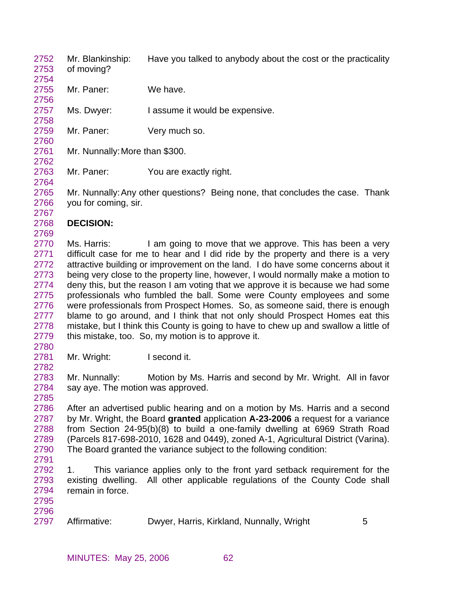- 2752 2753 Mr. Blankinship: Have you talked to anybody about the cost or the practicality of moving?
- 2755 Mr. Paner: We have.
- 2757 Ms. Dwyer: I assume it would be expensive.
- 2759 Mr. Paner: Very much so.
- 2761 Mr. Nunnally: More than \$300.
- 2763 Mr. Paner: You are exactly right.

2765 2766 Mr. Nunnally: Any other questions? Being none, that concludes the case. Thank you for coming, sir.

2768 **DECISION:** 

2770 2771 2772 2773 2774 2775 2776 2777 2778 2779 Ms. Harris: I am going to move that we approve. This has been a very difficult case for me to hear and I did ride by the property and there is a very attractive building or improvement on the land. I do have some concerns about it being very close to the property line, however, I would normally make a motion to deny this, but the reason I am voting that we approve it is because we had some professionals who fumbled the ball. Some were County employees and some were professionals from Prospect Homes. So, as someone said, there is enough blame to go around, and I think that not only should Prospect Homes eat this mistake, but I think this County is going to have to chew up and swallow a little of this mistake, too. So, my motion is to approve it.

2780 2781

2782

2785

2754

2756

2758

2760

2762

2764

2767

2769

Mr. Wright: I second it.

2783 2784 Mr. Nunnally: Motion by Ms. Harris and second by Mr. Wright. All in favor say aye. The motion was approved.

2786 2787 2788 2789 2790 After an advertised public hearing and on a motion by Ms. Harris and a second by Mr. Wright, the Board **granted** application **A-23-2006** a request for a variance from Section 24-95(b)(8) to build a one-family dwelling at 6969 Strath Road (Parcels 817-698-2010, 1628 and 0449), zoned A-1, Agricultural District (Varina). The Board granted the variance subject to the following condition:

2791

2792 2793 2794 1. This variance applies only to the front yard setback requirement for the existing dwelling. All other applicable regulations of the County Code shall remain in force.

2795 2796

2797 Affirmative: Dwyer, Harris, Kirkland, Nunnally, Wright 5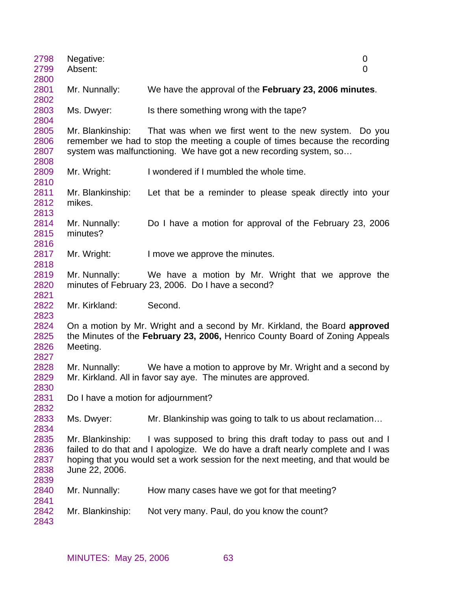| 2798<br>2799                         | Negative:<br>Absent:                | 0<br>0                                                                                                                                                                                                                            |
|--------------------------------------|-------------------------------------|-----------------------------------------------------------------------------------------------------------------------------------------------------------------------------------------------------------------------------------|
| 2800                                 |                                     |                                                                                                                                                                                                                                   |
| 2801<br>2802                         | Mr. Nunnally:                       | We have the approval of the February 23, 2006 minutes.                                                                                                                                                                            |
| 2803<br>2804                         | Ms. Dwyer:                          | Is there something wrong with the tape?                                                                                                                                                                                           |
| 2805<br>2806<br>2807                 | Mr. Blankinship:                    | That was when we first went to the new system. Do you<br>remember we had to stop the meeting a couple of times because the recording<br>system was malfunctioning. We have got a new recording system, so                         |
| 2808<br>2809<br>2810                 | Mr. Wright:                         | I wondered if I mumbled the whole time.                                                                                                                                                                                           |
| 2811<br>2812<br>2813                 | Mr. Blankinship:<br>mikes.          | Let that be a reminder to please speak directly into your                                                                                                                                                                         |
| 2814<br>2815<br>2816                 | Mr. Nunnally:<br>minutes?           | Do I have a motion for approval of the February 23, 2006                                                                                                                                                                          |
| 2817<br>2818                         | Mr. Wright:                         | I move we approve the minutes.                                                                                                                                                                                                    |
| 2819<br>2820<br>2821                 | Mr. Nunnally:                       | We have a motion by Mr. Wright that we approve the<br>minutes of February 23, 2006. Do I have a second?                                                                                                                           |
| 2822<br>2823                         | Mr. Kirkland:                       | Second.                                                                                                                                                                                                                           |
| 2824<br>2825<br>2826<br>2827         | Meeting.                            | On a motion by Mr. Wright and a second by Mr. Kirkland, the Board approved<br>the Minutes of the February 23, 2006, Henrico County Board of Zoning Appeals                                                                        |
| 2828<br>2829<br>2830                 | Mr. Nunnally:                       | We have a motion to approve by Mr. Wright and a second by<br>Mr. Kirkland. All in favor say aye. The minutes are approved.                                                                                                        |
| 2831<br>2832                         | Do I have a motion for adjournment? |                                                                                                                                                                                                                                   |
| 2833<br>2834                         | Ms. Dwyer:                          | Mr. Blankinship was going to talk to us about reclamation                                                                                                                                                                         |
| 2835<br>2836<br>2837<br>2838<br>2839 | Mr. Blankinship:<br>June 22, 2006.  | I was supposed to bring this draft today to pass out and I<br>failed to do that and I apologize. We do have a draft nearly complete and I was<br>hoping that you would set a work session for the next meeting, and that would be |
| 2840<br>2841                         | Mr. Nunnally:                       | How many cases have we got for that meeting?                                                                                                                                                                                      |
| 2842<br>2843                         | Mr. Blankinship:                    | Not very many. Paul, do you know the count?                                                                                                                                                                                       |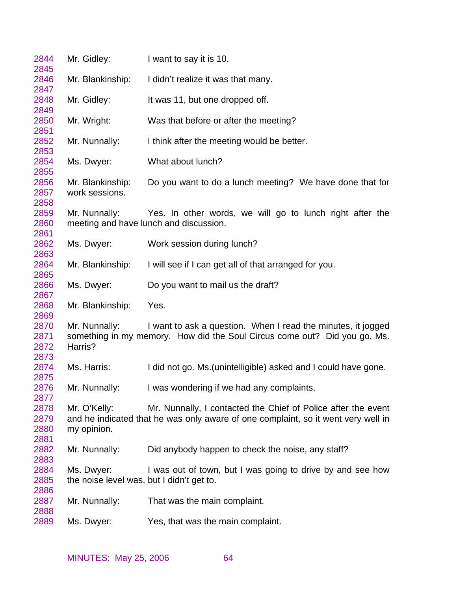| 2844<br>2845                 | Mr. Gidley:                                             | I want to say it is 10.                                                                                                                            |
|------------------------------|---------------------------------------------------------|----------------------------------------------------------------------------------------------------------------------------------------------------|
| 2846<br>2847                 | Mr. Blankinship:                                        | I didn't realize it was that many.                                                                                                                 |
| 2848                         | Mr. Gidley:                                             | It was 11, but one dropped off.                                                                                                                    |
| 2849<br>2850                 | Mr. Wright:                                             | Was that before or after the meeting?                                                                                                              |
| 2851<br>2852                 | Mr. Nunnally:                                           | I think after the meeting would be better.                                                                                                         |
| 2853<br>2854                 | Ms. Dwyer:                                              | What about lunch?                                                                                                                                  |
| 2855<br>2856<br>2857         | Mr. Blankinship:<br>work sessions.                      | Do you want to do a lunch meeting? We have done that for                                                                                           |
| 2858<br>2859<br>2860<br>2861 | Mr. Nunnally:                                           | Yes. In other words, we will go to lunch right after the<br>meeting and have lunch and discussion.                                                 |
| 2862<br>2863                 | Ms. Dwyer:                                              | Work session during lunch?                                                                                                                         |
| 2864<br>2865                 | Mr. Blankinship:                                        | I will see if I can get all of that arranged for you.                                                                                              |
| 2866<br>2867                 | Ms. Dwyer:                                              | Do you want to mail us the draft?                                                                                                                  |
| 2868<br>2869                 | Mr. Blankinship:                                        | Yes.                                                                                                                                               |
| 2870<br>2871<br>2872<br>2873 | Mr. Nunnally:<br>Harris?                                | I want to ask a question. When I read the minutes, it jogged<br>something in my memory. How did the Soul Circus come out? Did you go, Ms.          |
| 2874<br>2875                 | Ms. Harris:                                             | I did not go. Ms. (unintelligible) asked and I could have gone.                                                                                    |
| 2876<br>2877                 | Mr. Nunnally:                                           | I was wondering if we had any complaints.                                                                                                          |
| 2878<br>2879<br>2880<br>2881 | Mr. O'Kelly:<br>my opinion.                             | Mr. Nunnally, I contacted the Chief of Police after the event<br>and he indicated that he was only aware of one complaint, so it went very well in |
| 2882<br>2883                 | Mr. Nunnally:                                           | Did anybody happen to check the noise, any staff?                                                                                                  |
| 2884<br>2885<br>2886         | Ms. Dwyer:<br>the noise level was, but I didn't get to. | I was out of town, but I was going to drive by and see how                                                                                         |
| 2887                         | Mr. Nunnally:                                           | That was the main complaint.                                                                                                                       |
| 2888<br>2889                 | Ms. Dwyer:                                              | Yes, that was the main complaint.                                                                                                                  |